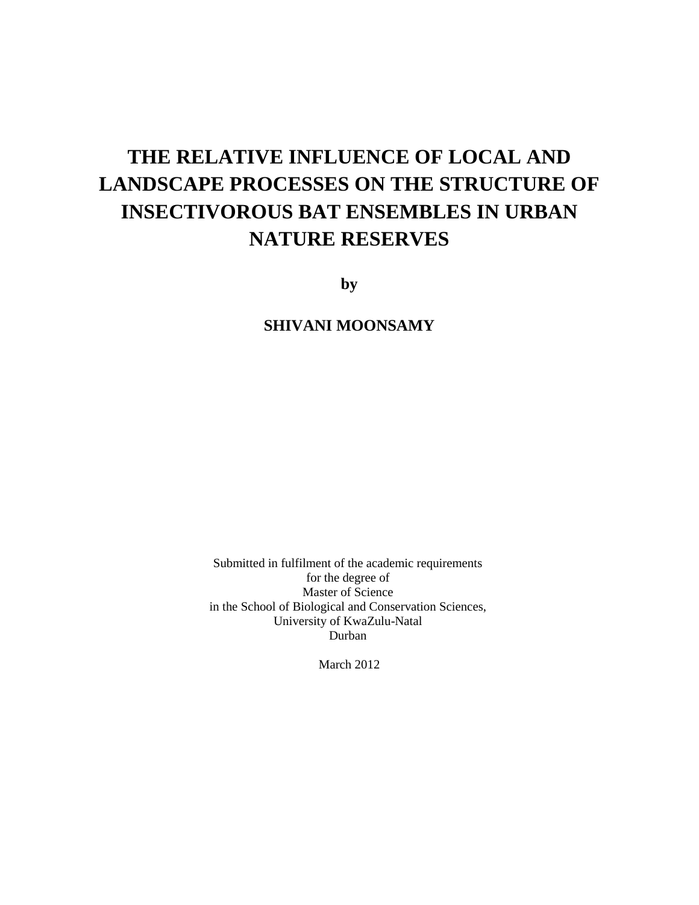# **THE RELATIVE INFLUENCE OF LOCAL AND LANDSCAPE PROCESSES ON THE STRUCTURE OF INSECTIVOROUS BAT ENSEMBLES IN URBAN NATURE RESERVES**

**by**

**SHIVANI MOONSAMY**

Submitted in fulfilment of the academic requirements for the degree of Master of Science in the School of Biological and Conservation Sciences, University of KwaZulu-Natal Durban

March 2012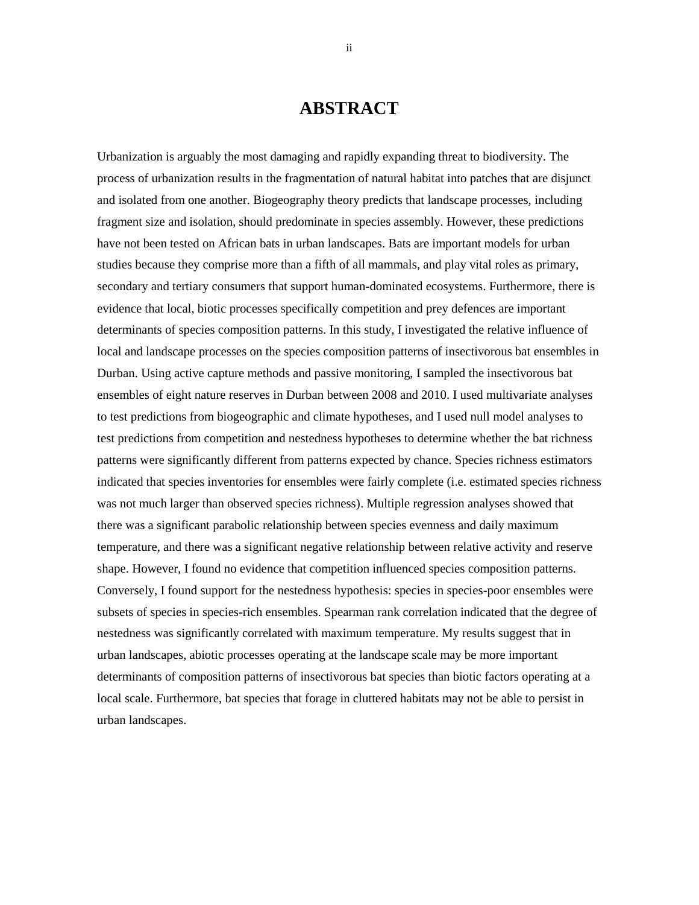# **ABSTRACT**

Urbanization is arguably the most damaging and rapidly expanding threat to biodiversity. The process of urbanization results in the fragmentation of natural habitat into patches that are disjunct and isolated from one another. Biogeography theory predicts that landscape processes, including fragment size and isolation, should predominate in species assembly. However, these predictions have not been tested on African bats in urban landscapes. Bats are important models for urban studies because they comprise more than a fifth of all mammals, and play vital roles as primary, secondary and tertiary consumers that support human-dominated ecosystems. Furthermore, there is evidence that local, biotic processes specifically competition and prey defences are important determinants of species composition patterns. In this study, I investigated the relative influence of local and landscape processes on the species composition patterns of insectivorous bat ensembles in Durban. Using active capture methods and passive monitoring, I sampled the insectivorous bat ensembles of eight nature reserves in Durban between 2008 and 2010. I used multivariate analyses to test predictions from biogeographic and climate hypotheses, and I used null model analyses to test predictions from competition and nestedness hypotheses to determine whether the bat richness patterns were significantly different from patterns expected by chance. Species richness estimators indicated that species inventories for ensembles were fairly complete (i.e. estimated species richness was not much larger than observed species richness). Multiple regression analyses showed that there was a significant parabolic relationship between species evenness and daily maximum temperature, and there was a significant negative relationship between relative activity and reserve shape. However, I found no evidence that competition influenced species composition patterns. Conversely, I found support for the nestedness hypothesis: species in species-poor ensembles were subsets of species in species-rich ensembles. Spearman rank correlation indicated that the degree of nestedness was significantly correlated with maximum temperature. My results suggest that in urban landscapes, abiotic processes operating at the landscape scale may be more important determinants of composition patterns of insectivorous bat species than biotic factors operating at a local scale. Furthermore, bat species that forage in cluttered habitats may not be able to persist in urban landscapes.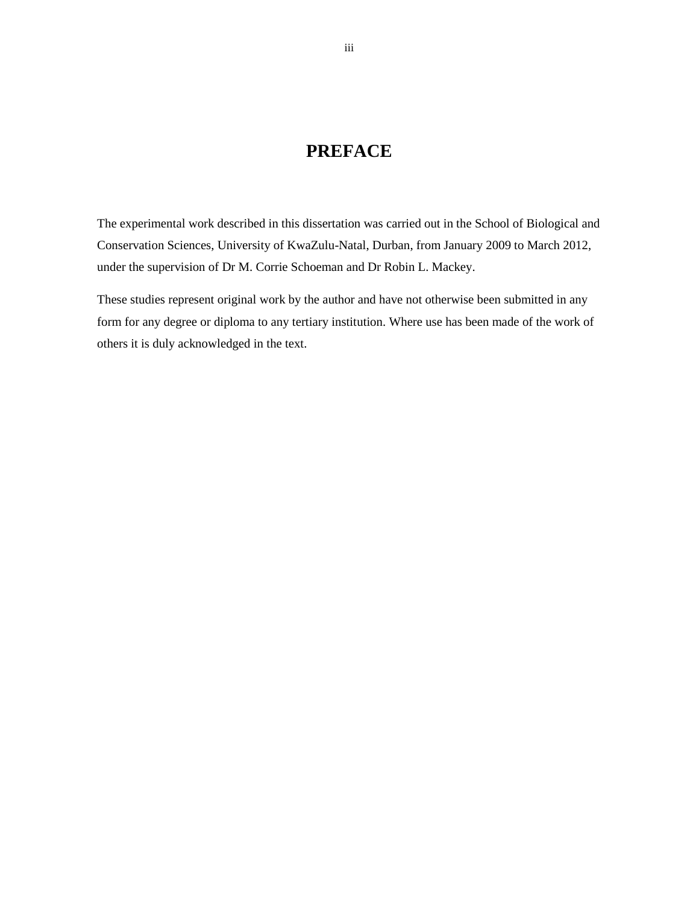### **PREFACE**

The experimental work described in this dissertation was carried out in the School of Biological and Conservation Sciences, University of KwaZulu-Natal, Durban, from January 2009 to March 2012, under the supervision of Dr M. Corrie Schoeman and Dr Robin L. Mackey.

These studies represent original work by the author and have not otherwise been submitted in any form for any degree or diploma to any tertiary institution. Where use has been made of the work of others it is duly acknowledged in the text.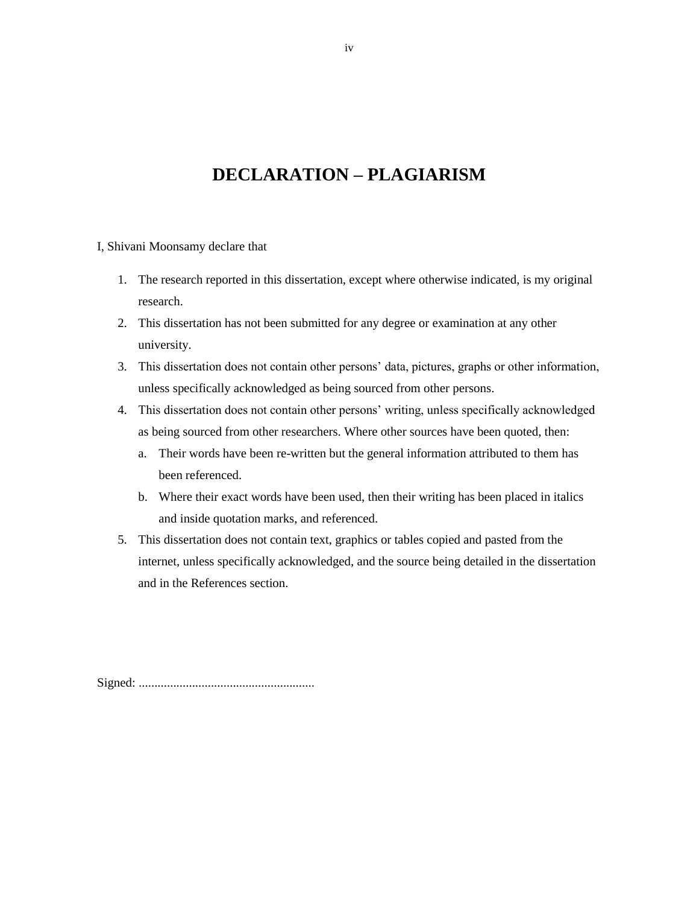# **DECLARATION – PLAGIARISM**

I, Shivani Moonsamy declare that

- 1. The research reported in this dissertation, except where otherwise indicated, is my original research.
- 2. This dissertation has not been submitted for any degree or examination at any other university.
- 3. This dissertation does not contain other persons" data, pictures, graphs or other information, unless specifically acknowledged as being sourced from other persons.
- 4. This dissertation does not contain other persons" writing, unless specifically acknowledged as being sourced from other researchers. Where other sources have been quoted, then:
	- a. Their words have been re-written but the general information attributed to them has been referenced.
	- b. Where their exact words have been used, then their writing has been placed in italics and inside quotation marks, and referenced.
- 5. This dissertation does not contain text, graphics or tables copied and pasted from the internet, unless specifically acknowledged, and the source being detailed in the dissertation and in the References section.

Signed: ........................................................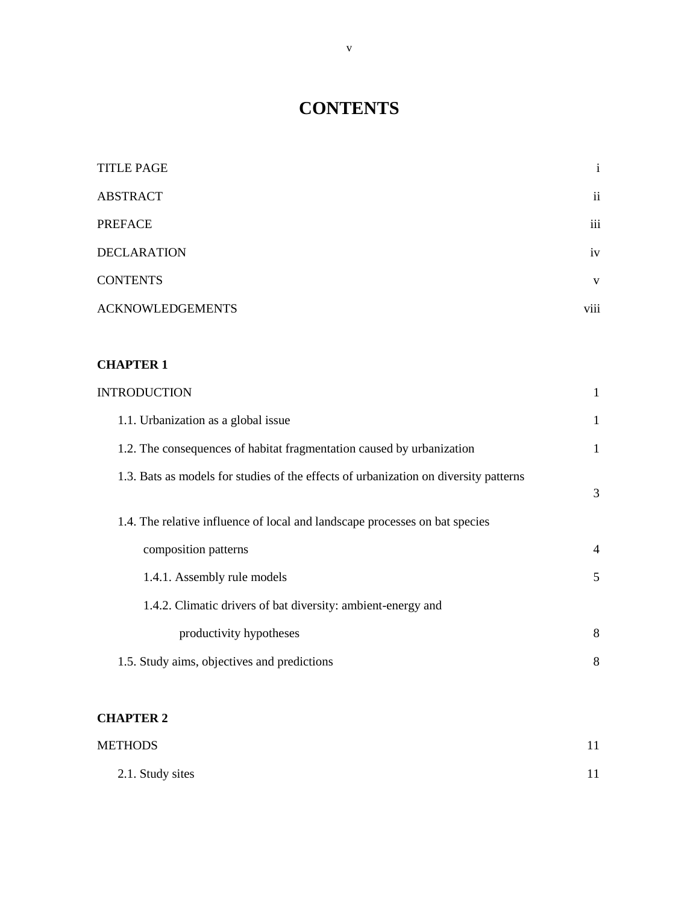# **CONTENTS**

| <b>TITLE PAGE</b>       | $\mathbf{i}$            |
|-------------------------|-------------------------|
| <b>ABSTRACT</b>         | $\overline{\mathbf{u}}$ |
| <b>PREFACE</b>          | iii                     |
| <b>DECLARATION</b>      | iv                      |
| <b>CONTENTS</b>         | V                       |
| <b>ACKNOWLEDGEMENTS</b> | viii                    |

### **CHAPTER 1**

| <b>INTRODUCTION</b>                                                                  | $\mathbf{1}$   |
|--------------------------------------------------------------------------------------|----------------|
| 1.1. Urbanization as a global issue                                                  | 1              |
| 1.2. The consequences of habitat fragmentation caused by urbanization                | $\mathbf{1}$   |
| 1.3. Bats as models for studies of the effects of urbanization on diversity patterns | 3              |
| 1.4. The relative influence of local and landscape processes on bat species          |                |
| composition patterns                                                                 | $\overline{4}$ |
| 1.4.1. Assembly rule models                                                          | 5              |
| 1.4.2. Climatic drivers of bat diversity: ambient-energy and                         |                |
| productivity hypotheses                                                              | 8              |
| 1.5. Study aims, objectives and predictions                                          | 8              |

### **CHAPTER 2**

| <b>METHODS</b>   |  |
|------------------|--|
| 2.1. Study sites |  |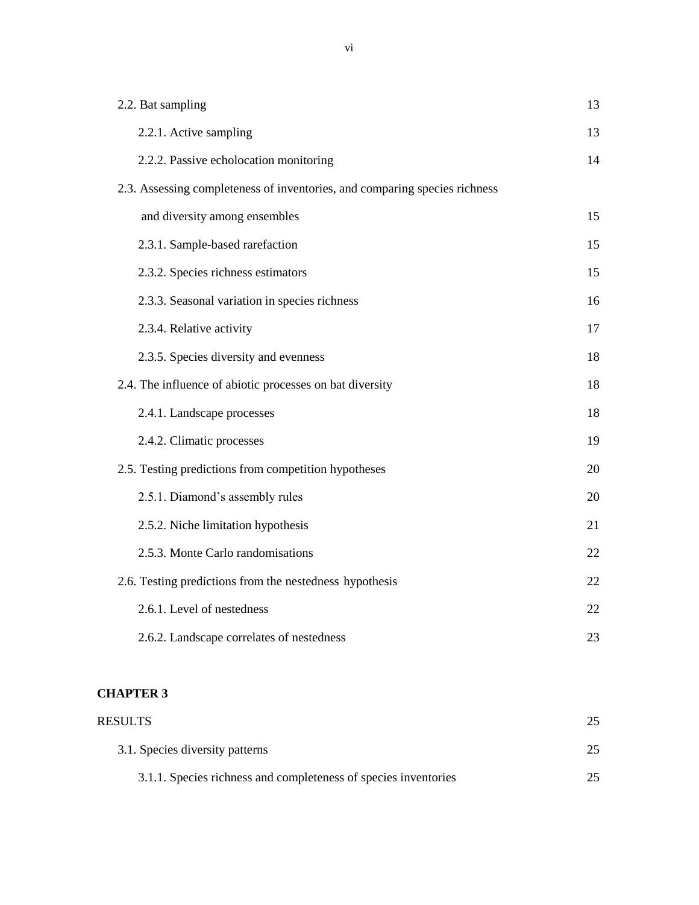| 2.2. Bat sampling                                                          | 13 |
|----------------------------------------------------------------------------|----|
| 2.2.1. Active sampling                                                     | 13 |
| 2.2.2. Passive echolocation monitoring                                     | 14 |
| 2.3. Assessing completeness of inventories, and comparing species richness |    |
| and diversity among ensembles                                              | 15 |
| 2.3.1. Sample-based rarefaction                                            | 15 |
| 2.3.2. Species richness estimators                                         | 15 |
| 2.3.3. Seasonal variation in species richness                              | 16 |
| 2.3.4. Relative activity                                                   | 17 |
| 2.3.5. Species diversity and evenness                                      | 18 |
| 2.4. The influence of abiotic processes on bat diversity                   | 18 |
| 2.4.1. Landscape processes                                                 | 18 |
| 2.4.2. Climatic processes                                                  | 19 |
| 2.5. Testing predictions from competition hypotheses                       | 20 |
| 2.5.1. Diamond's assembly rules                                            | 20 |
| 2.5.2. Niche limitation hypothesis                                         | 21 |
| 2.5.3. Monte Carlo randomisations                                          | 22 |
| 2.6. Testing predictions from the nestedness hypothesis                    | 22 |
| 2.6.1. Level of nestedness                                                 | 22 |
| 2.6.2. Landscape correlates of nestedness                                  | 23 |

### **CHAPTER 3**

| <b>RESULTS</b>                                                  |  |
|-----------------------------------------------------------------|--|
| 3.1. Species diversity patterns                                 |  |
| 3.1.1. Species richness and completeness of species inventories |  |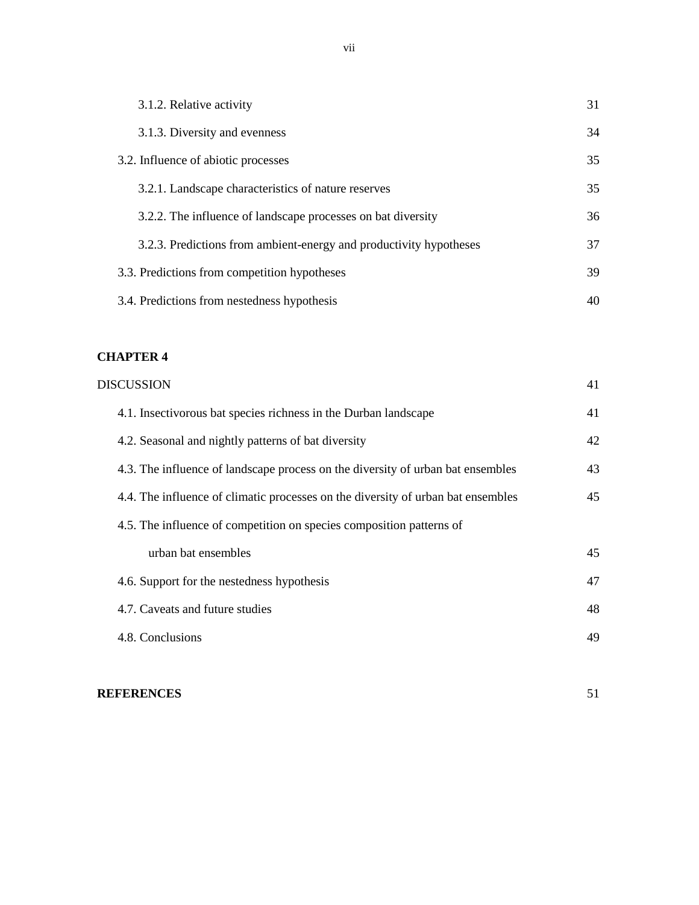| 3.1.2. Relative activity                                           | 31 |
|--------------------------------------------------------------------|----|
| 3.1.3. Diversity and evenness                                      | 34 |
| 3.2. Influence of abiotic processes                                | 35 |
| 3.2.1. Landscape characteristics of nature reserves                | 35 |
| 3.2.2. The influence of landscape processes on bat diversity       | 36 |
| 3.2.3. Predictions from ambient-energy and productivity hypotheses | 37 |
| 3.3. Predictions from competition hypotheses                       | 39 |
| 3.4. Predictions from nestedness hypothesis                        | 40 |

### **CHAPTER 4**

| <b>DISCUSSION</b>                                                                | 41 |
|----------------------------------------------------------------------------------|----|
| 4.1. Insectivorous bat species richness in the Durban landscape                  | 41 |
| 4.2. Seasonal and nightly patterns of bat diversity                              | 42 |
| 4.3. The influence of landscape process on the diversity of urban bat ensembles  | 43 |
| 4.4. The influence of climatic processes on the diversity of urban bat ensembles | 45 |
| 4.5. The influence of competition on species composition patterns of             |    |
| urban bat ensembles                                                              | 45 |
| 4.6. Support for the nestedness hypothesis                                       | 47 |
| 4.7. Caveats and future studies                                                  | 48 |
| 4.8. Conclusions                                                                 | 49 |
|                                                                                  |    |

### **REFERENCES** 51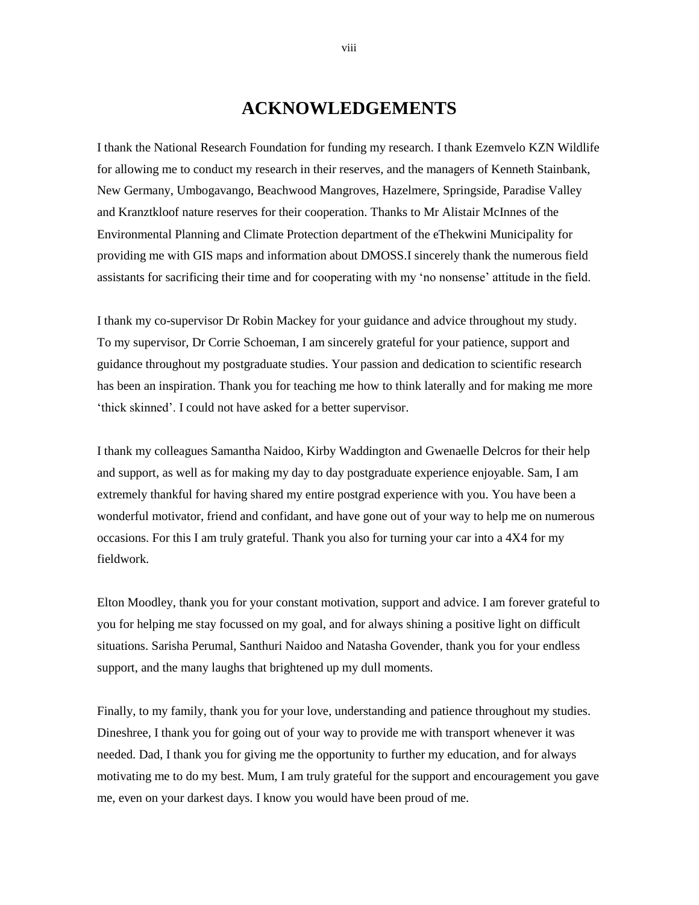## **ACKNOWLEDGEMENTS**

I thank the National Research Foundation for funding my research. I thank Ezemvelo KZN Wildlife for allowing me to conduct my research in their reserves, and the managers of Kenneth Stainbank, New Germany, Umbogavango, Beachwood Mangroves, Hazelmere, Springside, Paradise Valley and Kranztkloof nature reserves for their cooperation. Thanks to Mr Alistair McInnes of the Environmental Planning and Climate Protection department of the eThekwini Municipality for providing me with GIS maps and information about DMOSS.I sincerely thank the numerous field assistants for sacrificing their time and for cooperating with my "no nonsense" attitude in the field.

I thank my co-supervisor Dr Robin Mackey for your guidance and advice throughout my study. To my supervisor, Dr Corrie Schoeman, I am sincerely grateful for your patience, support and guidance throughout my postgraduate studies. Your passion and dedication to scientific research has been an inspiration. Thank you for teaching me how to think laterally and for making me more 'thick skinned'. I could not have asked for a better supervisor.

I thank my colleagues Samantha Naidoo, Kirby Waddington and Gwenaelle Delcros for their help and support, as well as for making my day to day postgraduate experience enjoyable. Sam, I am extremely thankful for having shared my entire postgrad experience with you. You have been a wonderful motivator, friend and confidant, and have gone out of your way to help me on numerous occasions. For this I am truly grateful. Thank you also for turning your car into a 4X4 for my fieldwork.

Elton Moodley, thank you for your constant motivation, support and advice. I am forever grateful to you for helping me stay focussed on my goal, and for always shining a positive light on difficult situations. Sarisha Perumal, Santhuri Naidoo and Natasha Govender, thank you for your endless support, and the many laughs that brightened up my dull moments.

Finally, to my family, thank you for your love, understanding and patience throughout my studies. Dineshree, I thank you for going out of your way to provide me with transport whenever it was needed. Dad, I thank you for giving me the opportunity to further my education, and for always motivating me to do my best. Mum, I am truly grateful for the support and encouragement you gave me, even on your darkest days. I know you would have been proud of me.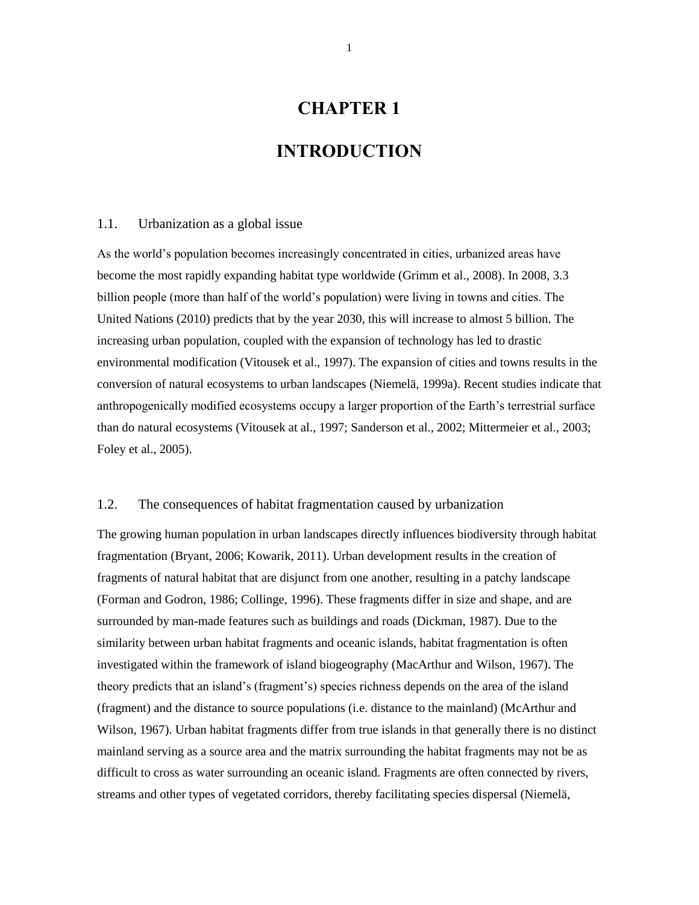# **CHAPTER 1**

### **INTRODUCTION**

#### 1.1. Urbanization as a global issue

As the world"s population becomes increasingly concentrated in cities, urbanized areas have become the most rapidly expanding habitat type worldwide (Grimm et al., 2008). In 2008, 3.3 billion people (more than half of the world"s population) were living in towns and cities. The United Nations (2010) predicts that by the year 2030, this will increase to almost 5 billion. The increasing urban population, coupled with the expansion of technology has led to drastic environmental modification (Vitousek et al., 1997). The expansion of cities and towns results in the conversion of natural ecosystems to urban landscapes (Niemelä, 1999a). Recent studies indicate that anthropogenically modified ecosystems occupy a larger proportion of the Earth"s terrestrial surface than do natural ecosystems (Vitousek at al., 1997; Sanderson et al., 2002; Mittermeier et al., 2003; Foley et al., 2005).

#### 1.2. The consequences of habitat fragmentation caused by urbanization

The growing human population in urban landscapes directly influences biodiversity through habitat fragmentation (Bryant, 2006; Kowarik, 2011). Urban development results in the creation of fragments of natural habitat that are disjunct from one another, resulting in a patchy landscape (Forman and Godron, 1986; Collinge, 1996). These fragments differ in size and shape, and are surrounded by man-made features such as buildings and roads (Dickman, 1987). Due to the similarity between urban habitat fragments and oceanic islands, habitat fragmentation is often investigated within the framework of island biogeography (MacArthur and Wilson, 1967). The theory predicts that an island"s (fragment"s) species richness depends on the area of the island (fragment) and the distance to source populations (i.e. distance to the mainland) (McArthur and Wilson, 1967). Urban habitat fragments differ from true islands in that generally there is no distinct mainland serving as a source area and the matrix surrounding the habitat fragments may not be as difficult to cross as water surrounding an oceanic island. Fragments are often connected by rivers, streams and other types of vegetated corridors, thereby facilitating species dispersal (Niemelä,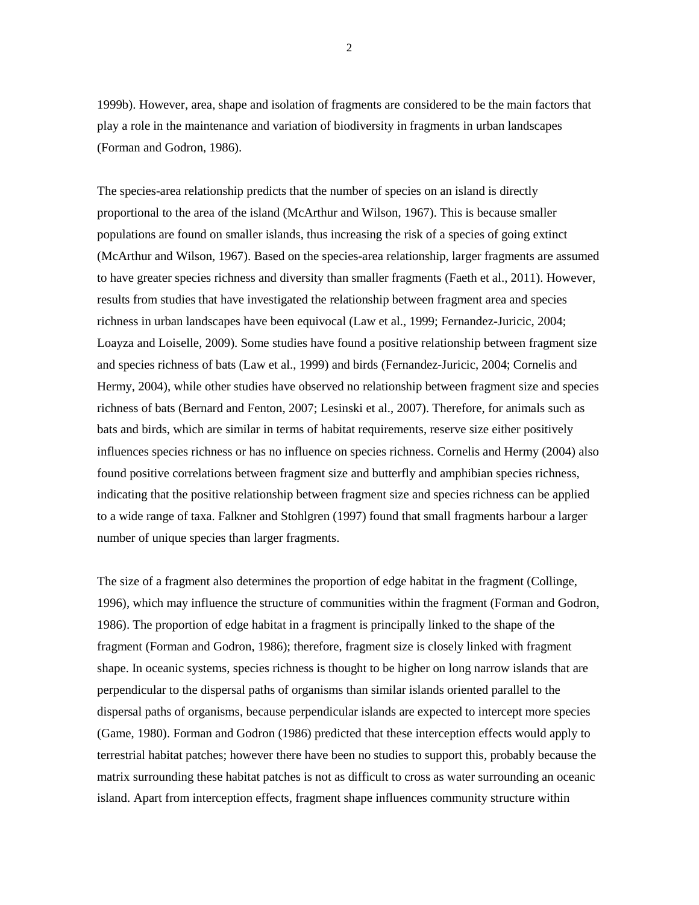1999b). However, area, shape and isolation of fragments are considered to be the main factors that

play a role in the maintenance and variation of biodiversity in fragments in urban landscapes (Forman and Godron, 1986).

The species-area relationship predicts that the number of species on an island is directly proportional to the area of the island (McArthur and Wilson, 1967). This is because smaller populations are found on smaller islands, thus increasing the risk of a species of going extinct (McArthur and Wilson, 1967). Based on the species-area relationship, larger fragments are assumed to have greater species richness and diversity than smaller fragments (Faeth et al., 2011). However, results from studies that have investigated the relationship between fragment area and species richness in urban landscapes have been equivocal (Law et al., 1999; Fernandez-Juricic, 2004; Loayza and Loiselle, 2009). Some studies have found a positive relationship between fragment size and species richness of bats (Law et al., 1999) and birds (Fernandez-Juricic, 2004; Cornelis and Hermy, 2004), while other studies have observed no relationship between fragment size and species richness of bats (Bernard and Fenton, 2007; Lesinski et al., 2007). Therefore, for animals such as bats and birds, which are similar in terms of habitat requirements, reserve size either positively influences species richness or has no influence on species richness. Cornelis and Hermy (2004) also found positive correlations between fragment size and butterfly and amphibian species richness, indicating that the positive relationship between fragment size and species richness can be applied to a wide range of taxa. Falkner and Stohlgren (1997) found that small fragments harbour a larger number of unique species than larger fragments.

The size of a fragment also determines the proportion of edge habitat in the fragment (Collinge, 1996), which may influence the structure of communities within the fragment (Forman and Godron, 1986). The proportion of edge habitat in a fragment is principally linked to the shape of the fragment (Forman and Godron, 1986); therefore, fragment size is closely linked with fragment shape. In oceanic systems, species richness is thought to be higher on long narrow islands that are perpendicular to the dispersal paths of organisms than similar islands oriented parallel to the dispersal paths of organisms, because perpendicular islands are expected to intercept more species (Game, 1980). Forman and Godron (1986) predicted that these interception effects would apply to terrestrial habitat patches; however there have been no studies to support this, probably because the matrix surrounding these habitat patches is not as difficult to cross as water surrounding an oceanic island. Apart from interception effects, fragment shape influences community structure within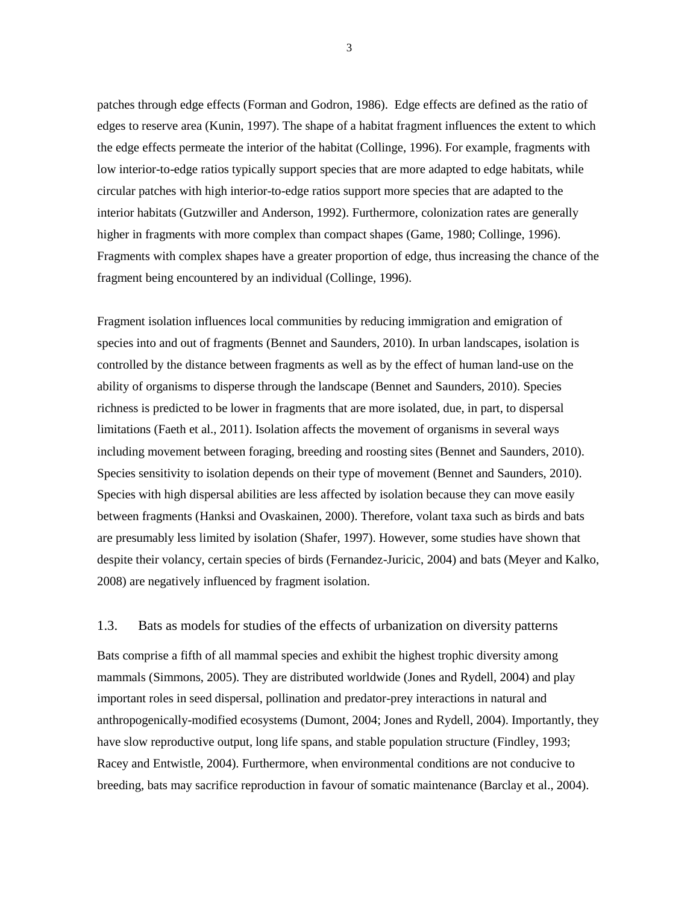patches through edge effects (Forman and Godron, 1986). Edge effects are defined as the ratio of edges to reserve area (Kunin, 1997). The shape of a habitat fragment influences the extent to which the edge effects permeate the interior of the habitat (Collinge, 1996). For example, fragments with low interior-to-edge ratios typically support species that are more adapted to edge habitats, while circular patches with high interior-to-edge ratios support more species that are adapted to the interior habitats (Gutzwiller and Anderson, 1992). Furthermore, colonization rates are generally higher in fragments with more complex than compact shapes (Game, 1980; Collinge, 1996). Fragments with complex shapes have a greater proportion of edge, thus increasing the chance of the fragment being encountered by an individual (Collinge, 1996).

Fragment isolation influences local communities by reducing immigration and emigration of species into and out of fragments (Bennet and Saunders, 2010). In urban landscapes, isolation is controlled by the distance between fragments as well as by the effect of human land-use on the ability of organisms to disperse through the landscape (Bennet and Saunders, 2010). Species richness is predicted to be lower in fragments that are more isolated, due, in part, to dispersal limitations (Faeth et al., 2011). Isolation affects the movement of organisms in several ways including movement between foraging, breeding and roosting sites (Bennet and Saunders, 2010). Species sensitivity to isolation depends on their type of movement (Bennet and Saunders, 2010). Species with high dispersal abilities are less affected by isolation because they can move easily between fragments (Hanksi and Ovaskainen, 2000). Therefore, volant taxa such as birds and bats are presumably less limited by isolation (Shafer, 1997). However, some studies have shown that despite their volancy, certain species of birds (Fernandez-Juricic, 2004) and bats (Meyer and Kalko, 2008) are negatively influenced by fragment isolation.

#### 1.3. Bats as models for studies of the effects of urbanization on diversity patterns

Bats comprise a fifth of all mammal species and exhibit the highest trophic diversity among mammals (Simmons, 2005). They are distributed worldwide (Jones and Rydell, 2004) and play important roles in seed dispersal, pollination and predator-prey interactions in natural and anthropogenically-modified ecosystems (Dumont, 2004; Jones and Rydell, 2004). Importantly, they have slow reproductive output, long life spans, and stable population structure (Findley, 1993; Racey and Entwistle, 2004). Furthermore, when environmental conditions are not conducive to breeding, bats may sacrifice reproduction in favour of somatic maintenance (Barclay et al., 2004).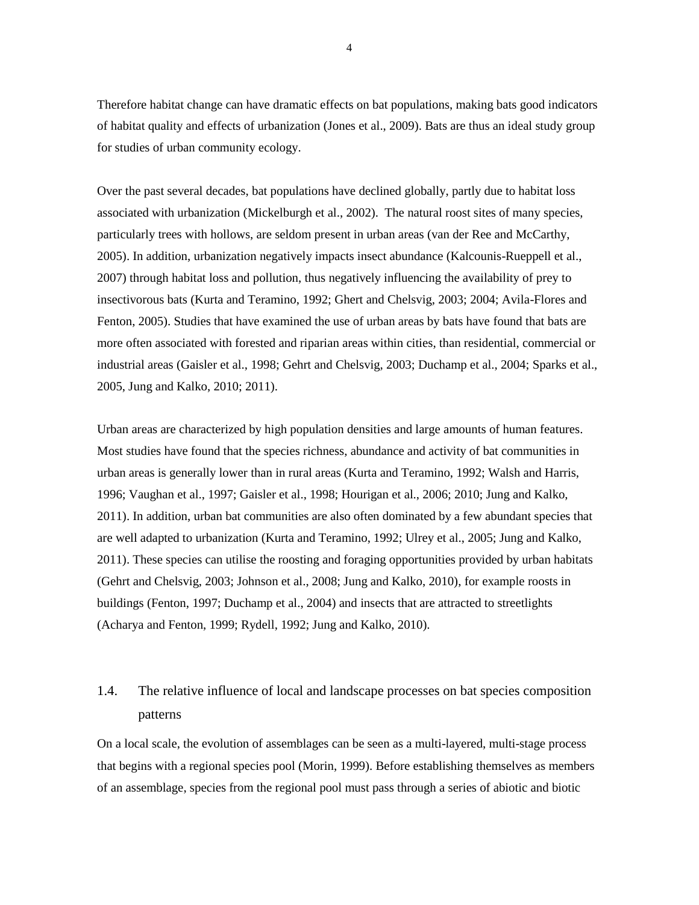Therefore habitat change can have dramatic effects on bat populations, making bats good indicators of habitat quality and effects of urbanization (Jones et al., 2009). Bats are thus an ideal study group for studies of urban community ecology.

Over the past several decades, bat populations have declined globally, partly due to habitat loss associated with urbanization (Mickelburgh et al., 2002). The natural roost sites of many species, particularly trees with hollows, are seldom present in urban areas (van der Ree and McCarthy, 2005). In addition, urbanization negatively impacts insect abundance (Kalcounis-Rueppell et al., 2007) through habitat loss and pollution, thus negatively influencing the availability of prey to insectivorous bats (Kurta and Teramino, 1992; Ghert and Chelsvig, 2003; 2004; Avila-Flores and Fenton, 2005). Studies that have examined the use of urban areas by bats have found that bats are more often associated with forested and riparian areas within cities, than residential, commercial or industrial areas (Gaisler et al., 1998; Gehrt and Chelsvig, 2003; Duchamp et al., 2004; Sparks et al., 2005, Jung and Kalko, 2010; 2011).

Urban areas are characterized by high population densities and large amounts of human features. Most studies have found that the species richness, abundance and activity of bat communities in urban areas is generally lower than in rural areas (Kurta and Teramino, 1992; Walsh and Harris, 1996; Vaughan et al., 1997; Gaisler et al., 1998; Hourigan et al., 2006; 2010; Jung and Kalko, 2011). In addition, urban bat communities are also often dominated by a few abundant species that are well adapted to urbanization (Kurta and Teramino, 1992; Ulrey et al., 2005; Jung and Kalko, 2011). These species can utilise the roosting and foraging opportunities provided by urban habitats (Gehrt and Chelsvig, 2003; Johnson et al., 2008; Jung and Kalko, 2010), for example roosts in buildings (Fenton, 1997; Duchamp et al., 2004) and insects that are attracted to streetlights (Acharya and Fenton, 1999; Rydell, 1992; Jung and Kalko, 2010).

# 1.4. The relative influence of local and landscape processes on bat species composition patterns

On a local scale, the evolution of assemblages can be seen as a multi-layered, multi-stage process that begins with a regional species pool (Morin, 1999). Before establishing themselves as members of an assemblage, species from the regional pool must pass through a series of abiotic and biotic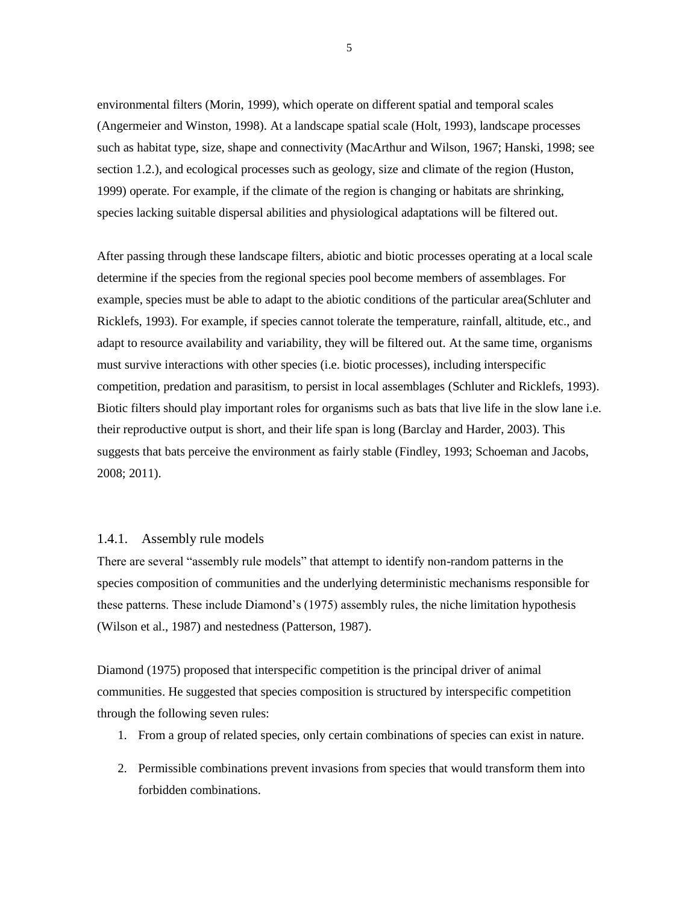environmental filters (Morin, 1999), which operate on different spatial and temporal scales (Angermeier and Winston, 1998). At a landscape spatial scale (Holt, 1993), landscape processes such as habitat type, size, shape and connectivity (MacArthur and Wilson, 1967; Hanski, 1998; see section 1.2.), and ecological processes such as geology, size and climate of the region (Huston, 1999) operate. For example, if the climate of the region is changing or habitats are shrinking, species lacking suitable dispersal abilities and physiological adaptations will be filtered out.

After passing through these landscape filters, abiotic and biotic processes operating at a local scale determine if the species from the regional species pool become members of assemblages. For example, species must be able to adapt to the abiotic conditions of the particular area(Schluter and Ricklefs, 1993). For example, if species cannot tolerate the temperature, rainfall, altitude, etc., and adapt to resource availability and variability, they will be filtered out. At the same time, organisms must survive interactions with other species (i.e. biotic processes), including interspecific competition, predation and parasitism, to persist in local assemblages (Schluter and Ricklefs, 1993). Biotic filters should play important roles for organisms such as bats that live life in the slow lane i.e. their reproductive output is short, and their life span is long (Barclay and Harder, 2003). This suggests that bats perceive the environment as fairly stable (Findley, 1993; Schoeman and Jacobs, 2008; 2011).

#### 1.4.1. Assembly rule models

There are several "assembly rule models" that attempt to identify non-random patterns in the species composition of communities and the underlying deterministic mechanisms responsible for these patterns. These include Diamond"s (1975) assembly rules, the niche limitation hypothesis (Wilson et al., 1987) and nestedness (Patterson, 1987).

Diamond (1975) proposed that interspecific competition is the principal driver of animal communities. He suggested that species composition is structured by interspecific competition through the following seven rules:

- 1. From a group of related species, only certain combinations of species can exist in nature.
- 2. Permissible combinations prevent invasions from species that would transform them into forbidden combinations.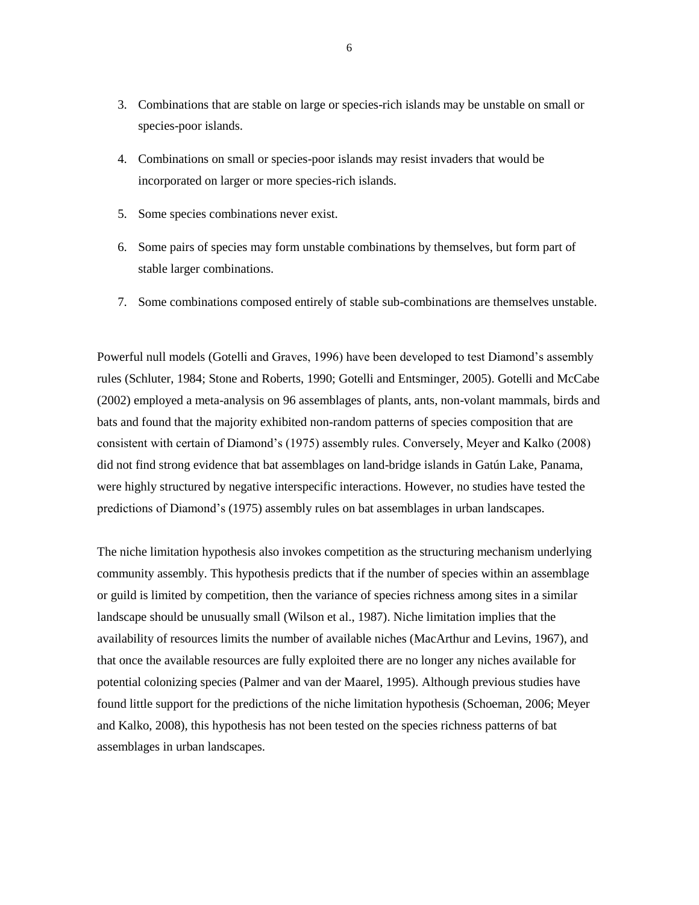- 3. Combinations that are stable on large or species-rich islands may be unstable on small or species-poor islands.
- 4. Combinations on small or species-poor islands may resist invaders that would be incorporated on larger or more species-rich islands.
- 5. Some species combinations never exist.
- 6. Some pairs of species may form unstable combinations by themselves, but form part of stable larger combinations.
- 7. Some combinations composed entirely of stable sub-combinations are themselves unstable.

Powerful null models (Gotelli and Graves, 1996) have been developed to test Diamond"s assembly rules (Schluter, 1984; Stone and Roberts, 1990; Gotelli and Entsminger, 2005). Gotelli and McCabe (2002) employed a meta-analysis on 96 assemblages of plants, ants, non-volant mammals, birds and bats and found that the majority exhibited non-random patterns of species composition that are consistent with certain of Diamond"s (1975) assembly rules. Conversely, Meyer and Kalko (2008) did not find strong evidence that bat assemblages on land-bridge islands in Gatún Lake, Panama, were highly structured by negative interspecific interactions. However, no studies have tested the predictions of Diamond"s (1975) assembly rules on bat assemblages in urban landscapes.

The niche limitation hypothesis also invokes competition as the structuring mechanism underlying community assembly. This hypothesis predicts that if the number of species within an assemblage or guild is limited by competition, then the variance of species richness among sites in a similar landscape should be unusually small (Wilson et al., 1987). Niche limitation implies that the availability of resources limits the number of available niches (MacArthur and Levins, 1967), and that once the available resources are fully exploited there are no longer any niches available for potential colonizing species (Palmer and van der Maarel, 1995). Although previous studies have found little support for the predictions of the niche limitation hypothesis (Schoeman, 2006; Meyer and Kalko, 2008), this hypothesis has not been tested on the species richness patterns of bat assemblages in urban landscapes.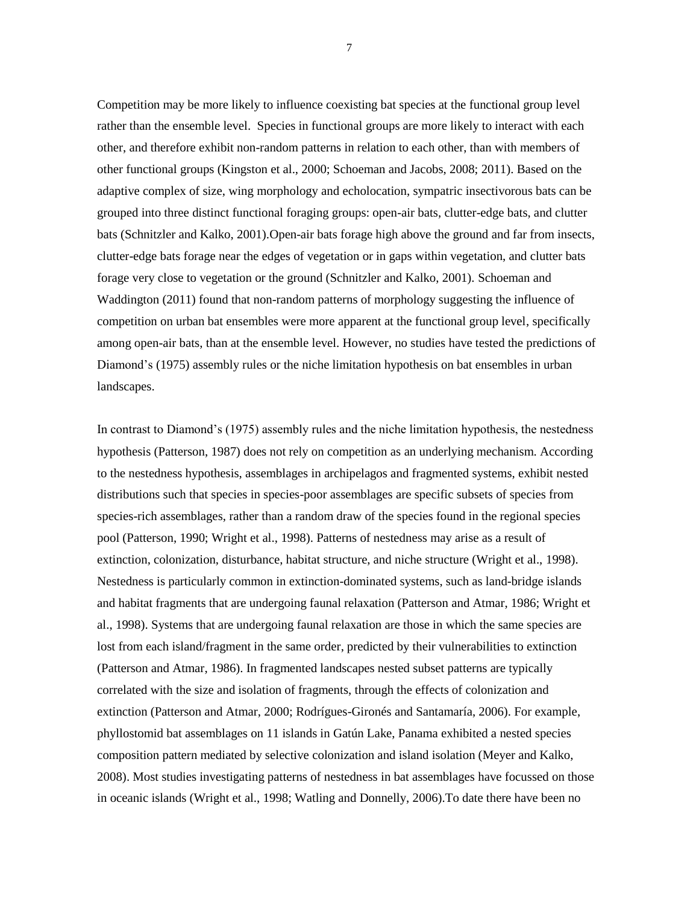Competition may be more likely to influence coexisting bat species at the functional group level rather than the ensemble level. Species in functional groups are more likely to interact with each other, and therefore exhibit non-random patterns in relation to each other, than with members of other functional groups (Kingston et al., 2000; Schoeman and Jacobs, 2008; 2011). Based on the adaptive complex of size, wing morphology and echolocation, sympatric insectivorous bats can be grouped into three distinct functional foraging groups: open-air bats, clutter-edge bats, and clutter bats (Schnitzler and Kalko, 2001).Open-air bats forage high above the ground and far from insects, clutter-edge bats forage near the edges of vegetation or in gaps within vegetation, and clutter bats forage very close to vegetation or the ground (Schnitzler and Kalko, 2001). Schoeman and Waddington (2011) found that non-random patterns of morphology suggesting the influence of competition on urban bat ensembles were more apparent at the functional group level, specifically among open-air bats, than at the ensemble level. However, no studies have tested the predictions of Diamond"s (1975) assembly rules or the niche limitation hypothesis on bat ensembles in urban landscapes.

In contrast to Diamond"s (1975) assembly rules and the niche limitation hypothesis, the nestedness hypothesis (Patterson, 1987) does not rely on competition as an underlying mechanism. According to the nestedness hypothesis, assemblages in archipelagos and fragmented systems, exhibit nested distributions such that species in species-poor assemblages are specific subsets of species from species-rich assemblages, rather than a random draw of the species found in the regional species pool (Patterson, 1990; Wright et al., 1998). Patterns of nestedness may arise as a result of extinction, colonization, disturbance, habitat structure, and niche structure (Wright et al., 1998). Nestedness is particularly common in extinction-dominated systems, such as land-bridge islands and habitat fragments that are undergoing faunal relaxation (Patterson and Atmar, 1986; Wright et al., 1998). Systems that are undergoing faunal relaxation are those in which the same species are lost from each island/fragment in the same order, predicted by their vulnerabilities to extinction (Patterson and Atmar, 1986). In fragmented landscapes nested subset patterns are typically correlated with the size and isolation of fragments, through the effects of colonization and extinction (Patterson and Atmar, 2000; Rodrígues-Gironés and Santamaría, 2006). For example, phyllostomid bat assemblages on 11 islands in Gatún Lake, Panama exhibited a nested species composition pattern mediated by selective colonization and island isolation (Meyer and Kalko, 2008). Most studies investigating patterns of nestedness in bat assemblages have focussed on those in oceanic islands (Wright et al., 1998; Watling and Donnelly, 2006).To date there have been no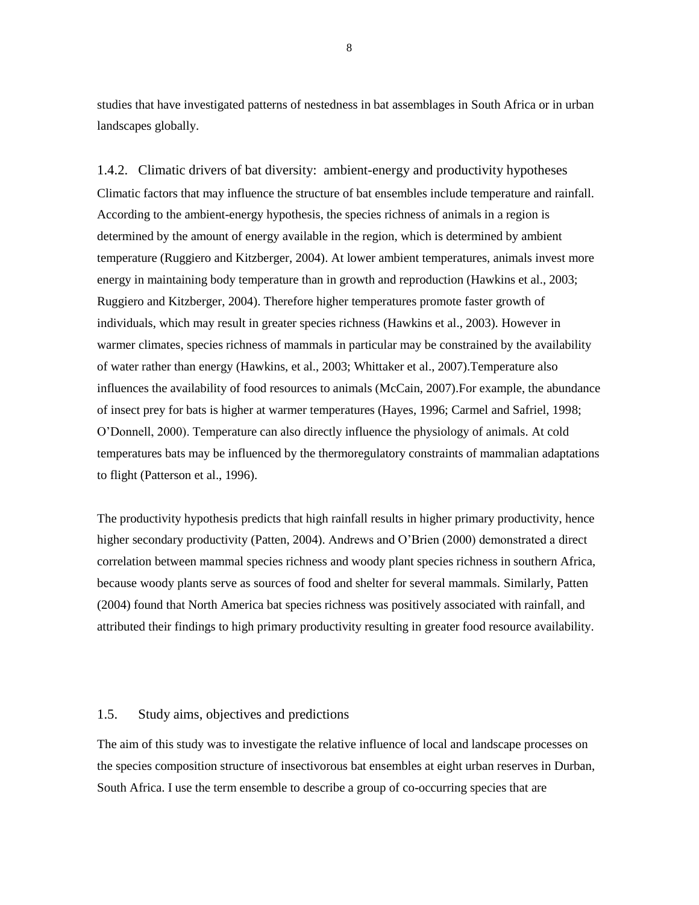studies that have investigated patterns of nestedness in bat assemblages in South Africa or in urban landscapes globally.

1.4.2. Climatic drivers of bat diversity: ambient-energy and productivity hypotheses Climatic factors that may influence the structure of bat ensembles include temperature and rainfall. According to the ambient-energy hypothesis, the species richness of animals in a region is determined by the amount of energy available in the region, which is determined by ambient temperature (Ruggiero and Kitzberger, 2004). At lower ambient temperatures, animals invest more energy in maintaining body temperature than in growth and reproduction (Hawkins et al., 2003; Ruggiero and Kitzberger, 2004). Therefore higher temperatures promote faster growth of individuals, which may result in greater species richness (Hawkins et al., 2003). However in warmer climates, species richness of mammals in particular may be constrained by the availability of water rather than energy (Hawkins, et al., 2003; Whittaker et al., 2007).Temperature also influences the availability of food resources to animals (McCain, 2007).For example, the abundance of insect prey for bats is higher at warmer temperatures (Hayes, 1996; Carmel and Safriel, 1998; O"Donnell, 2000). Temperature can also directly influence the physiology of animals. At cold temperatures bats may be influenced by the thermoregulatory constraints of mammalian adaptations to flight (Patterson et al., 1996).

The productivity hypothesis predicts that high rainfall results in higher primary productivity, hence higher secondary productivity (Patten, 2004). Andrews and O'Brien (2000) demonstrated a direct correlation between mammal species richness and woody plant species richness in southern Africa, because woody plants serve as sources of food and shelter for several mammals. Similarly, Patten (2004) found that North America bat species richness was positively associated with rainfall, and attributed their findings to high primary productivity resulting in greater food resource availability.

#### 1.5. Study aims, objectives and predictions

The aim of this study was to investigate the relative influence of local and landscape processes on the species composition structure of insectivorous bat ensembles at eight urban reserves in Durban, South Africa. I use the term ensemble to describe a group of co-occurring species that are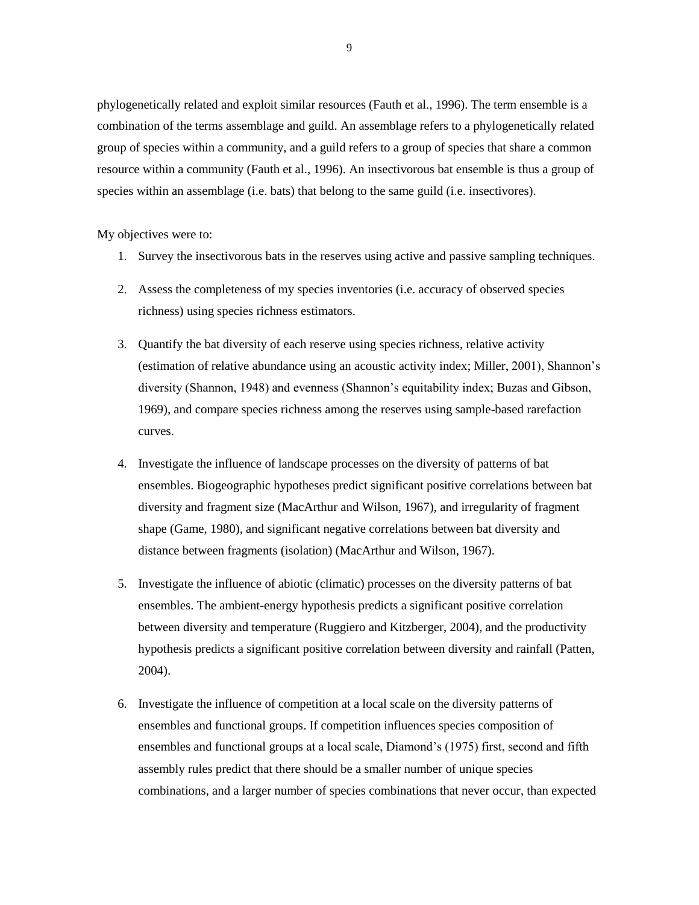phylogenetically related and exploit similar resources (Fauth et al., 1996). The term ensemble is a combination of the terms assemblage and guild. An assemblage refers to a phylogenetically related group of species within a community, and a guild refers to a group of species that share a common resource within a community (Fauth et al., 1996). An insectivorous bat ensemble is thus a group of species within an assemblage (i.e. bats) that belong to the same guild (i.e. insectivores).

My objectives were to:

- 1. Survey the insectivorous bats in the reserves using active and passive sampling techniques.
- 2. Assess the completeness of my species inventories (i.e. accuracy of observed species richness) using species richness estimators.
- 3. Quantify the bat diversity of each reserve using species richness, relative activity (estimation of relative abundance using an acoustic activity index; Miller, 2001), Shannon"s diversity (Shannon, 1948) and evenness (Shannon"s equitability index; Buzas and Gibson, 1969), and compare species richness among the reserves using sample-based rarefaction curves.
- 4. Investigate the influence of landscape processes on the diversity of patterns of bat ensembles. Biogeographic hypotheses predict significant positive correlations between bat diversity and fragment size (MacArthur and Wilson, 1967), and irregularity of fragment shape (Game, 1980), and significant negative correlations between bat diversity and distance between fragments (isolation) (MacArthur and Wilson, 1967).
- 5. Investigate the influence of abiotic (climatic) processes on the diversity patterns of bat ensembles. The ambient-energy hypothesis predicts a significant positive correlation between diversity and temperature (Ruggiero and Kitzberger, 2004), and the productivity hypothesis predicts a significant positive correlation between diversity and rainfall (Patten, 2004).
- 6. Investigate the influence of competition at a local scale on the diversity patterns of ensembles and functional groups. If competition influences species composition of ensembles and functional groups at a local scale, Diamond"s (1975) first, second and fifth assembly rules predict that there should be a smaller number of unique species combinations, and a larger number of species combinations that never occur, than expected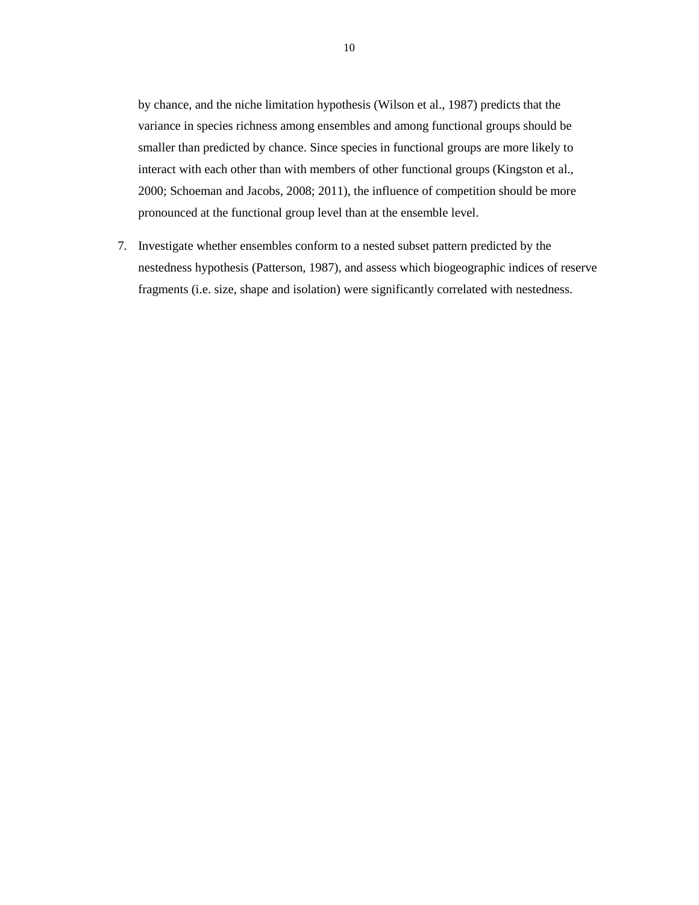by chance, and the niche limitation hypothesis (Wilson et al., 1987) predicts that the variance in species richness among ensembles and among functional groups should be smaller than predicted by chance. Since species in functional groups are more likely to interact with each other than with members of other functional groups (Kingston et al., 2000; Schoeman and Jacobs, 2008; 2011), the influence of competition should be more pronounced at the functional group level than at the ensemble level.

7. Investigate whether ensembles conform to a nested subset pattern predicted by the nestedness hypothesis (Patterson, 1987), and assess which biogeographic indices of reserve fragments (i.e. size, shape and isolation) were significantly correlated with nestedness.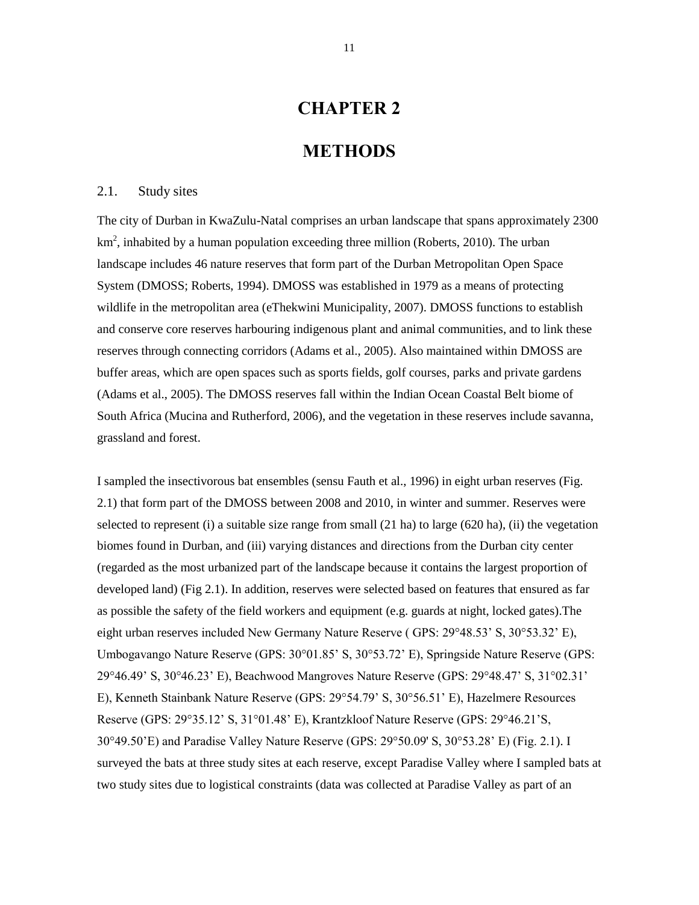# **CHAPTER 2**

### **METHODS**

#### 2.1. Study sites

The city of Durban in KwaZulu-Natal comprises an urban landscape that spans approximately 2300  $km<sup>2</sup>$ , inhabited by a human population exceeding three million (Roberts, 2010). The urban landscape includes 46 nature reserves that form part of the Durban Metropolitan Open Space System (DMOSS; Roberts, 1994). DMOSS was established in 1979 as a means of protecting wildlife in the metropolitan area (eThekwini Municipality, 2007). DMOSS functions to establish and conserve core reserves harbouring indigenous plant and animal communities, and to link these reserves through connecting corridors (Adams et al., 2005). Also maintained within DMOSS are buffer areas, which are open spaces such as sports fields, golf courses, parks and private gardens (Adams et al., 2005). The DMOSS reserves fall within the Indian Ocean Coastal Belt biome of South Africa (Mucina and Rutherford, 2006), and the vegetation in these reserves include savanna, grassland and forest.

I sampled the insectivorous bat ensembles (sensu Fauth et al., 1996) in eight urban reserves (Fig. 2.1) that form part of the DMOSS between 2008 and 2010, in winter and summer. Reserves were selected to represent (i) a suitable size range from small (21 ha) to large (620 ha), (ii) the vegetation biomes found in Durban, and (iii) varying distances and directions from the Durban city center (regarded as the most urbanized part of the landscape because it contains the largest proportion of developed land) (Fig 2.1). In addition, reserves were selected based on features that ensured as far as possible the safety of the field workers and equipment (e.g. guards at night, locked gates).The eight urban reserves included New Germany Nature Reserve ( GPS: 29°48.53" S, 30°53.32" E), Umbogavango Nature Reserve (GPS: 30°01.85" S, 30°53.72" E), Springside Nature Reserve (GPS: 29°46.49" S, 30°46.23" E), Beachwood Mangroves Nature Reserve (GPS: 29°48.47" S, 31°02.31" E), Kenneth Stainbank Nature Reserve (GPS: 29°54.79" S, 30°56.51" E), Hazelmere Resources Reserve (GPS: 29°35.12" S, 31°01.48" E), Krantzkloof Nature Reserve (GPS: 29°46.21"S, 30°49.50"E) and Paradise Valley Nature Reserve (GPS: 29°50.09' S, 30°53.28" E) (Fig. 2.1). I surveyed the bats at three study sites at each reserve, except Paradise Valley where I sampled bats at two study sites due to logistical constraints (data was collected at Paradise Valley as part of an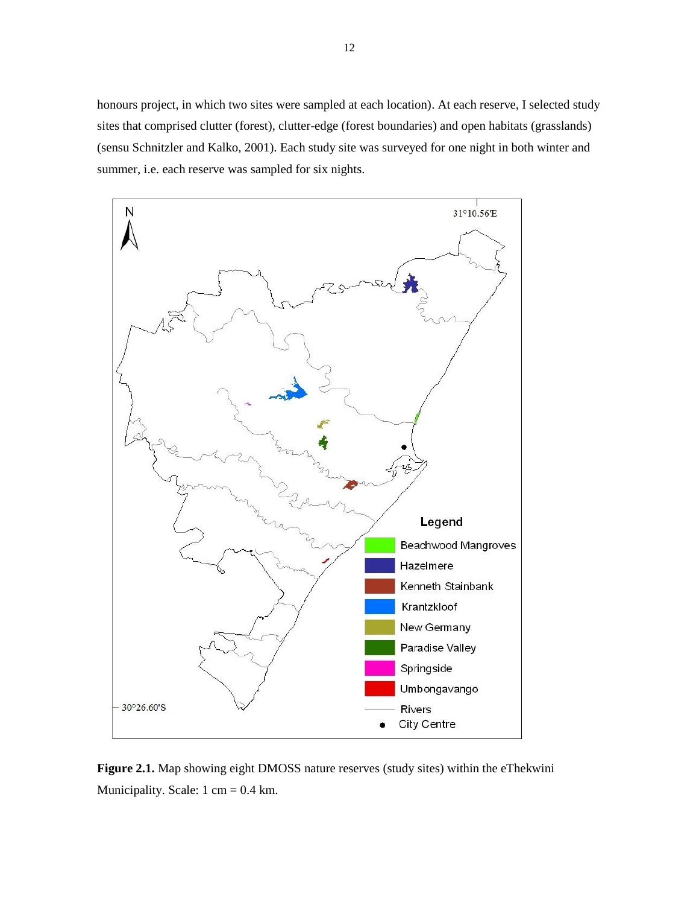honours project, in which two sites were sampled at each location). At each reserve, I selected study sites that comprised clutter (forest), clutter-edge (forest boundaries) and open habitats (grasslands) (sensu Schnitzler and Kalko, 2001). Each study site was surveyed for one night in both winter and summer, i.e. each reserve was sampled for six nights.



**Figure 2.1.** Map showing eight DMOSS nature reserves (study sites) within the eThekwini Municipality. Scale:  $1 \text{ cm} = 0.4 \text{ km}$ .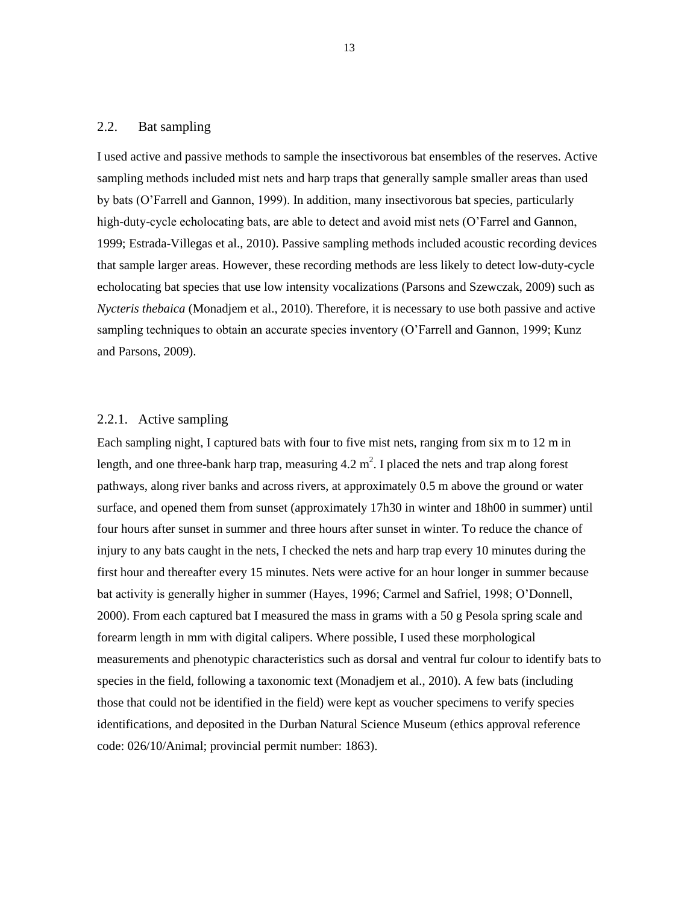### 2.2. Bat sampling

I used active and passive methods to sample the insectivorous bat ensembles of the reserves. Active sampling methods included mist nets and harp traps that generally sample smaller areas than used by bats (O"Farrell and Gannon, 1999). In addition, many insectivorous bat species, particularly high-duty-cycle echolocating bats, are able to detect and avoid mist nets (O'Farrel and Gannon, 1999; Estrada-Villegas et al., 2010). Passive sampling methods included acoustic recording devices that sample larger areas. However, these recording methods are less likely to detect low-duty-cycle echolocating bat species that use low intensity vocalizations (Parsons and Szewczak, 2009) such as *Nycteris thebaica* (Monadjem et al., 2010). Therefore, it is necessary to use both passive and active sampling techniques to obtain an accurate species inventory (O'Farrell and Gannon, 1999; Kunz and Parsons, 2009).

#### 2.2.1. Active sampling

Each sampling night, I captured bats with four to five mist nets, ranging from six m to 12 m in length, and one three-bank harp trap, measuring  $4.2 \text{ m}^2$ . I placed the nets and trap along forest pathways, along river banks and across rivers, at approximately 0.5 m above the ground or water surface, and opened them from sunset (approximately 17h30 in winter and 18h00 in summer) until four hours after sunset in summer and three hours after sunset in winter. To reduce the chance of injury to any bats caught in the nets, I checked the nets and harp trap every 10 minutes during the first hour and thereafter every 15 minutes. Nets were active for an hour longer in summer because bat activity is generally higher in summer (Hayes, 1996; Carmel and Safriel, 1998; O"Donnell, 2000). From each captured bat I measured the mass in grams with a 50 g Pesola spring scale and forearm length in mm with digital calipers. Where possible, I used these morphological measurements and phenotypic characteristics such as dorsal and ventral fur colour to identify bats to species in the field, following a taxonomic text (Monadjem et al., 2010). A few bats (including those that could not be identified in the field) were kept as voucher specimens to verify species identifications, and deposited in the Durban Natural Science Museum (ethics approval reference code: 026/10/Animal; provincial permit number: 1863).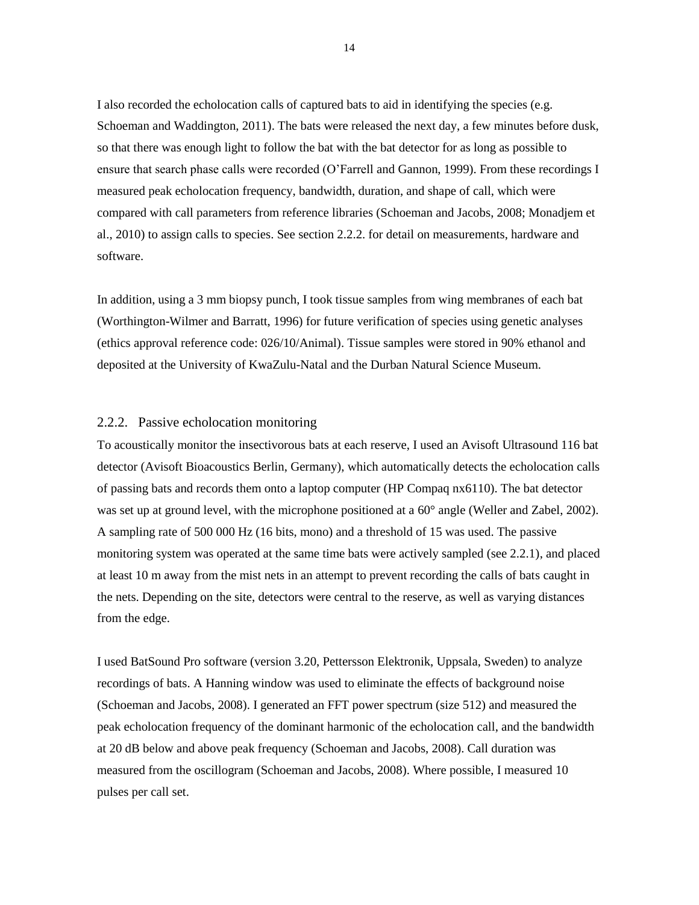I also recorded the echolocation calls of captured bats to aid in identifying the species (e.g. Schoeman and Waddington, 2011). The bats were released the next day, a few minutes before dusk, so that there was enough light to follow the bat with the bat detector for as long as possible to ensure that search phase calls were recorded (O"Farrell and Gannon, 1999). From these recordings I measured peak echolocation frequency, bandwidth, duration, and shape of call, which were compared with call parameters from reference libraries (Schoeman and Jacobs, 2008; Monadjem et al., 2010) to assign calls to species. See section 2.2.2. for detail on measurements, hardware and software.

In addition, using a 3 mm biopsy punch, I took tissue samples from wing membranes of each bat (Worthington-Wilmer and Barratt, 1996) for future verification of species using genetic analyses (ethics approval reference code: 026/10/Animal). Tissue samples were stored in 90% ethanol and deposited at the University of KwaZulu-Natal and the Durban Natural Science Museum.

#### 2.2.2. Passive echolocation monitoring

To acoustically monitor the insectivorous bats at each reserve, I used an Avisoft Ultrasound 116 bat detector (Avisoft Bioacoustics Berlin, Germany), which automatically detects the echolocation calls of passing bats and records them onto a laptop computer (HP Compaq nx6110). The bat detector was set up at ground level, with the microphone positioned at a  $60^{\circ}$  angle (Weller and Zabel, 2002). A sampling rate of 500 000 Hz (16 bits, mono) and a threshold of 15 was used. The passive monitoring system was operated at the same time bats were actively sampled (see 2.2.1), and placed at least 10 m away from the mist nets in an attempt to prevent recording the calls of bats caught in the nets. Depending on the site, detectors were central to the reserve, as well as varying distances from the edge.

I used BatSound Pro software (version 3.20, Pettersson Elektronik, Uppsala, Sweden) to analyze recordings of bats. A Hanning window was used to eliminate the effects of background noise (Schoeman and Jacobs, 2008). I generated an FFT power spectrum (size 512) and measured the peak echolocation frequency of the dominant harmonic of the echolocation call, and the bandwidth at 20 dB below and above peak frequency (Schoeman and Jacobs, 2008). Call duration was measured from the oscillogram (Schoeman and Jacobs, 2008). Where possible, I measured 10 pulses per call set.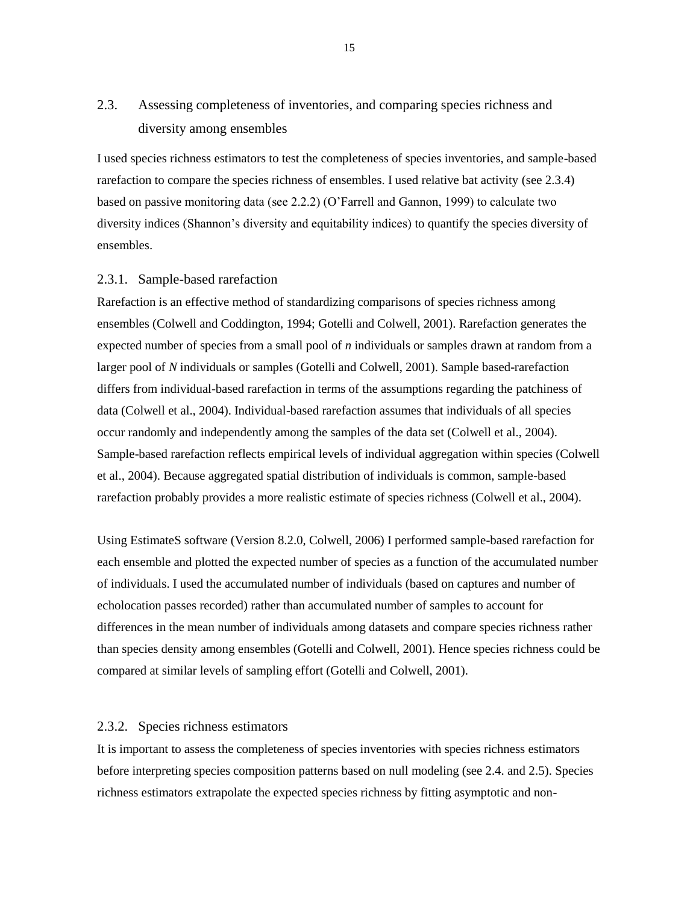# 2.3. Assessing completeness of inventories, and comparing species richness and diversity among ensembles

I used species richness estimators to test the completeness of species inventories, and sample-based rarefaction to compare the species richness of ensembles. I used relative bat activity (see 2.3.4) based on passive monitoring data (see 2.2.2) (O"Farrell and Gannon, 1999) to calculate two diversity indices (Shannon"s diversity and equitability indices) to quantify the species diversity of ensembles.

#### 2.3.1. Sample-based rarefaction

Rarefaction is an effective method of standardizing comparisons of species richness among ensembles (Colwell and Coddington, 1994; Gotelli and Colwell, 2001). Rarefaction generates the expected number of species from a small pool of *n* individuals or samples drawn at random from a larger pool of *N* individuals or samples (Gotelli and Colwell, 2001). Sample based-rarefaction differs from individual-based rarefaction in terms of the assumptions regarding the patchiness of data (Colwell et al., 2004). Individual-based rarefaction assumes that individuals of all species occur randomly and independently among the samples of the data set (Colwell et al., 2004). Sample-based rarefaction reflects empirical levels of individual aggregation within species (Colwell et al., 2004). Because aggregated spatial distribution of individuals is common, sample-based rarefaction probably provides a more realistic estimate of species richness (Colwell et al., 2004).

Using EstimateS software (Version 8.2.0, Colwell, 2006) I performed sample-based rarefaction for each ensemble and plotted the expected number of species as a function of the accumulated number of individuals. I used the accumulated number of individuals (based on captures and number of echolocation passes recorded) rather than accumulated number of samples to account for differences in the mean number of individuals among datasets and compare species richness rather than species density among ensembles (Gotelli and Colwell, 2001). Hence species richness could be compared at similar levels of sampling effort (Gotelli and Colwell, 2001).

#### 2.3.2. Species richness estimators

It is important to assess the completeness of species inventories with species richness estimators before interpreting species composition patterns based on null modeling (see 2.4. and 2.5). Species richness estimators extrapolate the expected species richness by fitting asymptotic and non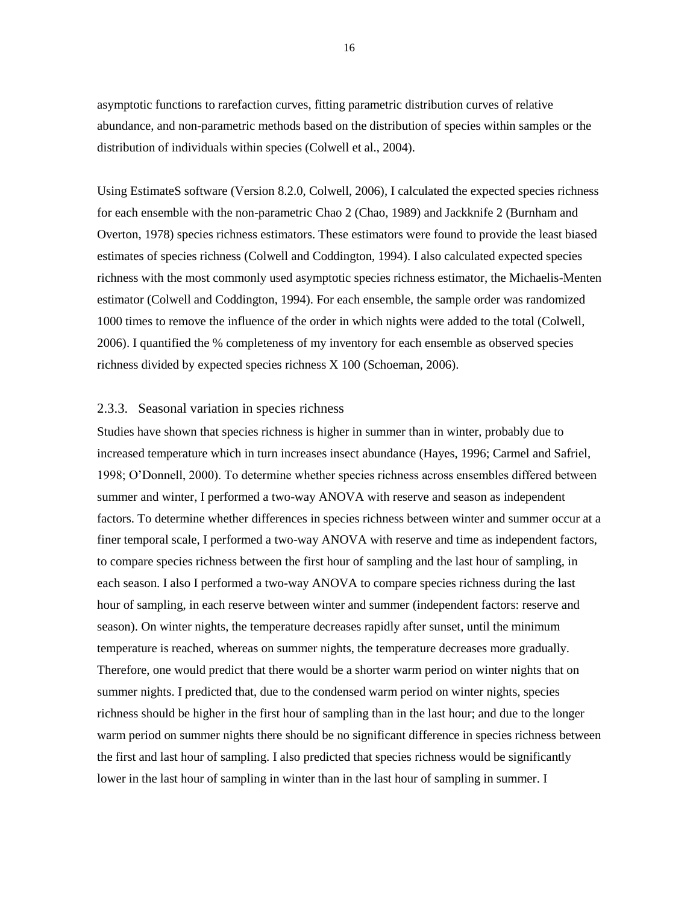asymptotic functions to rarefaction curves, fitting parametric distribution curves of relative abundance, and non-parametric methods based on the distribution of species within samples or the distribution of individuals within species (Colwell et al., 2004).

Using EstimateS software (Version 8.2.0, Colwell, 2006), I calculated the expected species richness for each ensemble with the non-parametric Chao 2 (Chao, 1989) and Jackknife 2 (Burnham and Overton, 1978) species richness estimators. These estimators were found to provide the least biased estimates of species richness (Colwell and Coddington, 1994). I also calculated expected species richness with the most commonly used asymptotic species richness estimator, the Michaelis-Menten estimator (Colwell and Coddington, 1994). For each ensemble, the sample order was randomized 1000 times to remove the influence of the order in which nights were added to the total (Colwell, 2006). I quantified the % completeness of my inventory for each ensemble as observed species richness divided by expected species richness X 100 (Schoeman, 2006).

#### 2.3.3. Seasonal variation in species richness

Studies have shown that species richness is higher in summer than in winter, probably due to increased temperature which in turn increases insect abundance (Hayes, 1996; Carmel and Safriel, 1998; O"Donnell, 2000). To determine whether species richness across ensembles differed between summer and winter, I performed a two-way ANOVA with reserve and season as independent factors. To determine whether differences in species richness between winter and summer occur at a finer temporal scale, I performed a two-way ANOVA with reserve and time as independent factors, to compare species richness between the first hour of sampling and the last hour of sampling, in each season. I also I performed a two-way ANOVA to compare species richness during the last hour of sampling, in each reserve between winter and summer (independent factors: reserve and season). On winter nights, the temperature decreases rapidly after sunset, until the minimum temperature is reached, whereas on summer nights, the temperature decreases more gradually. Therefore, one would predict that there would be a shorter warm period on winter nights that on summer nights. I predicted that, due to the condensed warm period on winter nights, species richness should be higher in the first hour of sampling than in the last hour; and due to the longer warm period on summer nights there should be no significant difference in species richness between the first and last hour of sampling. I also predicted that species richness would be significantly lower in the last hour of sampling in winter than in the last hour of sampling in summer. I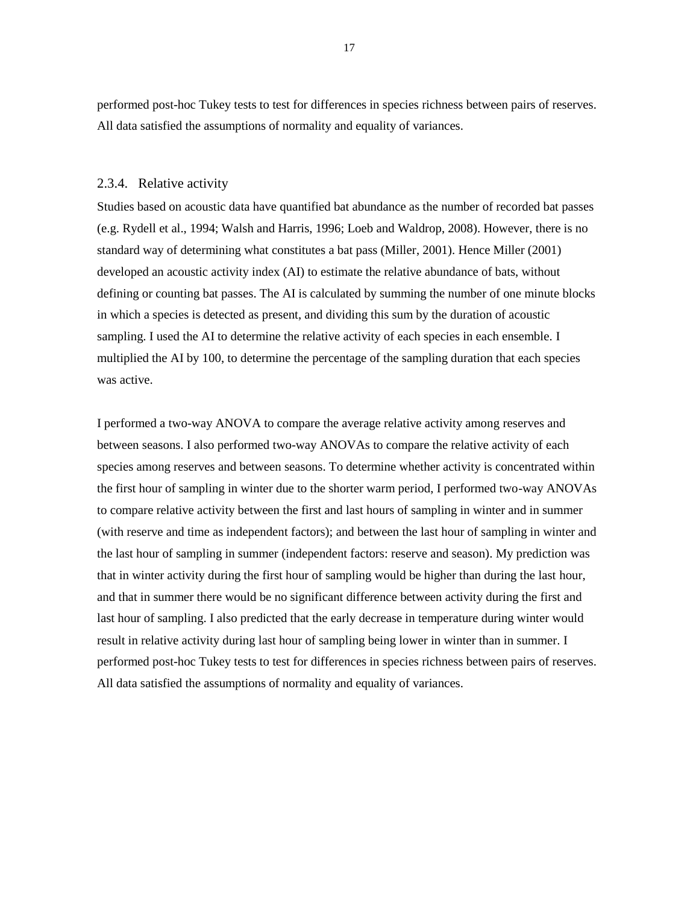performed post-hoc Tukey tests to test for differences in species richness between pairs of reserves. All data satisfied the assumptions of normality and equality of variances.

#### 2.3.4. Relative activity

Studies based on acoustic data have quantified bat abundance as the number of recorded bat passes (e.g. Rydell et al., 1994; Walsh and Harris, 1996; Loeb and Waldrop, 2008). However, there is no standard way of determining what constitutes a bat pass (Miller, 2001). Hence Miller (2001) developed an acoustic activity index (AI) to estimate the relative abundance of bats, without defining or counting bat passes. The AI is calculated by summing the number of one minute blocks in which a species is detected as present, and dividing this sum by the duration of acoustic sampling. I used the AI to determine the relative activity of each species in each ensemble. I multiplied the AI by 100, to determine the percentage of the sampling duration that each species was active.

I performed a two-way ANOVA to compare the average relative activity among reserves and between seasons. I also performed two-way ANOVAs to compare the relative activity of each species among reserves and between seasons. To determine whether activity is concentrated within the first hour of sampling in winter due to the shorter warm period, I performed two-way ANOVAs to compare relative activity between the first and last hours of sampling in winter and in summer (with reserve and time as independent factors); and between the last hour of sampling in winter and the last hour of sampling in summer (independent factors: reserve and season). My prediction was that in winter activity during the first hour of sampling would be higher than during the last hour, and that in summer there would be no significant difference between activity during the first and last hour of sampling. I also predicted that the early decrease in temperature during winter would result in relative activity during last hour of sampling being lower in winter than in summer. I performed post-hoc Tukey tests to test for differences in species richness between pairs of reserves. All data satisfied the assumptions of normality and equality of variances.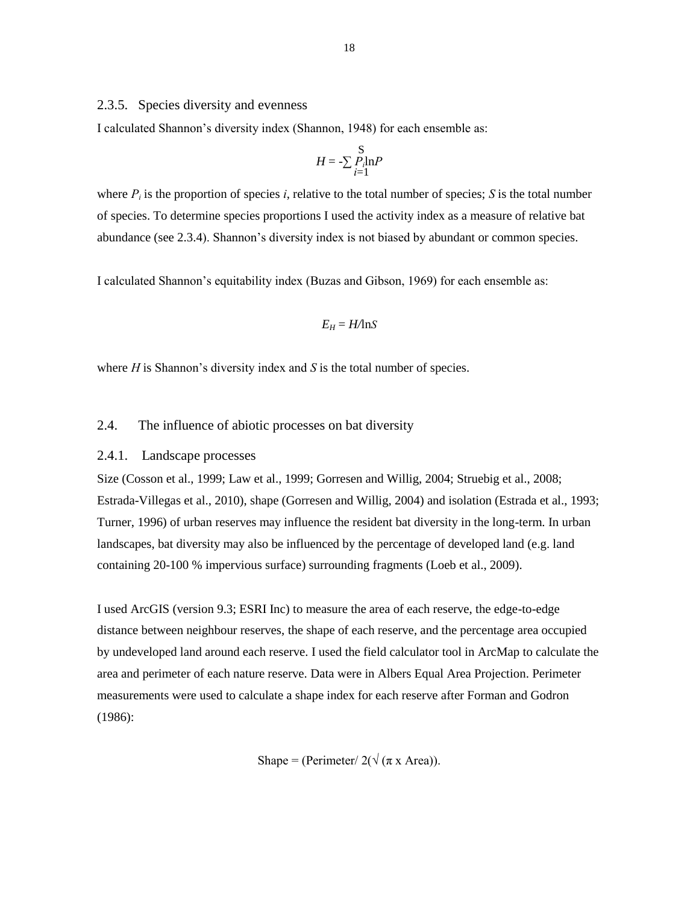#### 2.3.5. Species diversity and evenness

I calculated Shannon"s diversity index (Shannon, 1948) for each ensemble as:

$$
H = -\sum_{i=1}^{S} P_i \ln P
$$

where  $P_i$  is the proportion of species *i*, relative to the total number of species; *S* is the total number of species. To determine species proportions I used the activity index as a measure of relative bat abundance (see 2.3.4). Shannon"s diversity index is not biased by abundant or common species.

I calculated Shannon"s equitability index (Buzas and Gibson, 1969) for each ensemble as:

$$
E_H = H/\text{ln}S
$$

where  $H$  is Shannon's diversity index and  $S$  is the total number of species.

#### 2.4. The influence of abiotic processes on bat diversity

#### 2.4.1. Landscape processes

Size (Cosson et al., 1999; Law et al., 1999; Gorresen and Willig, 2004; Struebig et al., 2008; Estrada-Villegas et al., 2010), shape (Gorresen and Willig, 2004) and isolation (Estrada et al., 1993; Turner, 1996) of urban reserves may influence the resident bat diversity in the long-term. In urban landscapes, bat diversity may also be influenced by the percentage of developed land (e.g. land containing 20-100 % impervious surface) surrounding fragments (Loeb et al., 2009).

I used ArcGIS (version 9.3; ESRI Inc) to measure the area of each reserve, the edge-to-edge distance between neighbour reserves, the shape of each reserve, and the percentage area occupied by undeveloped land around each reserve. I used the field calculator tool in ArcMap to calculate the area and perimeter of each nature reserve. Data were in Albers Equal Area Projection. Perimeter measurements were used to calculate a shape index for each reserve after Forman and Godron (1986):

Shape = (Perimeter/  $2(\sqrt{\pi} x \text{ Area})$ ).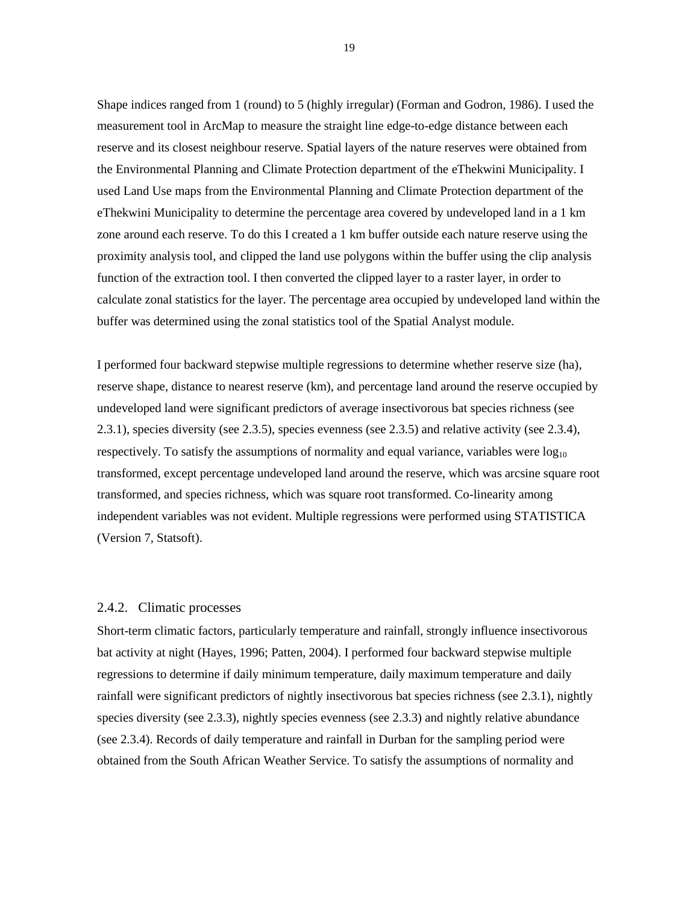Shape indices ranged from 1 (round) to 5 (highly irregular) (Forman and Godron, 1986). I used the measurement tool in ArcMap to measure the straight line edge-to-edge distance between each reserve and its closest neighbour reserve. Spatial layers of the nature reserves were obtained from the Environmental Planning and Climate Protection department of the eThekwini Municipality. I used Land Use maps from the Environmental Planning and Climate Protection department of the eThekwini Municipality to determine the percentage area covered by undeveloped land in a 1 km zone around each reserve. To do this I created a 1 km buffer outside each nature reserve using the proximity analysis tool, and clipped the land use polygons within the buffer using the clip analysis function of the extraction tool. I then converted the clipped layer to a raster layer, in order to calculate zonal statistics for the layer. The percentage area occupied by undeveloped land within the buffer was determined using the zonal statistics tool of the Spatial Analyst module.

I performed four backward stepwise multiple regressions to determine whether reserve size (ha), reserve shape, distance to nearest reserve (km), and percentage land around the reserve occupied by undeveloped land were significant predictors of average insectivorous bat species richness (see 2.3.1), species diversity (see 2.3.5), species evenness (see 2.3.5) and relative activity (see 2.3.4), respectively. To satisfy the assumptions of normality and equal variance, variables were  $log_{10}$ transformed, except percentage undeveloped land around the reserve, which was arcsine square root transformed, and species richness, which was square root transformed. Co-linearity among independent variables was not evident. Multiple regressions were performed using STATISTICA (Version 7, Statsoft).

#### 2.4.2. Climatic processes

Short-term climatic factors, particularly temperature and rainfall, strongly influence insectivorous bat activity at night (Hayes, 1996; Patten, 2004). I performed four backward stepwise multiple regressions to determine if daily minimum temperature, daily maximum temperature and daily rainfall were significant predictors of nightly insectivorous bat species richness (see 2.3.1), nightly species diversity (see 2.3.3), nightly species evenness (see 2.3.3) and nightly relative abundance (see 2.3.4). Records of daily temperature and rainfall in Durban for the sampling period were obtained from the South African Weather Service. To satisfy the assumptions of normality and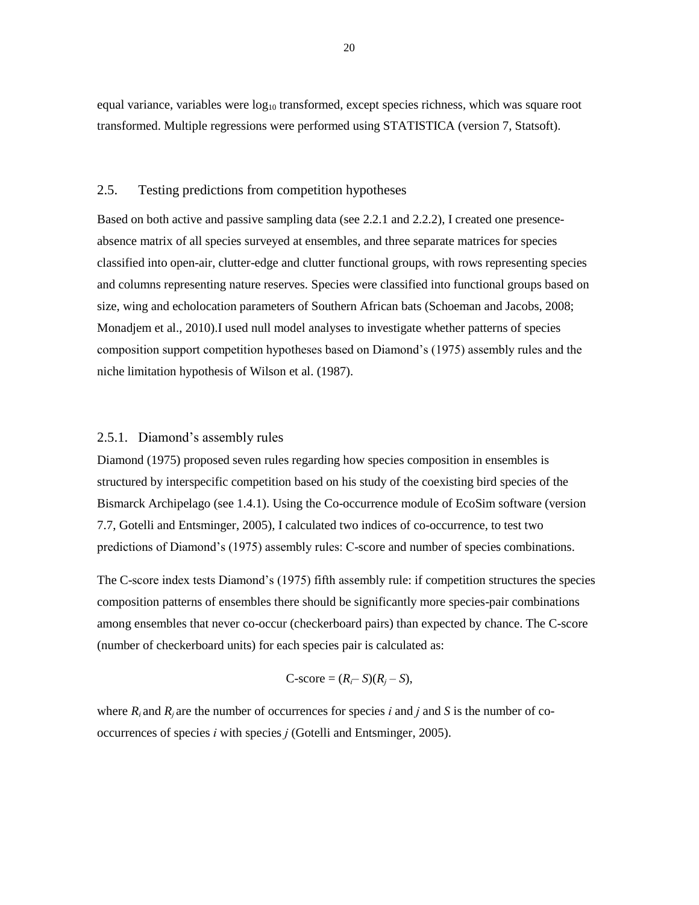equal variance, variables were  $log_{10}$  transformed, except species richness, which was square root transformed. Multiple regressions were performed using STATISTICA (version 7, Statsoft).

#### 2.5. Testing predictions from competition hypotheses

Based on both active and passive sampling data (see 2.2.1 and 2.2.2), I created one presenceabsence matrix of all species surveyed at ensembles, and three separate matrices for species classified into open-air, clutter-edge and clutter functional groups, with rows representing species and columns representing nature reserves. Species were classified into functional groups based on size, wing and echolocation parameters of Southern African bats (Schoeman and Jacobs, 2008; Monadjem et al., 2010).I used null model analyses to investigate whether patterns of species composition support competition hypotheses based on Diamond"s (1975) assembly rules and the niche limitation hypothesis of Wilson et al. (1987).

#### 2.5.1. Diamond"s assembly rules

Diamond (1975) proposed seven rules regarding how species composition in ensembles is structured by interspecific competition based on his study of the coexisting bird species of the Bismarck Archipelago (see 1.4.1). Using the Co-occurrence module of EcoSim software (version 7.7, Gotelli and Entsminger, 2005), I calculated two indices of co-occurrence, to test two predictions of Diamond's (1975) assembly rules: C-score and number of species combinations.

The C-score index tests Diamond"s (1975) fifth assembly rule: if competition structures the species composition patterns of ensembles there should be significantly more species-pair combinations among ensembles that never co-occur (checkerboard pairs) than expected by chance. The C-score (number of checkerboard units) for each species pair is calculated as:

$$
C\text{-score} = (R_i - S)(R_j - S),
$$

where  $R_i$  and  $R_i$  are the number of occurrences for species *i* and *j* and *S* is the number of cooccurrences of species *i* with species *j* (Gotelli and Entsminger, 2005).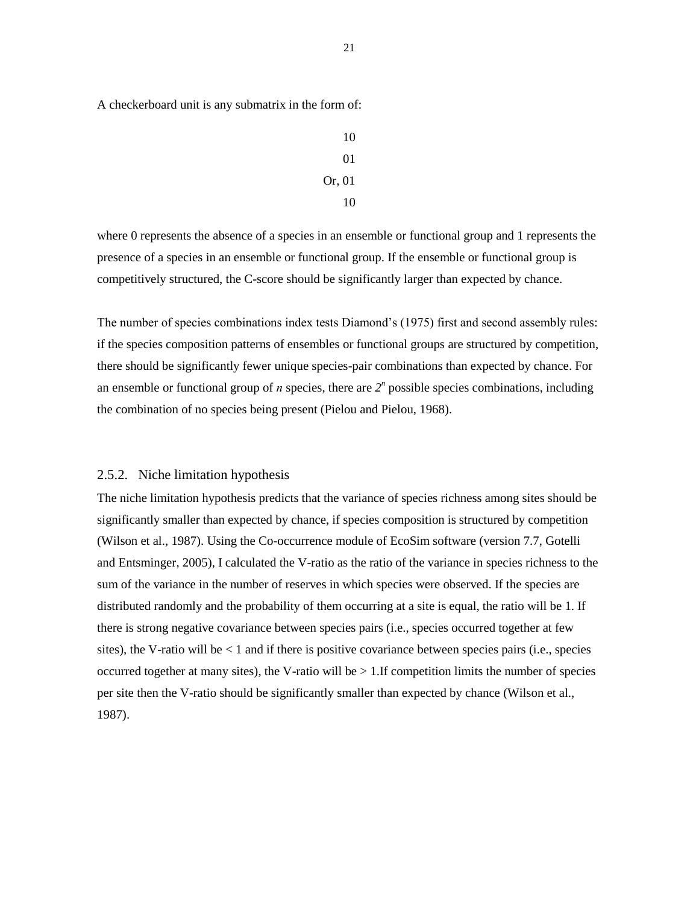A checkerboard unit is any submatrix in the form of:

where 0 represents the absence of a species in an ensemble or functional group and 1 represents the presence of a species in an ensemble or functional group. If the ensemble or functional group is competitively structured, the C-score should be significantly larger than expected by chance.

The number of species combinations index tests Diamond"s (1975) first and second assembly rules: if the species composition patterns of ensembles or functional groups are structured by competition, there should be significantly fewer unique species-pair combinations than expected by chance. For an ensemble or functional group of  $n$  species, there are  $2^n$  possible species combinations, including the combination of no species being present (Pielou and Pielou, 1968).

#### 2.5.2. Niche limitation hypothesis

The niche limitation hypothesis predicts that the variance of species richness among sites should be significantly smaller than expected by chance, if species composition is structured by competition (Wilson et al., 1987). Using the Co-occurrence module of EcoSim software (version 7.7, Gotelli and Entsminger, 2005), I calculated the V-ratio as the ratio of the variance in species richness to the sum of the variance in the number of reserves in which species were observed. If the species are distributed randomly and the probability of them occurring at a site is equal, the ratio will be 1. If there is strong negative covariance between species pairs (i.e., species occurred together at few sites), the V-ratio will be < 1 and if there is positive covariance between species pairs (i.e., species occurred together at many sites), the V-ratio will be  $> 1$ . If competition limits the number of species per site then the V-ratio should be significantly smaller than expected by chance (Wilson et al., 1987).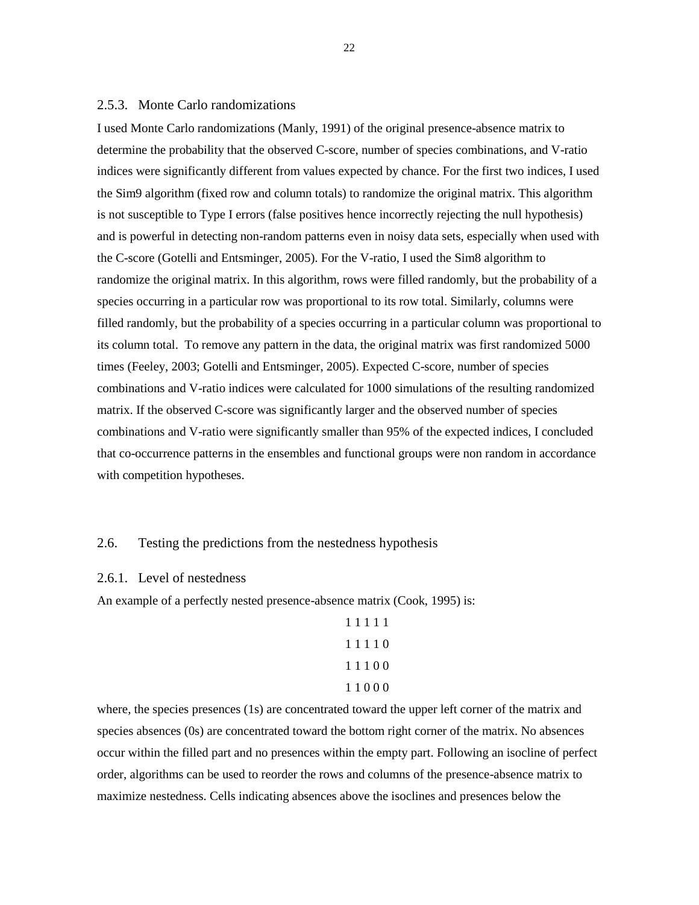#### 2.5.3. Monte Carlo randomizations

I used Monte Carlo randomizations (Manly, 1991) of the original presence-absence matrix to determine the probability that the observed C-score, number of species combinations, and V-ratio indices were significantly different from values expected by chance. For the first two indices, I used the Sim9 algorithm (fixed row and column totals) to randomize the original matrix. This algorithm is not susceptible to Type I errors (false positives hence incorrectly rejecting the null hypothesis) and is powerful in detecting non-random patterns even in noisy data sets, especially when used with the C-score (Gotelli and Entsminger, 2005). For the V-ratio, I used the Sim8 algorithm to randomize the original matrix. In this algorithm, rows were filled randomly, but the probability of a species occurring in a particular row was proportional to its row total. Similarly, columns were filled randomly, but the probability of a species occurring in a particular column was proportional to its column total. To remove any pattern in the data, the original matrix was first randomized 5000 times (Feeley, 2003; Gotelli and Entsminger, 2005). Expected C-score, number of species combinations and V-ratio indices were calculated for 1000 simulations of the resulting randomized matrix. If the observed C-score was significantly larger and the observed number of species combinations and V-ratio were significantly smaller than 95% of the expected indices, I concluded that co-occurrence patterns in the ensembles and functional groups were non random in accordance with competition hypotheses.

### 2.6. Testing the predictions from the nestedness hypothesis

#### 2.6.1. Level of nestedness

An example of a perfectly nested presence-absence matrix (Cook, 1995) is:

where, the species presences (1s) are concentrated toward the upper left corner of the matrix and species absences (0s) are concentrated toward the bottom right corner of the matrix. No absences occur within the filled part and no presences within the empty part. Following an isocline of perfect order, algorithms can be used to reorder the rows and columns of the presence-absence matrix to maximize nestedness. Cells indicating absences above the isoclines and presences below the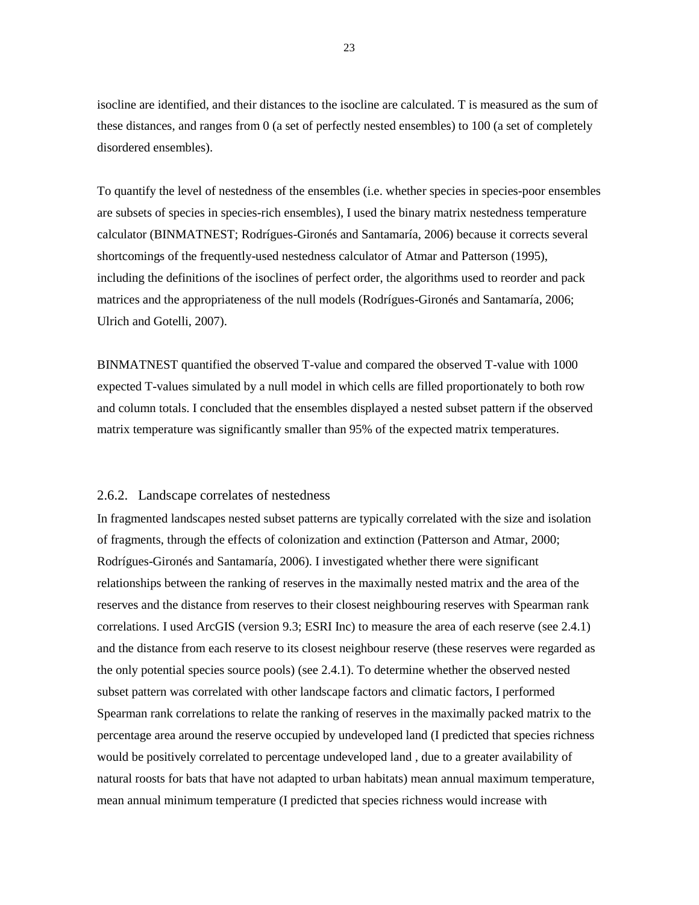isocline are identified, and their distances to the isocline are calculated. T is measured as the sum of these distances, and ranges from 0 (a set of perfectly nested ensembles) to 100 (a set of completely disordered ensembles).

To quantify the level of nestedness of the ensembles (i.e. whether species in species-poor ensembles are subsets of species in species-rich ensembles), I used the binary matrix nestedness temperature calculator (BINMATNEST; Rodrígues-Gironés and Santamaría, 2006) because it corrects several shortcomings of the frequently-used nestedness calculator of Atmar and Patterson (1995), including the definitions of the isoclines of perfect order, the algorithms used to reorder and pack matrices and the appropriateness of the null models (Rodrígues-Gironés and Santamaría, 2006; Ulrich and Gotelli, 2007).

BINMATNEST quantified the observed T-value and compared the observed T-value with 1000 expected T-values simulated by a null model in which cells are filled proportionately to both row and column totals. I concluded that the ensembles displayed a nested subset pattern if the observed matrix temperature was significantly smaller than 95% of the expected matrix temperatures.

#### 2.6.2. Landscape correlates of nestedness

In fragmented landscapes nested subset patterns are typically correlated with the size and isolation of fragments, through the effects of colonization and extinction (Patterson and Atmar, 2000; Rodrígues-Gironés and Santamaría, 2006). I investigated whether there were significant relationships between the ranking of reserves in the maximally nested matrix and the area of the reserves and the distance from reserves to their closest neighbouring reserves with Spearman rank correlations. I used ArcGIS (version 9.3; ESRI Inc) to measure the area of each reserve (see 2.4.1) and the distance from each reserve to its closest neighbour reserve (these reserves were regarded as the only potential species source pools) (see 2.4.1). To determine whether the observed nested subset pattern was correlated with other landscape factors and climatic factors, I performed Spearman rank correlations to relate the ranking of reserves in the maximally packed matrix to the percentage area around the reserve occupied by undeveloped land (I predicted that species richness would be positively correlated to percentage undeveloped land , due to a greater availability of natural roosts for bats that have not adapted to urban habitats) mean annual maximum temperature, mean annual minimum temperature (I predicted that species richness would increase with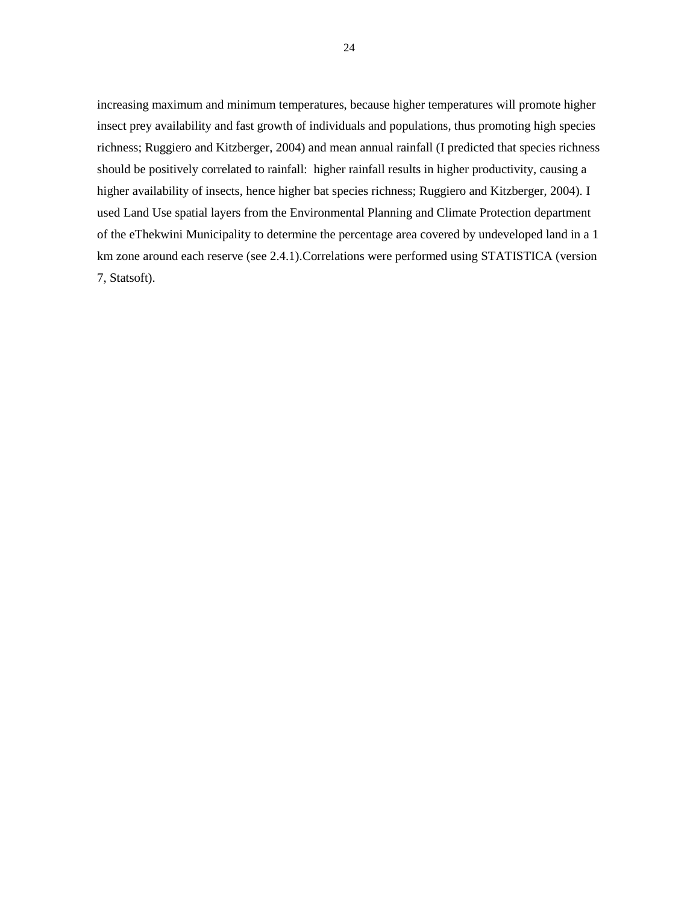increasing maximum and minimum temperatures, because higher temperatures will promote higher insect prey availability and fast growth of individuals and populations, thus promoting high species richness; Ruggiero and Kitzberger, 2004) and mean annual rainfall (I predicted that species richness should be positively correlated to rainfall: higher rainfall results in higher productivity, causing a higher availability of insects, hence higher bat species richness; Ruggiero and Kitzberger, 2004). I used Land Use spatial layers from the Environmental Planning and Climate Protection department of the eThekwini Municipality to determine the percentage area covered by undeveloped land in a 1 km zone around each reserve (see 2.4.1).Correlations were performed using STATISTICA (version 7, Statsoft).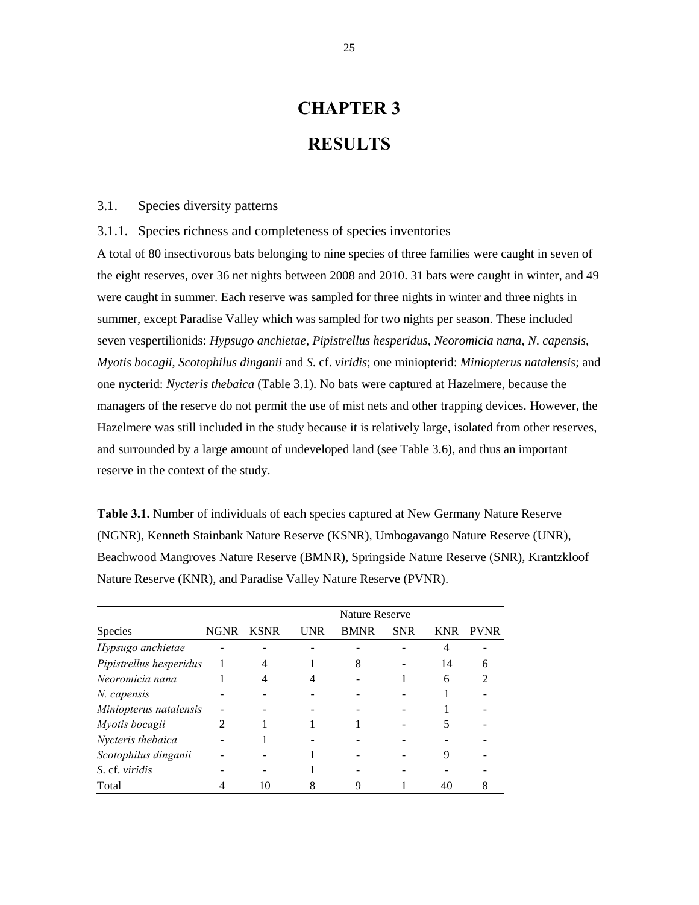# **CHAPTER 3 RESULTS**

#### 3.1. Species diversity patterns

3.1.1. Species richness and completeness of species inventories

A total of 80 insectivorous bats belonging to nine species of three families were caught in seven of the eight reserves, over 36 net nights between 2008 and 2010. 31 bats were caught in winter, and 49 were caught in summer. Each reserve was sampled for three nights in winter and three nights in summer, except Paradise Valley which was sampled for two nights per season. These included seven vespertilionids: *Hypsugo anchietae*, *Pipistrellus hesperidus*, *Neoromicia nana*, *N*. *capensis*, *Myotis bocagii*, *Scotophilus dinganii* and *S*. cf. *viridis*; one miniopterid: *Miniopterus natalensis*; and one nycterid: *Nycteris thebaica* (Table 3.1). No bats were captured at Hazelmere, because the managers of the reserve do not permit the use of mist nets and other trapping devices. However, the Hazelmere was still included in the study because it is relatively large, isolated from other reserves, and surrounded by a large amount of undeveloped land (see Table 3.6), and thus an important reserve in the context of the study.

**Table 3.1.** Number of individuals of each species captured at New Germany Nature Reserve (NGNR), Kenneth Stainbank Nature Reserve (KSNR), Umbogavango Nature Reserve (UNR), Beachwood Mangroves Nature Reserve (BMNR), Springside Nature Reserve (SNR), Krantzkloof Nature Reserve (KNR), and Paradise Valley Nature Reserve (PVNR).

|                         |             | <b>Nature Reserve</b> |            |             |            |            |             |
|-------------------------|-------------|-----------------------|------------|-------------|------------|------------|-------------|
| Species                 | <b>NGNR</b> | <b>KSNR</b>           | <b>UNR</b> | <b>BMNR</b> | <b>SNR</b> | <b>KNR</b> | <b>PVNR</b> |
| Hypsugo anchietae       |             |                       |            |             |            |            |             |
| Pipistrellus hesperidus |             |                       |            | 8           |            | 14         | 6           |
| Neoromicia nana         |             | 4                     |            |             |            | 6          |             |
| N. capensis             |             |                       |            |             |            |            |             |
| Miniopterus natalensis  |             |                       |            |             |            |            |             |
| Myotis bocagii          |             |                       |            |             |            |            |             |
| Nycteris thebaica       |             |                       |            |             |            |            |             |
| Scotophilus dinganii    |             |                       |            |             |            |            |             |
| S. cf. viridis          |             |                       |            |             |            |            |             |
| Total                   |             | 10                    | 8          | 9           |            | 40         |             |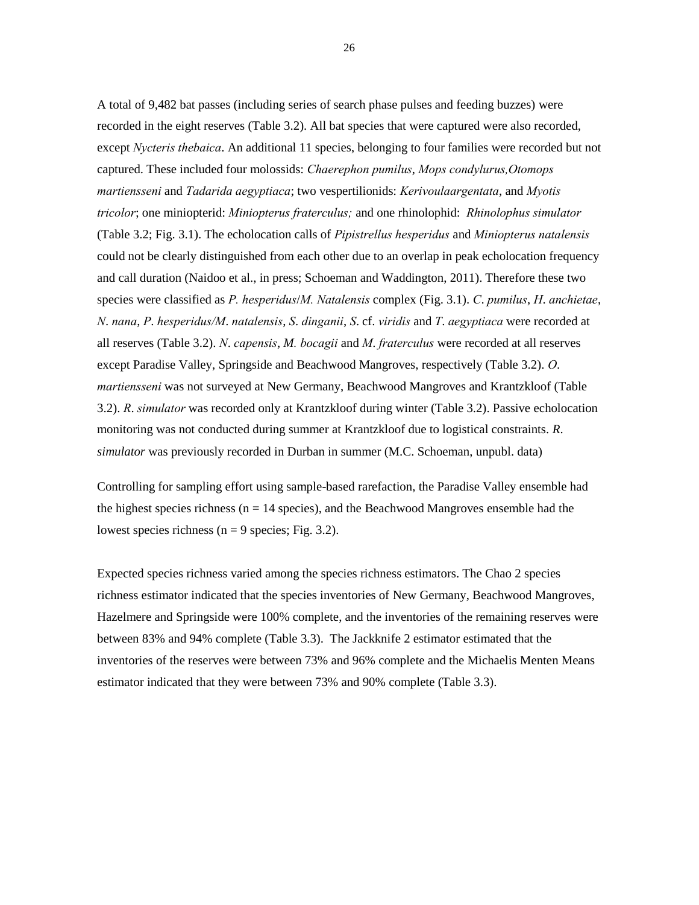A total of 9,482 bat passes (including series of search phase pulses and feeding buzzes) were recorded in the eight reserves (Table 3.2). All bat species that were captured were also recorded, except *Nycteris thebaica*. An additional 11 species, belonging to four families were recorded but not captured. These included four molossids: *Chaerephon pumilus*, *Mops condylurus,Otomops martiensseni* and *Tadarida aegyptiaca*; two vespertilionids: *Kerivoulaargentata*, and *Myotis tricolor*; one miniopterid: *Miniopterus fraterculus;* and one rhinolophid: *Rhinolophus simulator* (Table 3.2; Fig. 3.1). The echolocation calls of *Pipistrellus hesperidus* and *Miniopterus natalensis* could not be clearly distinguished from each other due to an overlap in peak echolocation frequency and call duration (Naidoo et al., in press; Schoeman and Waddington, 2011). Therefore these two species were classified as *P. hesperidus*/*M. Natalensis* complex (Fig. 3.1). *C*. *pumilus*, *H*. *anchietae*, *N*. *nana*, *P*. *hesperidus/M*. *natalensis*, *S*. *dinganii*, *S*. cf. *viridis* and *T*. *aegyptiaca* were recorded at all reserves (Table 3.2). *N*. *capensis*, *M. bocagii* and *M*. *fraterculus* were recorded at all reserves except Paradise Valley, Springside and Beachwood Mangroves, respectively (Table 3.2). *O*. *martiensseni* was not surveyed at New Germany, Beachwood Mangroves and Krantzkloof (Table 3.2). *R*. *simulator* was recorded only at Krantzkloof during winter (Table 3.2). Passive echolocation monitoring was not conducted during summer at Krantzkloof due to logistical constraints. *R*. *simulator* was previously recorded in Durban in summer (M.C. Schoeman, unpubl. data)

Controlling for sampling effort using sample-based rarefaction, the Paradise Valley ensemble had the highest species richness ( $n = 14$  species), and the Beachwood Mangroves ensemble had the lowest species richness ( $n = 9$  species; Fig. 3.2).

Expected species richness varied among the species richness estimators. The Chao 2 species richness estimator indicated that the species inventories of New Germany, Beachwood Mangroves, Hazelmere and Springside were 100% complete, and the inventories of the remaining reserves were between 83% and 94% complete (Table 3.3). The Jackknife 2 estimator estimated that the inventories of the reserves were between 73% and 96% complete and the Michaelis Menten Means estimator indicated that they were between 73% and 90% complete (Table 3.3).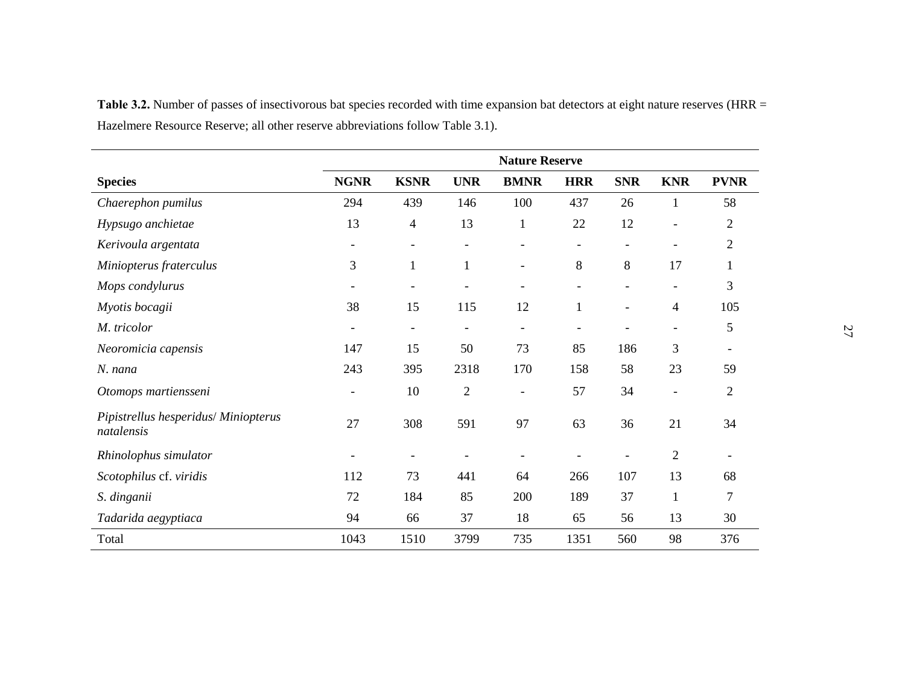|                                                    | <b>Nature Reserve</b>    |                          |                          |                          |                          |            |                          |                          |
|----------------------------------------------------|--------------------------|--------------------------|--------------------------|--------------------------|--------------------------|------------|--------------------------|--------------------------|
| <b>Species</b>                                     | <b>NGNR</b>              | <b>KSNR</b>              | <b>UNR</b>               | <b>BMNR</b>              | <b>HRR</b>               | <b>SNR</b> | <b>KNR</b>               | <b>PVNR</b>              |
| Chaerephon pumilus                                 | 294                      | 439                      | 146                      | 100                      | 437                      | 26         | 1                        | 58                       |
| Hypsugo anchietae                                  | 13                       | $\overline{4}$           | 13                       | $\mathbf{1}$             | 22                       | 12         | $\overline{a}$           | $\overline{2}$           |
| Kerivoula argentata                                | $\overline{\phantom{a}}$ | $\overline{\phantom{a}}$ | $\overline{\phantom{a}}$ | $\overline{\phantom{a}}$ | $\overline{\phantom{a}}$ |            | $\overline{\phantom{a}}$ | $\overline{2}$           |
| Miniopterus fraterculus                            | 3                        | $\mathbf{1}$             | $\mathbf{1}$             | $\overline{\phantom{a}}$ | 8                        | $8\,$      | 17                       | 1                        |
| Mops condylurus                                    | $\overline{\phantom{a}}$ | $\overline{\phantom{a}}$ | $\overline{\phantom{a}}$ | $\overline{\phantom{a}}$ | $\overline{\phantom{a}}$ |            | $\overline{\phantom{a}}$ | 3                        |
| Myotis bocagii                                     | 38                       | 15                       | 115                      | 12                       | $\mathbf{1}$             |            | 4                        | 105                      |
| M. tricolor                                        | $\overline{\phantom{a}}$ | $\overline{\phantom{a}}$ |                          | $\overline{\phantom{a}}$ |                          |            |                          | 5                        |
| Neoromicia capensis                                | 147                      | 15                       | 50                       | 73                       | 85                       | 186        | 3                        | $\overline{\phantom{a}}$ |
| N. nana                                            | 243                      | 395                      | 2318                     | 170                      | 158                      | 58         | 23                       | 59                       |
| Otomops martiensseni                               |                          | 10                       | $\overline{2}$           |                          | 57                       | 34         |                          | $\overline{2}$           |
| Pipistrellus hesperidus/ Miniopterus<br>natalensis | 27                       | 308                      | 591                      | 97                       | 63                       | 36         | 21                       | 34                       |
| Rhinolophus simulator                              |                          |                          |                          |                          |                          |            | $\overline{2}$           |                          |
| Scotophilus cf. viridis                            | 112                      | 73                       | 441                      | 64                       | 266                      | 107        | 13                       | 68                       |
| S. dinganii                                        | 72                       | 184                      | 85                       | 200                      | 189                      | 37         | $\mathbf{1}$             | $\overline{7}$           |
| Tadarida aegyptiaca                                | 94                       | 66                       | 37                       | 18                       | 65                       | 56         | 13                       | 30                       |
| Total                                              | 1043                     | 1510                     | 3799                     | 735                      | 1351                     | 560        | 98                       | 376                      |

Table 3.2. Number of passes of insectivorous bat species recorded with time expansion bat detectors at eight nature reserves (HRR = Hazelmere Resource Reserve; all other reserve abbreviations follow Table 3.1).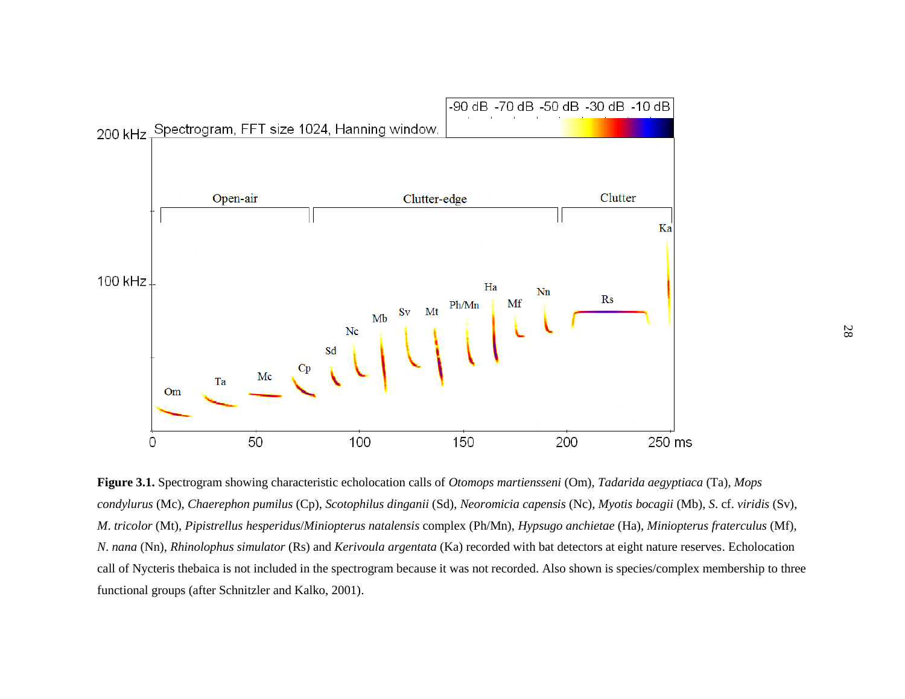

**Figure 3.1.** Spectrogram showing characteristic echolocation calls of *Otomops martiensseni* (Om), *Tadarida aegyptiaca* (Ta), *Mops condylurus* (Mc), *Chaerephon pumilus* (Cp), *Scotophilus dinganii* (Sd), *Neoromicia capensis* (Nc), *Myotis bocagii* (Mb), *S*. cf. *viridis* (Sv), *M*. *tricolor* (Mt), *Pipistrellus hesperidus*/*Miniopterus natalensis* complex (Ph/Mn), *Hypsugo anchietae* (Ha), *Miniopterus fraterculus* (Mf), *N*. *nana* (Nn), *Rhinolophus simulator* (Rs) and *Kerivoula argentata* (Ka) recorded with bat detectors at eight nature reserves. Echolocation call of Nycteris thebaica is not included in the spectrogram because it was not recorded. Also shown is species/complex membership to three functional groups (after Schnitzler and Kalko, 2001).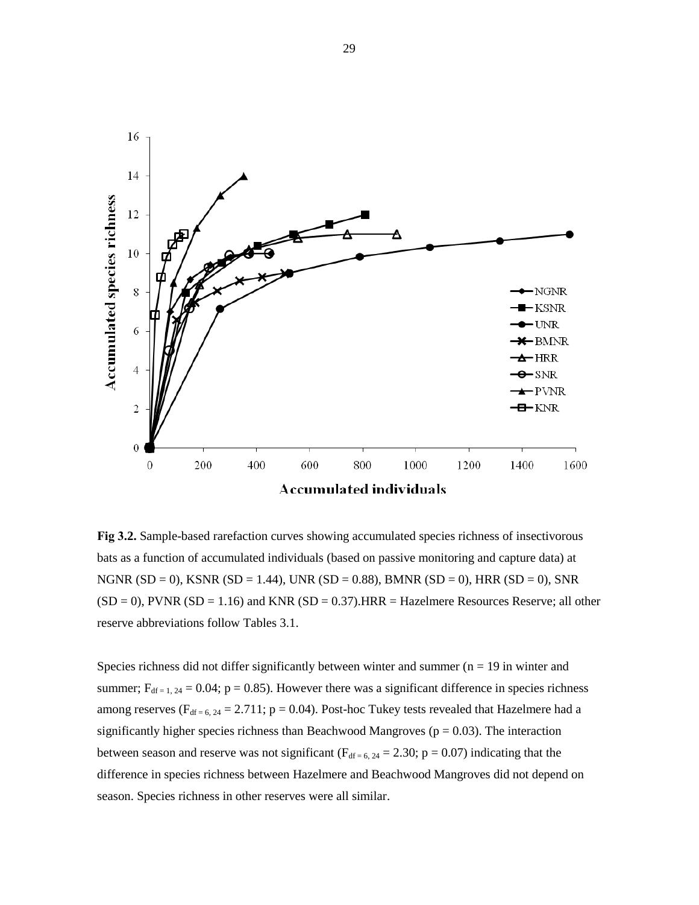

**Fig 3.2.** Sample-based rarefaction curves showing accumulated species richness of insectivorous bats as a function of accumulated individuals (based on passive monitoring and capture data) at NGNR (SD = 0), KSNR (SD = 1.44), UNR (SD = 0.88), BMNR (SD = 0), HRR (SD = 0), SNR  $(SD = 0)$ , PVNR  $(SD = 1.16)$  and KNR  $(SD = 0.37)$ . HRR = Hazelmere Resources Reserve; all other reserve abbreviations follow Tables 3.1.

Species richness did not differ significantly between winter and summer  $(n = 19)$  in winter and summer;  $F_{df=1, 24} = 0.04$ ;  $p = 0.85$ ). However there was a significant difference in species richness among reserves ( $F_{df = 6, 24} = 2.711$ ; p = 0.04). Post-hoc Tukey tests revealed that Hazelmere had a significantly higher species richness than Beachwood Mangroves ( $p = 0.03$ ). The interaction between season and reserve was not significant ( $F_{df = 6, 24} = 2.30$ ;  $p = 0.07$ ) indicating that the difference in species richness between Hazelmere and Beachwood Mangroves did not depend on season. Species richness in other reserves were all similar.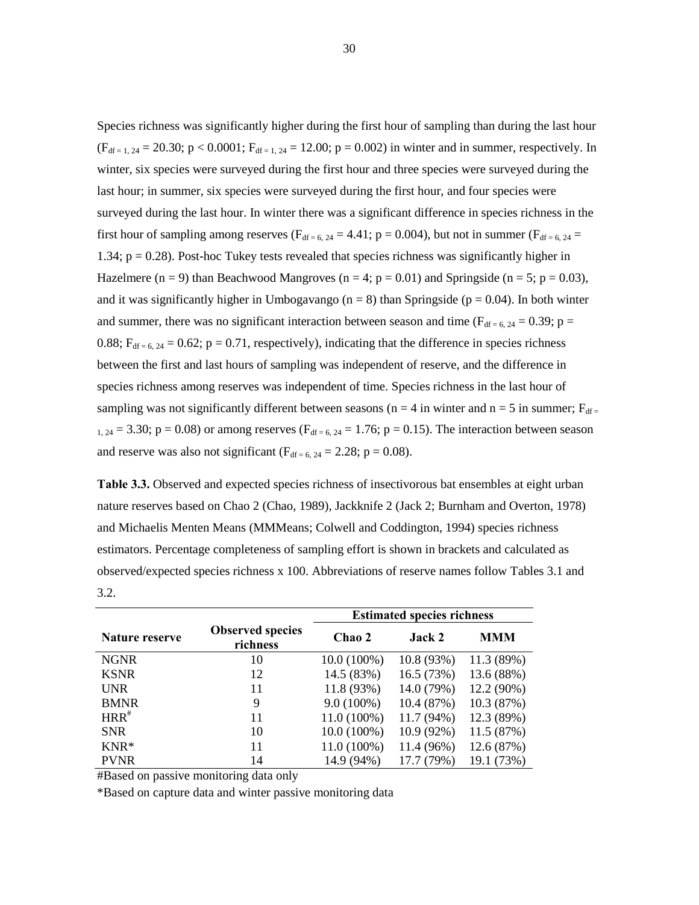Species richness was significantly higher during the first hour of sampling than during the last hour  $(F_{df=1, 24} = 20.30; p < 0.0001; F_{df=1, 24} = 12.00; p = 0.002)$  in winter and in summer, respectively. In winter, six species were surveyed during the first hour and three species were surveyed during the last hour; in summer, six species were surveyed during the first hour, and four species were surveyed during the last hour. In winter there was a significant difference in species richness in the first hour of sampling among reserves ( $F_{df = 6, 24} = 4.41$ ; p = 0.004), but not in summer ( $F_{df = 6, 24}$  = 1.34;  $p = 0.28$ ). Post-hoc Tukey tests revealed that species richness was significantly higher in Hazelmere (n = 9) than Beachwood Mangroves (n = 4; p = 0.01) and Springside (n = 5; p = 0.03), and it was significantly higher in Umbogavango ( $n = 8$ ) than Springside ( $p = 0.04$ ). In both winter and summer, there was no significant interaction between season and time ( $F_{df = 6, 24} = 0.39$ ; p = 0.88;  $F_{df = 6, 24} = 0.62$ ;  $p = 0.71$ , respectively), indicating that the difference in species richness between the first and last hours of sampling was independent of reserve, and the difference in species richness among reserves was independent of time. Species richness in the last hour of sampling was not significantly different between seasons (n = 4 in winter and n = 5 in summer;  $F_{df}$  $_{1, 24} = 3.30$ ; p = 0.08) or among reserves ( $F_{df = 6, 24} = 1.76$ ; p = 0.15). The interaction between season and reserve was also not significant ( $F_{df = 6, 24} = 2.28$ ; p = 0.08).

**Table 3.3.** Observed and expected species richness of insectivorous bat ensembles at eight urban nature reserves based on Chao 2 (Chao, 1989), Jackknife 2 (Jack 2; Burnham and Overton, 1978) and Michaelis Menten Means (MMMeans; Colwell and Coddington, 1994) species richness estimators. Percentage completeness of sampling effort is shown in brackets and calculated as observed/expected species richness x 100. Abbreviations of reserve names follow Tables 3.1 and 3.2.

|                |                                     | <b>Estimated species richness</b> |              |            |  |  |  |
|----------------|-------------------------------------|-----------------------------------|--------------|------------|--|--|--|
| Nature reserve | <b>Observed species</b><br>richness | Chao 2                            | Jack 2       | <b>MMM</b> |  |  |  |
| <b>NGNR</b>    | 10                                  | $10.0(100\%)$                     | 10.8(93%)    | 11.3 (89%) |  |  |  |
| <b>KSNR</b>    | 12                                  | 14.5 (83%)                        | 16.5(73%)    | 13.6 (88%) |  |  |  |
| <b>UNR</b>     | 11                                  | 11.8 (93%)                        | 14.0 (79%)   | 12.2 (90%) |  |  |  |
| <b>BMNR</b>    | 9                                   | $9.0(100\%)$                      | 10.4 (87%)   | 10.3 (87%) |  |  |  |
| $HRR^*$        | 11                                  | $11.0(100\%)$                     | $11.7(94\%)$ | 12.3 (89%) |  |  |  |
| <b>SNR</b>     | 10                                  | $10.0(100\%)$                     | $10.9(92\%)$ | 11.5(87%)  |  |  |  |
| $KNR*$         | 11                                  | $11.0(100\%)$                     | 11.4 (96%)   | 12.6 (87%) |  |  |  |
| <b>PVNR</b>    | 14                                  | 14.9 (94%)                        | 17.7 (79%)   | 19.1 (73%) |  |  |  |

#Based on passive monitoring data only

\*Based on capture data and winter passive monitoring data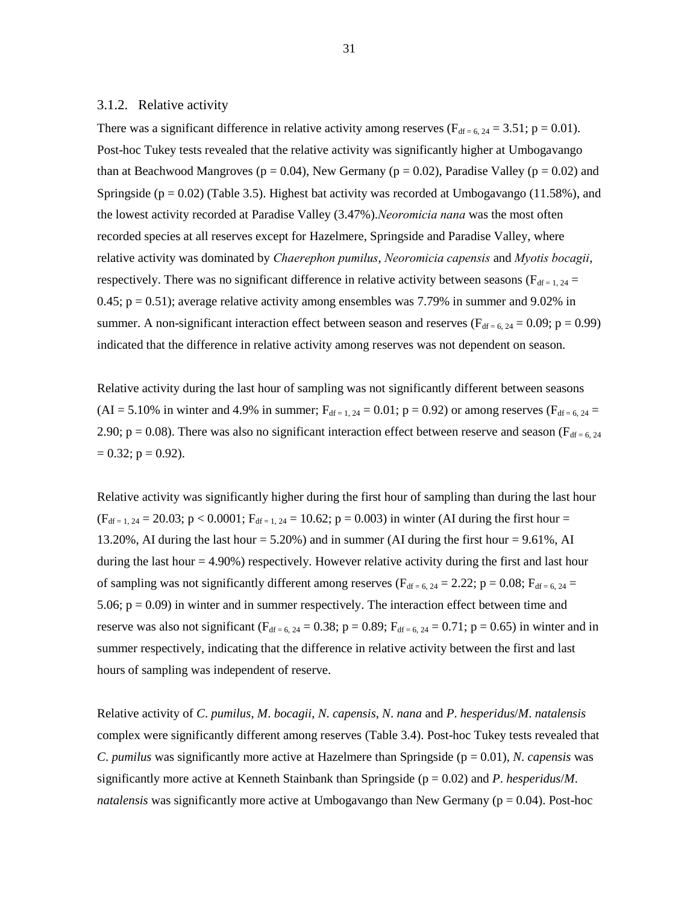#### 3.1.2. Relative activity

There was a significant difference in relative activity among reserves ( $F_{df = 6, 24} = 3.51$ ; p = 0.01). Post-hoc Tukey tests revealed that the relative activity was significantly higher at Umbogavango than at Beachwood Mangroves ( $p = 0.04$ ), New Germany ( $p = 0.02$ ), Paradise Valley ( $p = 0.02$ ) and Springside ( $p = 0.02$ ) (Table 3.5). Highest bat activity was recorded at Umbogavango (11.58%), and the lowest activity recorded at Paradise Valley (3.47%).*Neoromicia nana* was the most often recorded species at all reserves except for Hazelmere, Springside and Paradise Valley, where relative activity was dominated by *Chaerephon pumilus*, *Neoromicia capensis* and *Myotis bocagii*, respectively. There was no significant difference in relative activity between seasons ( $F_{df} = 1.24$  = 0.45;  $p = 0.51$ ); average relative activity among ensembles was 7.79% in summer and 9.02% in summer. A non-significant interaction effect between season and reserves ( $F_{df = 6, 24} = 0.09$ ; p = 0.99) indicated that the difference in relative activity among reserves was not dependent on season.

Relative activity during the last hour of sampling was not significantly different between seasons  $(AI = 5.10\%$  in winter and 4.9% in summer;  $F_{df=1, 24} = 0.01$ ;  $p = 0.92$ ) or among reserves ( $F_{df=6, 24} =$ 2.90;  $p = 0.08$ ). There was also no significant interaction effect between reserve and season ( $F_{df = 6, 24}$ )  $= 0.32$ ; p  $= 0.92$ ).

Relative activity was significantly higher during the first hour of sampling than during the last hour  $(F_{df=1, 24} = 20.03; p < 0.0001; F_{df=1, 24} = 10.62; p = 0.003)$  in winter (AI during the first hour = 13.20%, AI during the last hour = 5.20%) and in summer (AI during the first hour = 9.61%, AI during the last hour  $= 4.90\%$ ) respectively. However relative activity during the first and last hour of sampling was not significantly different among reserves ( $F_{df = 6, 24} = 2.22$ ; p = 0.08;  $F_{df = 6, 24}$  = 5.06;  $p = 0.09$ ) in winter and in summer respectively. The interaction effect between time and reserve was also not significant ( $F_{df = 6, 24} = 0.38$ ; p = 0.89;  $F_{df = 6, 24} = 0.71$ ; p = 0.65) in winter and in summer respectively, indicating that the difference in relative activity between the first and last hours of sampling was independent of reserve.

Relative activity of *C*. *pumilus*, *M*. *bocagii*, *N*. *capensis*, *N*. *nana* and *P*. *hesperidus*/*M*. *natalensis* complex were significantly different among reserves (Table 3.4). Post-hoc Tukey tests revealed that *C*. *pumilus* was significantly more active at Hazelmere than Springside ( $p = 0.01$ ), *N. capensis* was significantly more active at Kenneth Stainbank than Springside (p = 0.02) and *P*. *hesperidus*/*M*. *natalensis* was significantly more active at Umbogavango than New Germany ( $p = 0.04$ ). Post-hoc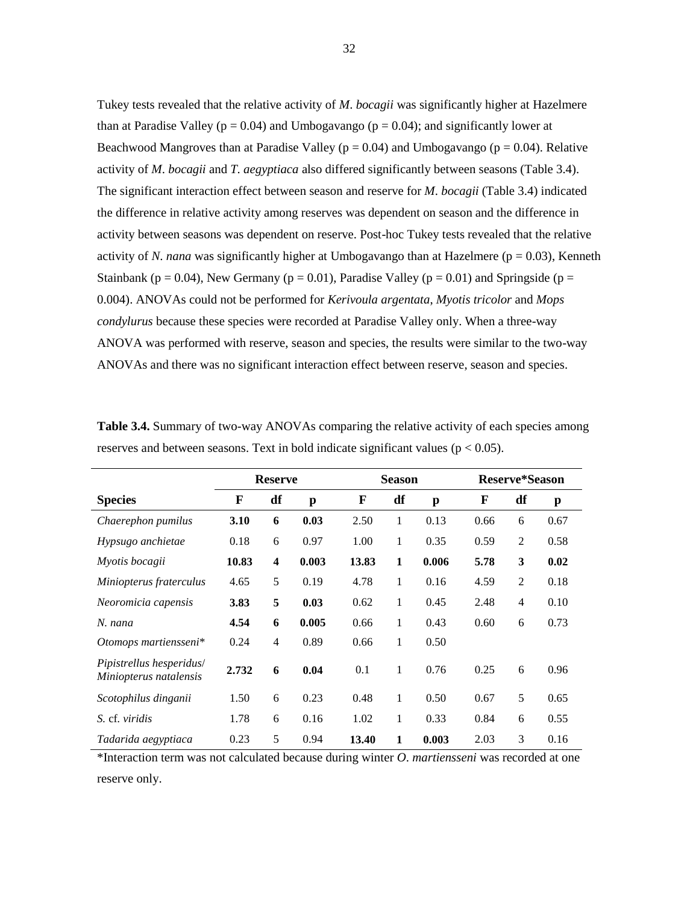Tukey tests revealed that the relative activity of *M*. *bocagii* was significantly higher at Hazelmere than at Paradise Valley ( $p = 0.04$ ) and Umbogavango ( $p = 0.04$ ); and significantly lower at Beachwood Mangroves than at Paradise Valley ( $p = 0.04$ ) and Umbogavango ( $p = 0.04$ ). Relative activity of *M*. *bocagii* and *T*. *aegyptiaca* also differed significantly between seasons (Table 3.4). The significant interaction effect between season and reserve for *M*. *bocagii* (Table 3.4) indicated the difference in relative activity among reserves was dependent on season and the difference in activity between seasons was dependent on reserve. Post-hoc Tukey tests revealed that the relative activity of *N*. *nana* was significantly higher at Umbogavango than at Hazelmere ( $p = 0.03$ ), Kenneth Stainbank ( $p = 0.04$ ), New Germany ( $p = 0.01$ ), Paradise Valley ( $p = 0.01$ ) and Springside ( $p =$ 0.004). ANOVAs could not be performed for *Kerivoula argentata*, *Myotis tricolor* and *Mops condylurus* because these species were recorded at Paradise Valley only. When a three-way ANOVA was performed with reserve, season and species, the results were similar to the two-way ANOVAs and there was no significant interaction effect between reserve, season and species.

|                                                    |       | <b>Reserve</b>          |       | <b>Season</b> |    |       | <b>Reserve*Season</b> |                |      |
|----------------------------------------------------|-------|-------------------------|-------|---------------|----|-------|-----------------------|----------------|------|
| <b>Species</b>                                     | F     | df                      | p     | F             | df | p     | F                     | df             | p    |
| Chaerephon pumilus                                 | 3.10  | 6                       | 0.03  | 2.50          | 1  | 0.13  | 0.66                  | 6              | 0.67 |
| Hypsugo anchietae                                  | 0.18  | 6                       | 0.97  | 1.00          | 1  | 0.35  | 0.59                  | 2              | 0.58 |
| Myotis bocagii                                     | 10.83 | $\overline{\mathbf{4}}$ | 0.003 | 13.83         | 1  | 0.006 | 5.78                  | 3              | 0.02 |
| Miniopterus fraterculus                            | 4.65  | 5                       | 0.19  | 4.78          | 1  | 0.16  | 4.59                  | $\overline{2}$ | 0.18 |
| Neoromicia capensis                                | 3.83  | 5                       | 0.03  | 0.62          | 1  | 0.45  | 2.48                  | $\overline{4}$ | 0.10 |
| N. nana                                            | 4.54  | 6                       | 0.005 | 0.66          | 1  | 0.43  | 0.60                  | 6              | 0.73 |
| Otomops martiensseni*                              | 0.24  | $\overline{4}$          | 0.89  | 0.66          | 1  | 0.50  |                       |                |      |
| Pipistrellus hesperidus/<br>Miniopterus natalensis | 2.732 | 6                       | 0.04  | 0.1           | 1  | 0.76  | 0.25                  | 6              | 0.96 |
| Scotophilus dinganii                               | 1.50  | 6                       | 0.23  | 0.48          | 1  | 0.50  | 0.67                  | 5              | 0.65 |
| S. cf. viridis                                     | 1.78  | 6                       | 0.16  | 1.02          | 1  | 0.33  | 0.84                  | 6              | 0.55 |
| Tadarida aegyptiaca                                | 0.23  | 5                       | 0.94  | 13.40         | 1  | 0.003 | 2.03                  | 3              | 0.16 |

**Table 3.4.** Summary of two-way ANOVAs comparing the relative activity of each species among reserves and between seasons. Text in bold indicate significant values ( $p < 0.05$ ).

\*Interaction term was not calculated because during winter *O*. *martiensseni* was recorded at one reserve only.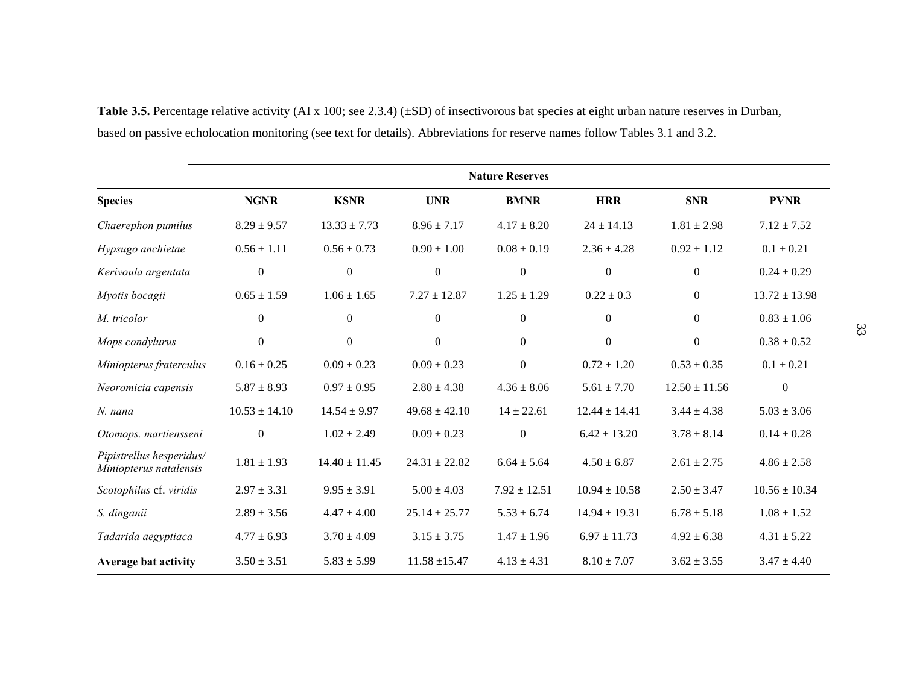|                                                    |                   |                   |                   | <b>Nature Reserves</b> |                   |                   |                   |
|----------------------------------------------------|-------------------|-------------------|-------------------|------------------------|-------------------|-------------------|-------------------|
| <b>Species</b>                                     | <b>NGNR</b>       | <b>KSNR</b>       | <b>UNR</b>        | <b>BMNR</b>            | <b>HRR</b>        | <b>SNR</b>        | <b>PVNR</b>       |
| Chaerephon pumilus                                 | $8.29 \pm 9.57$   | $13.33 \pm 7.73$  | $8.96 \pm 7.17$   | $4.17 \pm 8.20$        | $24 \pm 14.13$    | $1.81 \pm 2.98$   | $7.12 \pm 7.52$   |
| Hypsugo anchietae                                  | $0.56 \pm 1.11$   | $0.56 \pm 0.73$   | $0.90 \pm 1.00$   | $0.08 \pm 0.19$        | $2.36 \pm 4.28$   | $0.92 \pm 1.12$   | $0.1 \pm 0.21$    |
| Kerivoula argentata                                | $\theta$          | $\overline{0}$    | $\mathbf{0}$      | $\boldsymbol{0}$       | $\overline{0}$    | $\overline{0}$    | $0.24 \pm 0.29$   |
| Myotis bocagii                                     | $0.65 \pm 1.59$   | $1.06 \pm 1.65$   | $7.27 \pm 12.87$  | $1.25 \pm 1.29$        | $0.22 \pm 0.3$    | $\overline{0}$    | $13.72 \pm 13.98$ |
| M. tricolor                                        | $\theta$          | $\theta$          | $\Omega$          | $\overline{0}$         | $\overline{0}$    | $\Omega$          | $0.83 \pm 1.06$   |
| Mops condylurus                                    | $\boldsymbol{0}$  | $\overline{0}$    | $\Omega$          | $\mathbf{0}$           | $\overline{0}$    | $\Omega$          | $0.38 \pm 0.52$   |
| Miniopterus fraterculus                            | $0.16 \pm 0.25$   | $0.09 \pm 0.23$   | $0.09 \pm 0.23$   | $\boldsymbol{0}$       | $0.72 \pm 1.20$   | $0.53 \pm 0.35$   | $0.1 \pm 0.21$    |
| Neoromicia capensis                                | $5.87 \pm 8.93$   | $0.97 \pm 0.95$   | $2.80 \pm 4.38$   | $4.36 \pm 8.06$        | $5.61 \pm 7.70$   | $12.50 \pm 11.56$ | $\overline{0}$    |
| $N.$ nana                                          | $10.53 \pm 14.10$ | $14.54 \pm 9.97$  | $49.68 \pm 42.10$ | $14 \pm 22.61$         | $12.44 \pm 14.41$ | $3.44 \pm 4.38$   | $5.03 \pm 3.06$   |
| Otomops. martiensseni                              | $\boldsymbol{0}$  | $1.02 \pm 2.49$   | $0.09 \pm 0.23$   | $\boldsymbol{0}$       | $6.42 \pm 13.20$  | $3.78 \pm 8.14$   | $0.14 \pm 0.28$   |
| Pipistrellus hesperidus/<br>Miniopterus natalensis | $1.81 \pm 1.93$   | $14.40 \pm 11.45$ | $24.31 \pm 22.82$ | $6.64 \pm 5.64$        | $4.50 \pm 6.87$   | $2.61 \pm 2.75$   | $4.86 \pm 2.58$   |
| Scotophilus cf. viridis                            | $2.97 \pm 3.31$   | $9.95 \pm 3.91$   | $5.00 \pm 4.03$   | $7.92 \pm 12.51$       | $10.94 \pm 10.58$ | $2.50 \pm 3.47$   | $10.56 \pm 10.34$ |
| S. dinganii                                        | $2.89 \pm 3.56$   | $4.47 \pm 4.00$   | $25.14 \pm 25.77$ | $5.53 \pm 6.74$        | $14.94 \pm 19.31$ | $6.78 \pm 5.18$   | $1.08 \pm 1.52$   |
| Tadarida aegyptiaca                                | $4.77 \pm 6.93$   | $3.70 \pm 4.09$   | $3.15 \pm 3.75$   | $1.47 \pm 1.96$        | $6.97 \pm 11.73$  | $4.92 \pm 6.38$   | $4.31 \pm 5.22$   |
| <b>Average bat activity</b>                        | $3.50 \pm 3.51$   | $5.83 \pm 5.99$   | $11.58 \pm 15.47$ | $4.13 \pm 4.31$        | $8.10 \pm 7.07$   | $3.62 \pm 3.55$   | $3.47 \pm 4.40$   |

**Table 3.5.** Percentage relative activity (AI x 100; see 2.3.4) (±SD) of insectivorous bat species at eight urban nature reserves in Durban, based on passive echolocation monitoring (see text for details). Abbreviations for reserve names follow Tables 3.1 and 3.2.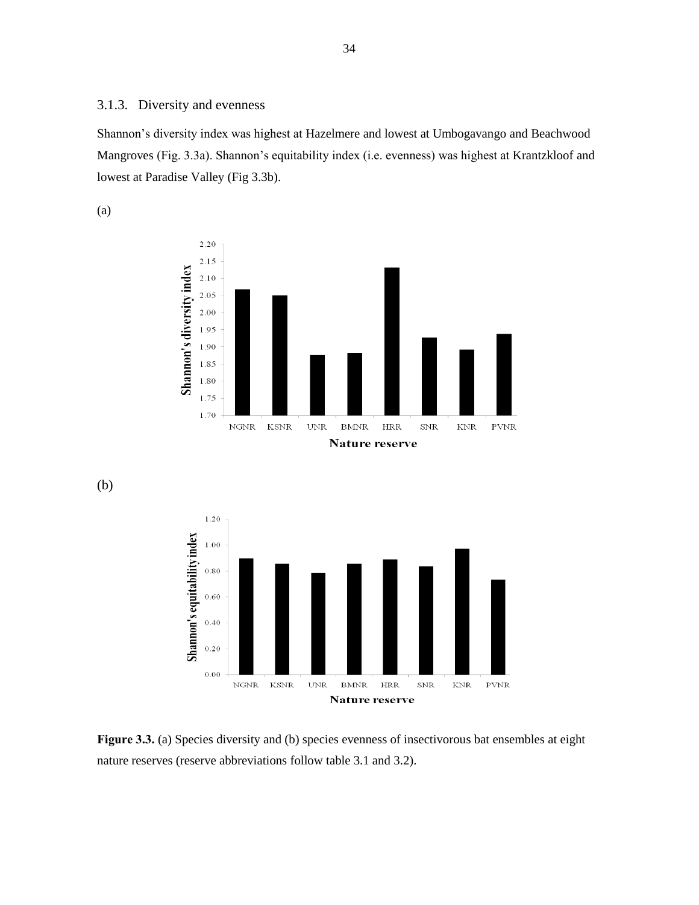#### 3.1.3. Diversity and evenness

Shannon"s diversity index was highest at Hazelmere and lowest at Umbogavango and Beachwood Mangroves (Fig. 3.3a). Shannon"s equitability index (i.e. evenness) was highest at Krantzkloof and lowest at Paradise Valley (Fig 3.3b).

(a)



(b)



Figure 3.3. (a) Species diversity and (b) species evenness of insectivorous bat ensembles at eight nature reserves (reserve abbreviations follow table 3.1 and 3.2).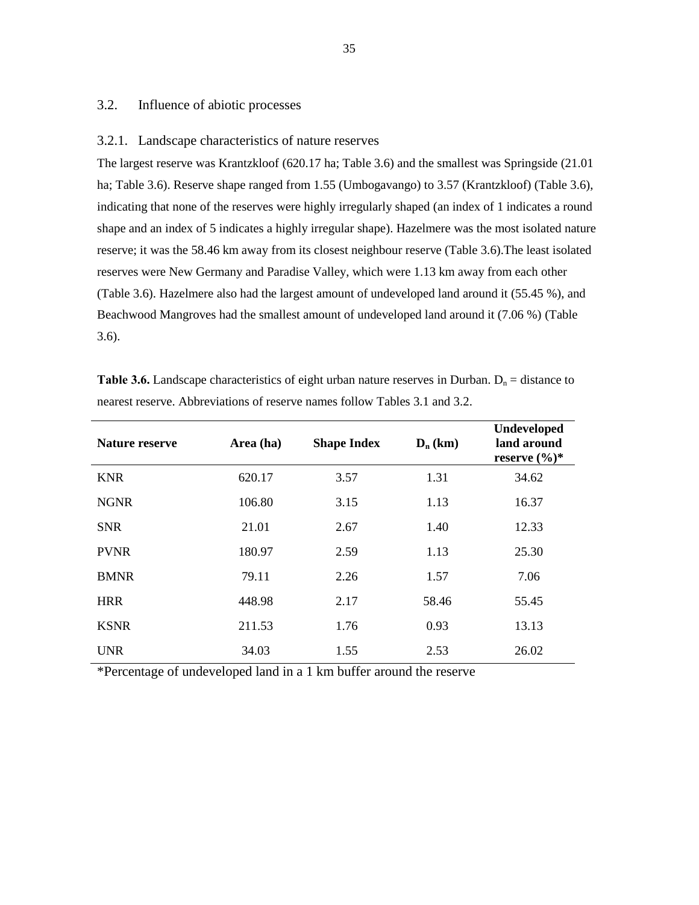#### 3.2. Influence of abiotic processes

#### 3.2.1. Landscape characteristics of nature reserves

The largest reserve was Krantzkloof (620.17 ha; Table 3.6) and the smallest was Springside (21.01 ha; Table 3.6). Reserve shape ranged from 1.55 (Umbogavango) to 3.57 (Krantzkloof) (Table 3.6), indicating that none of the reserves were highly irregularly shaped (an index of 1 indicates a round shape and an index of 5 indicates a highly irregular shape). Hazelmere was the most isolated nature reserve; it was the 58.46 km away from its closest neighbour reserve (Table 3.6).The least isolated reserves were New Germany and Paradise Valley, which were 1.13 km away from each other (Table 3.6). Hazelmere also had the largest amount of undeveloped land around it (55.45 %), and Beachwood Mangroves had the smallest amount of undeveloped land around it (7.06 %) (Table 3.6).

| <b>Nature reserve</b> | Area (ha) | <b>Shape Index</b> | $D_n$ (km) | <b>Undeveloped</b><br>land around<br>reserve $(\%)^*$ |
|-----------------------|-----------|--------------------|------------|-------------------------------------------------------|
| <b>KNR</b>            | 620.17    | 3.57               | 1.31       | 34.62                                                 |
| <b>NGNR</b>           | 106.80    | 3.15               | 1.13       | 16.37                                                 |
| <b>SNR</b>            | 21.01     | 2.67               | 1.40       | 12.33                                                 |
| <b>PVNR</b>           | 180.97    | 2.59               | 1.13       | 25.30                                                 |
| <b>BMNR</b>           | 79.11     | 2.26               | 1.57       | 7.06                                                  |
| <b>HRR</b>            | 448.98    | 2.17               | 58.46      | 55.45                                                 |
| <b>KSNR</b>           | 211.53    | 1.76               | 0.93       | 13.13                                                 |
| <b>UNR</b>            | 34.03     | 1.55               | 2.53       | 26.02                                                 |

**Table 3.6.** Landscape characteristics of eight urban nature reserves in Durban.  $D_n =$  distance to nearest reserve. Abbreviations of reserve names follow Tables 3.1 and 3.2.

\*Percentage of undeveloped land in a 1 km buffer around the reserve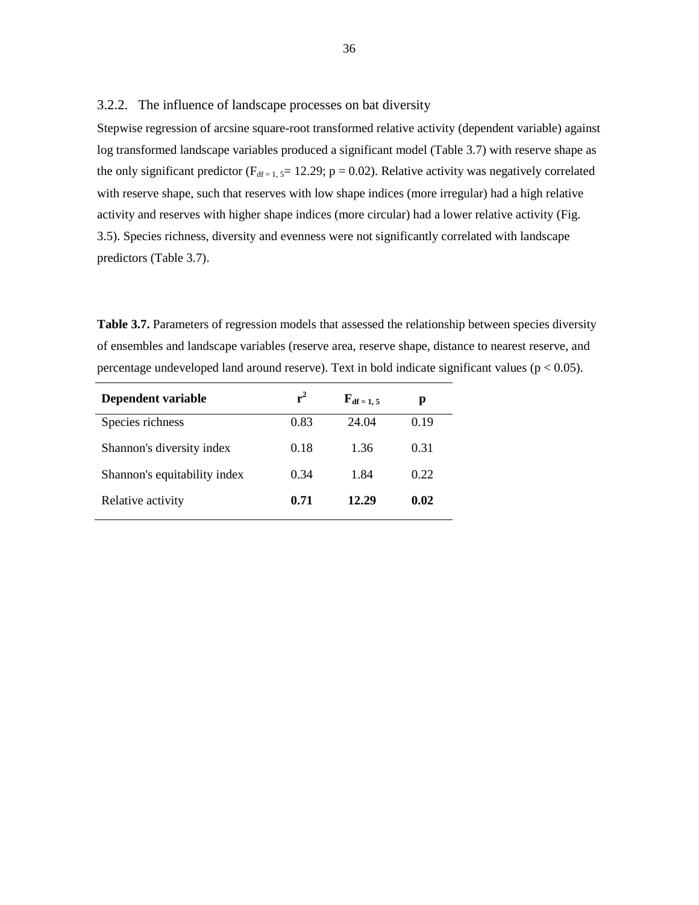3.2.2. The influence of landscape processes on bat diversity

Stepwise regression of arcsine square-root transformed relative activity (dependent variable) against log transformed landscape variables produced a significant model (Table 3.7) with reserve shape as the only significant predictor ( $F_{df=1,5}$ = 12.29; p = 0.02). Relative activity was negatively correlated with reserve shape, such that reserves with low shape indices (more irregular) had a high relative activity and reserves with higher shape indices (more circular) had a lower relative activity (Fig. 3.5). Species richness, diversity and evenness were not significantly correlated with landscape predictors (Table 3.7).

**Table 3.7.** Parameters of regression models that assessed the relationship between species diversity of ensembles and landscape variables (reserve area, reserve shape, distance to nearest reserve, and percentage undeveloped land around reserve). Text in bold indicate significant values ( $p < 0.05$ ).

| Dependent variable           | $r^2$ | $\mathbf{F}_{df=1,5}$ | р    |
|------------------------------|-------|-----------------------|------|
| Species richness             | 0.83  | 24.04                 | 0.19 |
| Shannon's diversity index    | 0.18  | 1.36                  | 0.31 |
| Shannon's equitability index | 0.34  | 1.84                  | 0.22 |
| Relative activity            | 0.71  | 12.29                 | 0.02 |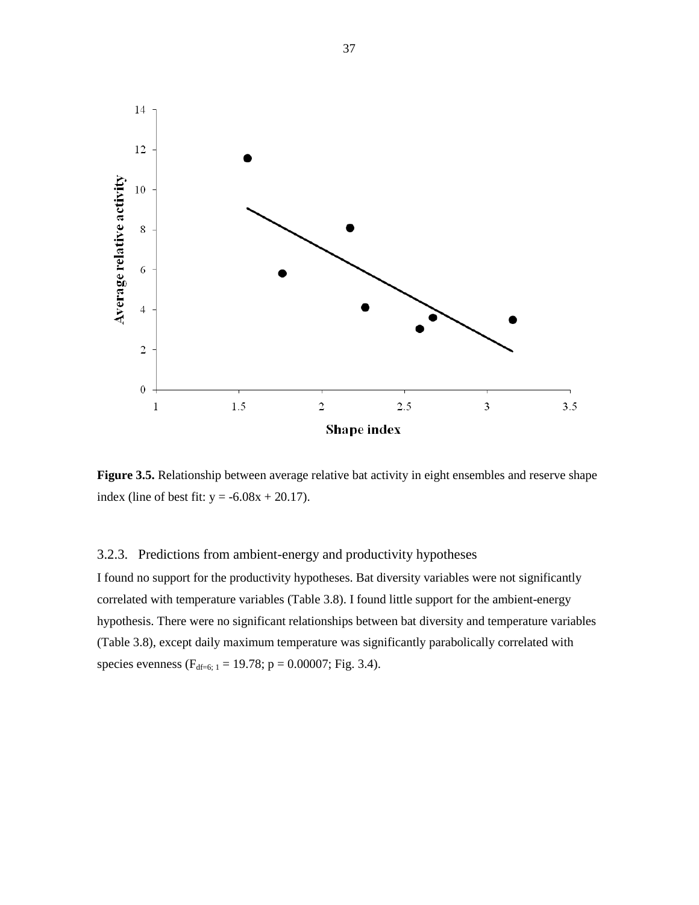

Figure 3.5. Relationship between average relative bat activity in eight ensembles and reserve shape index (line of best fit:  $y = -6.08x + 20.17$ ).

### 3.2.3. Predictions from ambient-energy and productivity hypotheses

I found no support for the productivity hypotheses. Bat diversity variables were not significantly correlated with temperature variables (Table 3.8). I found little support for the ambient-energy hypothesis. There were no significant relationships between bat diversity and temperature variables (Table 3.8), except daily maximum temperature was significantly parabolically correlated with species evenness ( $F_{df=6; 1} = 19.78$ ; p = 0.00007; Fig. 3.4).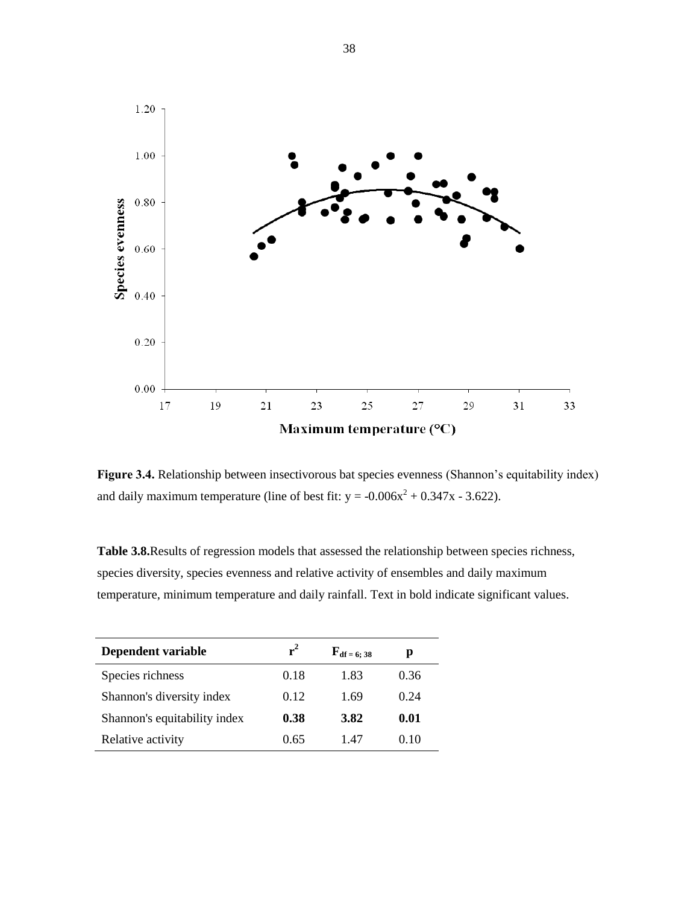

Figure 3.4. Relationship between insectivorous bat species evenness (Shannon's equitability index) and daily maximum temperature (line of best fit:  $y = -0.006x^2 + 0.347x - 3.622$ ).

**Table 3.8.**Results of regression models that assessed the relationship between species richness, species diversity, species evenness and relative activity of ensembles and daily maximum temperature, minimum temperature and daily rainfall. Text in bold indicate significant values.

| Dependent variable           | $r^2$ | $\mathbf{F_{df}} = 6; 38$ | р    |
|------------------------------|-------|---------------------------|------|
| Species richness             | 0.18  | 1.83                      | 0.36 |
| Shannon's diversity index    | 0.12  | 1.69                      | 0.24 |
| Shannon's equitability index | 0.38  | 3.82                      | 0.01 |
| Relative activity            | 0.65  | 147                       | 010  |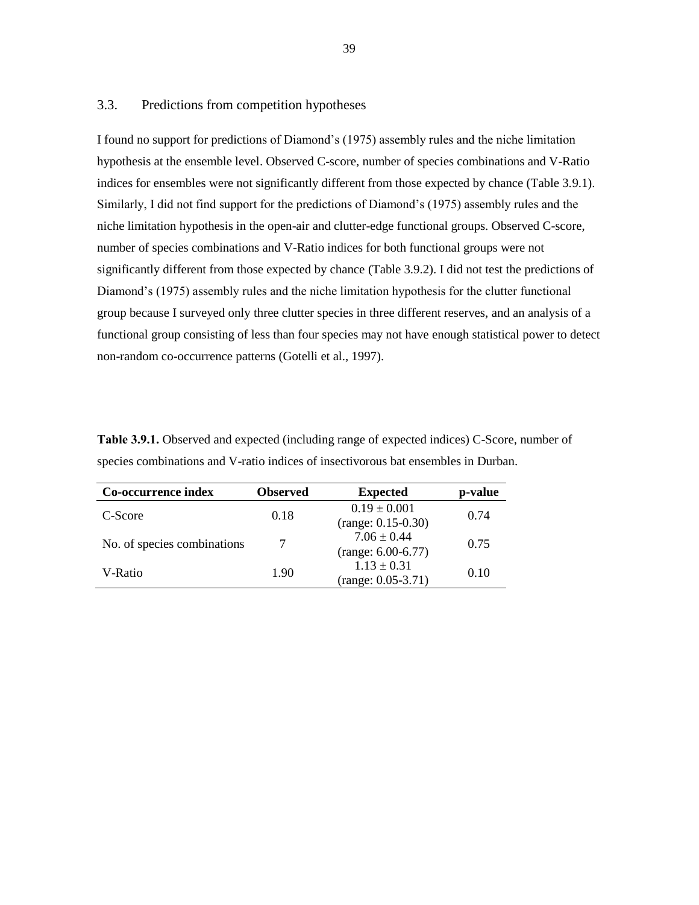#### 3.3. Predictions from competition hypotheses

I found no support for predictions of Diamond"s (1975) assembly rules and the niche limitation hypothesis at the ensemble level. Observed C-score, number of species combinations and V-Ratio indices for ensembles were not significantly different from those expected by chance (Table 3.9.1). Similarly, I did not find support for the predictions of Diamond"s (1975) assembly rules and the niche limitation hypothesis in the open-air and clutter-edge functional groups. Observed C-score, number of species combinations and V-Ratio indices for both functional groups were not significantly different from those expected by chance (Table 3.9.2). I did not test the predictions of Diamond"s (1975) assembly rules and the niche limitation hypothesis for the clutter functional group because I surveyed only three clutter species in three different reserves, and an analysis of a functional group consisting of less than four species may not have enough statistical power to detect non-random co-occurrence patterns (Gotelli et al., 1997).

| Co-occurrence index         | <b>Observed</b> | <b>Expected</b>                         | p-value |  |
|-----------------------------|-----------------|-----------------------------------------|---------|--|
| C-Score                     | 0.18            | $0.19 \pm 0.001$                        | 0.74    |  |
|                             |                 | $(range: 0.15-0.30)$                    |         |  |
| No. of species combinations |                 | $7.06 \pm 0.44$<br>$(range: 6.00-6.77)$ | 0.75    |  |
|                             |                 | $1.13 \pm 0.31$                         |         |  |
| V-Ratio                     | 1.90            | $(range: 0.05-3.71)$                    | 0.10    |  |

**Table 3.9.1.** Observed and expected (including range of expected indices) C-Score, number of species combinations and V-ratio indices of insectivorous bat ensembles in Durban.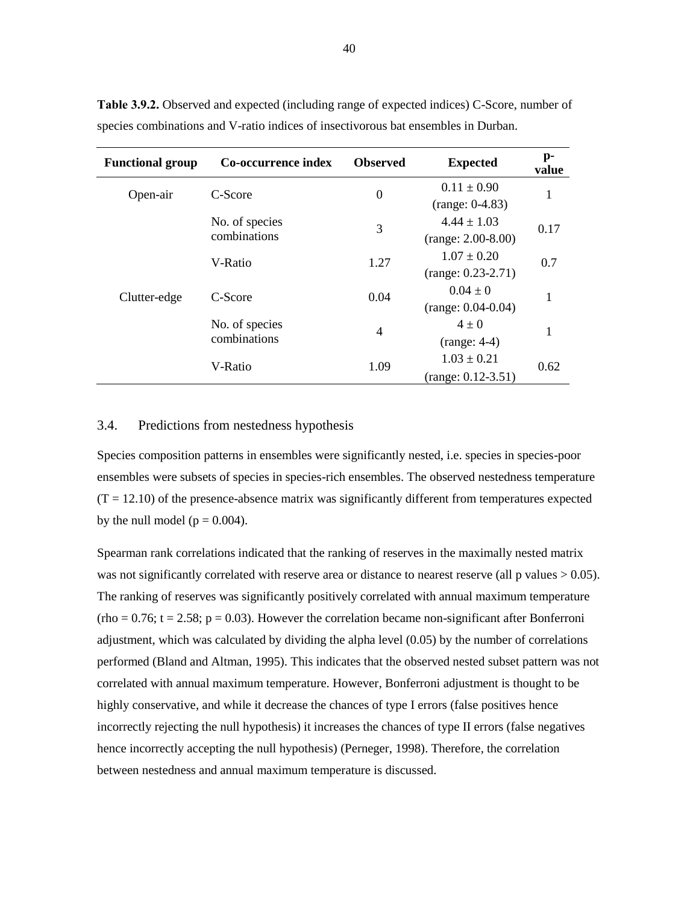| <b>Functional group</b> | Co-occurrence index            | <b>Observed</b>  | <b>Expected</b>      | $\mathbf{p}$ -<br>value |
|-------------------------|--------------------------------|------------------|----------------------|-------------------------|
| Open-air                | C-Score                        | $\boldsymbol{0}$ | $0.11 \pm 0.90$      | 1                       |
|                         |                                |                  | $(range: 0-4.83)$    |                         |
| Clutter-edge            | No. of species                 | 3                | $4.44 \pm 1.03$      | 0.17                    |
|                         | combinations                   |                  | $(range: 2.00-8.00)$ |                         |
|                         | V-Ratio                        | 1.27             | $1.07 \pm 0.20$      | 0.7                     |
|                         |                                |                  | $(range: 0.23-2.71)$ |                         |
|                         | C-Score                        | 0.04             | $0.04 \pm 0$         | 1                       |
|                         |                                |                  | $(range: 0.04-0.04)$ |                         |
|                         | No. of species<br>combinations | $\overline{4}$   | $4\pm 0$             | 1                       |
|                         |                                |                  | $(range: 4-4)$       |                         |
|                         | V-Ratio                        | 1.09             | $1.03 \pm 0.21$      | 0.62                    |
|                         |                                |                  | $(range: 0.12-3.51)$ |                         |

**Table 3.9.2.** Observed and expected (including range of expected indices) C-Score, number of species combinations and V-ratio indices of insectivorous bat ensembles in Durban.

#### 3.4. Predictions from nestedness hypothesis

Species composition patterns in ensembles were significantly nested, i.e. species in species-poor ensembles were subsets of species in species-rich ensembles. The observed nestedness temperature  $(T = 12.10)$  of the presence-absence matrix was significantly different from temperatures expected by the null model ( $p = 0.004$ ).

Spearman rank correlations indicated that the ranking of reserves in the maximally nested matrix was not significantly correlated with reserve area or distance to nearest reserve (all  $p$  values  $> 0.05$ ). The ranking of reserves was significantly positively correlated with annual maximum temperature  $(rho = 0.76; t = 2.58; p = 0.03)$ . However the correlation became non-significant after Bonferroni adjustment, which was calculated by dividing the alpha level (0.05) by the number of correlations performed (Bland and Altman, 1995). This indicates that the observed nested subset pattern was not correlated with annual maximum temperature. However, Bonferroni adjustment is thought to be highly conservative, and while it decrease the chances of type I errors (false positives hence incorrectly rejecting the null hypothesis) it increases the chances of type II errors (false negatives hence incorrectly accepting the null hypothesis) (Perneger, 1998). Therefore, the correlation between nestedness and annual maximum temperature is discussed.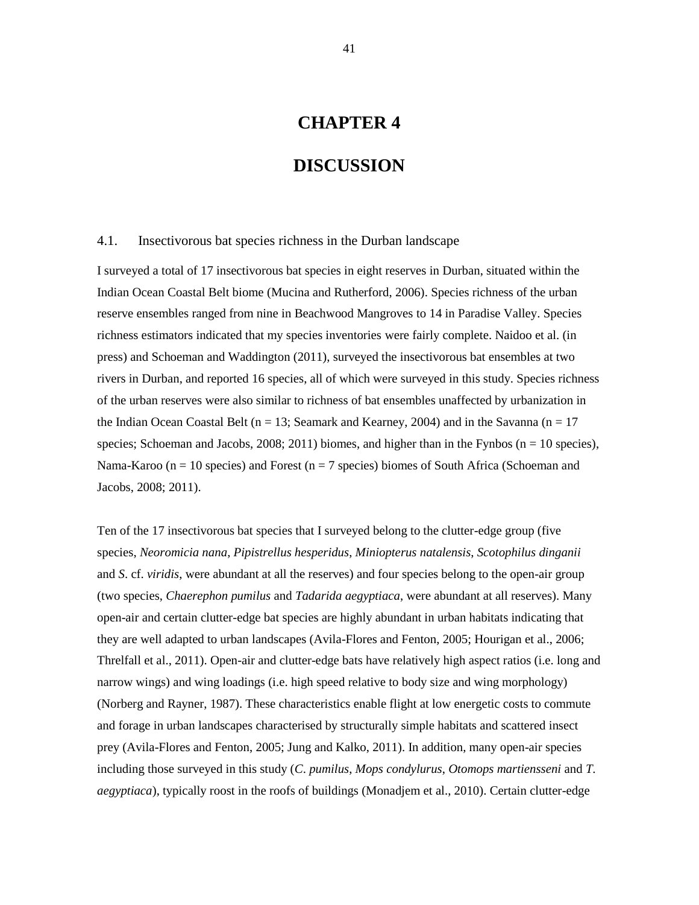# **CHAPTER 4**

# **DISCUSSION**

#### 4.1. Insectivorous bat species richness in the Durban landscape

I surveyed a total of 17 insectivorous bat species in eight reserves in Durban, situated within the Indian Ocean Coastal Belt biome (Mucina and Rutherford, 2006). Species richness of the urban reserve ensembles ranged from nine in Beachwood Mangroves to 14 in Paradise Valley. Species richness estimators indicated that my species inventories were fairly complete. Naidoo et al. (in press) and Schoeman and Waddington (2011), surveyed the insectivorous bat ensembles at two rivers in Durban, and reported 16 species, all of which were surveyed in this study. Species richness of the urban reserves were also similar to richness of bat ensembles unaffected by urbanization in the Indian Ocean Coastal Belt ( $n = 13$ ; Seamark and Kearney, 2004) and in the Savanna ( $n = 17$ ) species; Schoeman and Jacobs, 2008; 2011) biomes, and higher than in the Fynbos ( $n = 10$  species), Nama-Karoo ( $n = 10$  species) and Forest ( $n = 7$  species) biomes of South Africa (Schoeman and Jacobs, 2008; 2011).

Ten of the 17 insectivorous bat species that I surveyed belong to the clutter-edge group (five species, *Neoromicia nana*, *Pipistrellus hesperidus*, *Miniopterus natalensis*, *Scotophilus dinganii* and *S*. cf. *viridis*, were abundant at all the reserves) and four species belong to the open-air group (two species, *Chaerephon pumilus* and *Tadarida aegyptiaca*, were abundant at all reserves). Many open-air and certain clutter-edge bat species are highly abundant in urban habitats indicating that they are well adapted to urban landscapes (Avila-Flores and Fenton, 2005; Hourigan et al., 2006; Threlfall et al., 2011). Open-air and clutter-edge bats have relatively high aspect ratios (i.e. long and narrow wings) and wing loadings (i.e. high speed relative to body size and wing morphology) (Norberg and Rayner, 1987). These characteristics enable flight at low energetic costs to commute and forage in urban landscapes characterised by structurally simple habitats and scattered insect prey (Avila-Flores and Fenton, 2005; Jung and Kalko, 2011). In addition, many open-air species including those surveyed in this study (*C*. *pumilus*, *Mops condylurus*, *Otomops martiensseni* and *T*. *aegyptiaca*), typically roost in the roofs of buildings (Monadjem et al., 2010). Certain clutter-edge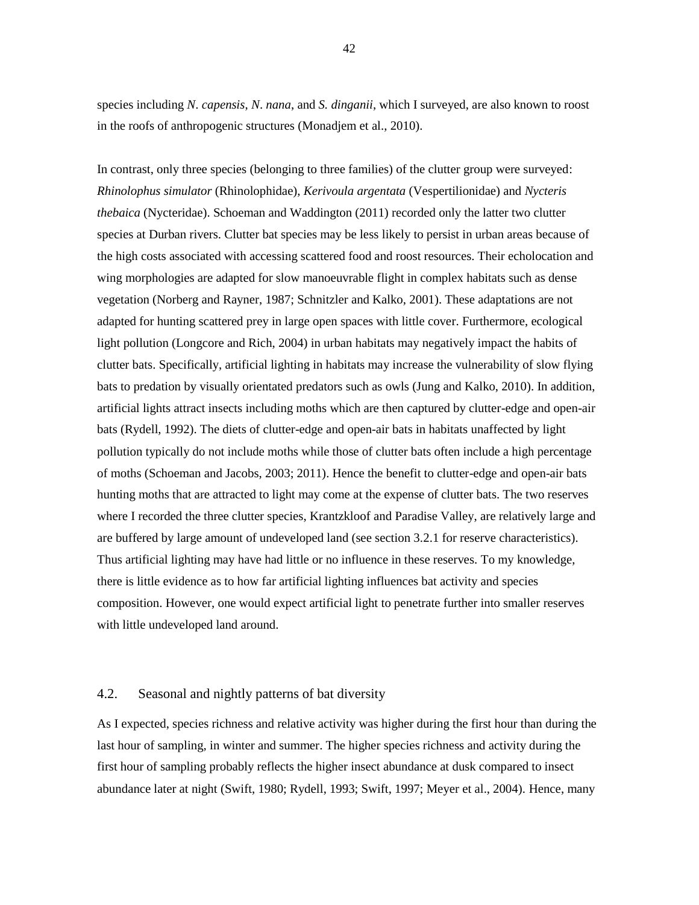species including *N*. *capensis*, *N*. *nana*, and *S. dinganii*, which I surveyed, are also known to roost in the roofs of anthropogenic structures (Monadjem et al., 2010).

In contrast, only three species (belonging to three families) of the clutter group were surveyed: *Rhinolophus simulator* (Rhinolophidae), *Kerivoula argentata* (Vespertilionidae) and *Nycteris thebaica* (Nycteridae). Schoeman and Waddington (2011) recorded only the latter two clutter species at Durban rivers. Clutter bat species may be less likely to persist in urban areas because of the high costs associated with accessing scattered food and roost resources. Their echolocation and wing morphologies are adapted for slow manoeuvrable flight in complex habitats such as dense vegetation (Norberg and Rayner, 1987; Schnitzler and Kalko, 2001). These adaptations are not adapted for hunting scattered prey in large open spaces with little cover. Furthermore, ecological light pollution (Longcore and Rich, 2004) in urban habitats may negatively impact the habits of clutter bats. Specifically, artificial lighting in habitats may increase the vulnerability of slow flying bats to predation by visually orientated predators such as owls (Jung and Kalko, 2010). In addition, artificial lights attract insects including moths which are then captured by clutter-edge and open-air bats (Rydell, 1992). The diets of clutter-edge and open-air bats in habitats unaffected by light pollution typically do not include moths while those of clutter bats often include a high percentage of moths (Schoeman and Jacobs, 2003; 2011). Hence the benefit to clutter-edge and open-air bats hunting moths that are attracted to light may come at the expense of clutter bats. The two reserves where I recorded the three clutter species, Krantzkloof and Paradise Valley, are relatively large and are buffered by large amount of undeveloped land (see section 3.2.1 for reserve characteristics). Thus artificial lighting may have had little or no influence in these reserves. To my knowledge, there is little evidence as to how far artificial lighting influences bat activity and species composition. However, one would expect artificial light to penetrate further into smaller reserves with little undeveloped land around.

#### 4.2. Seasonal and nightly patterns of bat diversity

As I expected, species richness and relative activity was higher during the first hour than during the last hour of sampling, in winter and summer. The higher species richness and activity during the first hour of sampling probably reflects the higher insect abundance at dusk compared to insect abundance later at night (Swift, 1980; Rydell, 1993; Swift, 1997; Meyer et al., 2004). Hence, many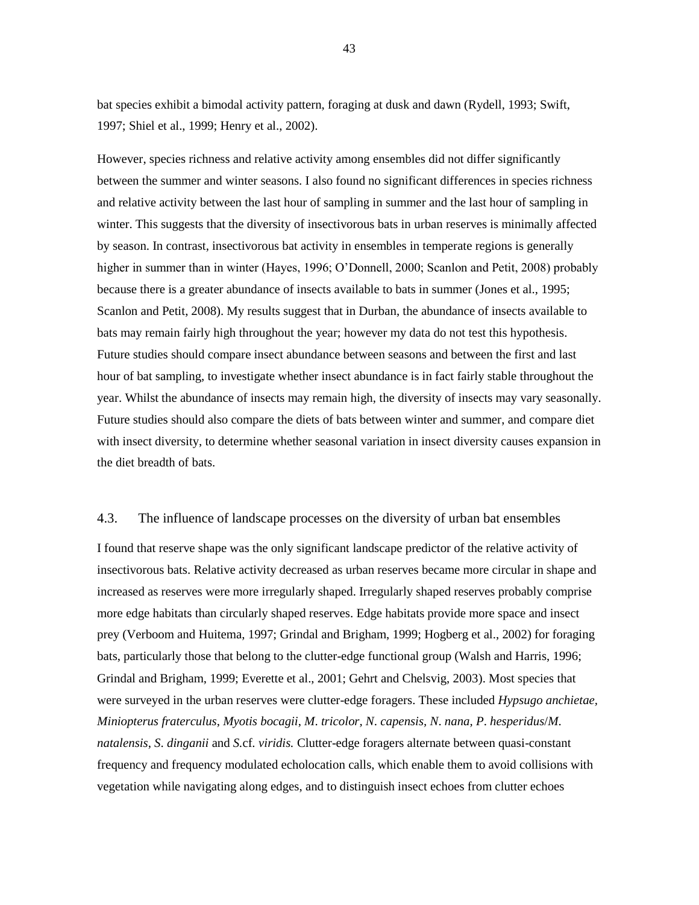bat species exhibit a bimodal activity pattern, foraging at dusk and dawn (Rydell, 1993; Swift, 1997; Shiel et al., 1999; Henry et al., 2002).

However, species richness and relative activity among ensembles did not differ significantly between the summer and winter seasons. I also found no significant differences in species richness and relative activity between the last hour of sampling in summer and the last hour of sampling in winter. This suggests that the diversity of insectivorous bats in urban reserves is minimally affected by season. In contrast, insectivorous bat activity in ensembles in temperate regions is generally higher in summer than in winter (Hayes, 1996; O"Donnell, 2000; Scanlon and Petit, 2008) probably because there is a greater abundance of insects available to bats in summer (Jones et al., 1995; Scanlon and Petit, 2008). My results suggest that in Durban, the abundance of insects available to bats may remain fairly high throughout the year; however my data do not test this hypothesis. Future studies should compare insect abundance between seasons and between the first and last hour of bat sampling, to investigate whether insect abundance is in fact fairly stable throughout the year. Whilst the abundance of insects may remain high, the diversity of insects may vary seasonally. Future studies should also compare the diets of bats between winter and summer, and compare diet with insect diversity, to determine whether seasonal variation in insect diversity causes expansion in the diet breadth of bats.

#### 4.3. The influence of landscape processes on the diversity of urban bat ensembles

I found that reserve shape was the only significant landscape predictor of the relative activity of insectivorous bats. Relative activity decreased as urban reserves became more circular in shape and increased as reserves were more irregularly shaped. Irregularly shaped reserves probably comprise more edge habitats than circularly shaped reserves. Edge habitats provide more space and insect prey (Verboom and Huitema, 1997; Grindal and Brigham, 1999; Hogberg et al., 2002) for foraging bats, particularly those that belong to the clutter-edge functional group (Walsh and Harris, 1996; Grindal and Brigham, 1999; Everette et al., 2001; Gehrt and Chelsvig, 2003). Most species that were surveyed in the urban reserves were clutter-edge foragers. These included *Hypsugo anchietae, Miniopterus fraterculus*, *Myotis bocagii*, *M*. *tricolor, N*. *capensis, N*. *nana, P*. *hesperidus*/*M*. *natalensis*, *S*. *dinganii* and *S.*cf*. viridis.* Clutter-edge foragers alternate between quasi-constant frequency and frequency modulated echolocation calls, which enable them to avoid collisions with vegetation while navigating along edges, and to distinguish insect echoes from clutter echoes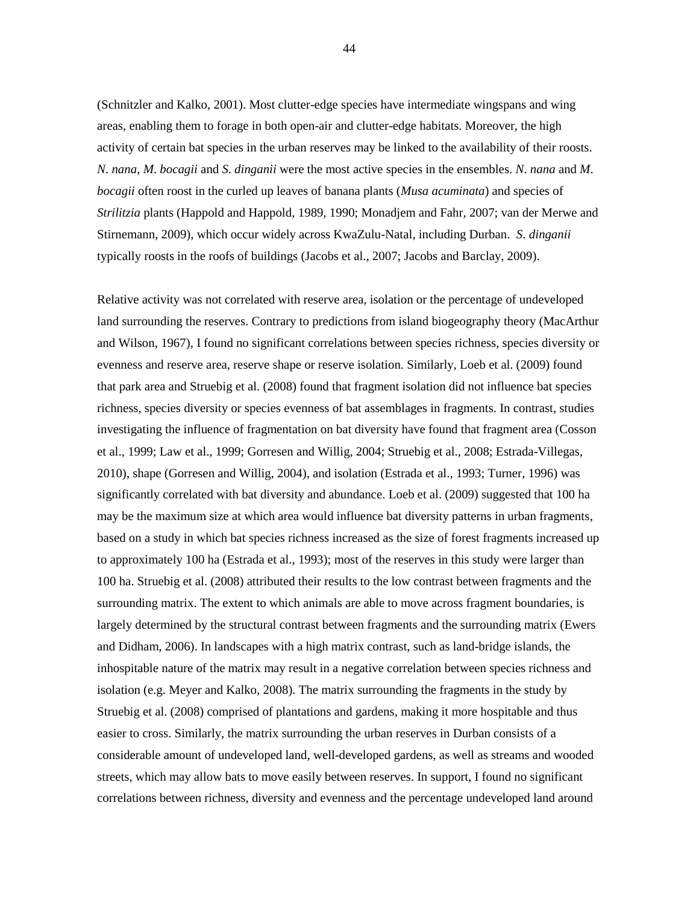(Schnitzler and Kalko, 2001). Most clutter-edge species have intermediate wingspans and wing areas, enabling them to forage in both open-air and clutter-edge habitats. Moreover, the high activity of certain bat species in the urban reserves may be linked to the availability of their roosts. *N*. *nana*, *M*. *bocagii* and *S*. *dinganii* were the most active species in the ensembles. *N*. *nana* and *M*. *bocagii* often roost in the curled up leaves of banana plants (*Musa acuminata*) and species of *Strilitzia* plants (Happold and Happold, 1989, 1990; Monadjem and Fahr, 2007; van der Merwe and Stirnemann, 2009), which occur widely across KwaZulu-Natal, including Durban. *S*. *dinganii* typically roosts in the roofs of buildings (Jacobs et al., 2007; Jacobs and Barclay, 2009).

Relative activity was not correlated with reserve area, isolation or the percentage of undeveloped land surrounding the reserves. Contrary to predictions from island biogeography theory (MacArthur and Wilson, 1967), I found no significant correlations between species richness, species diversity or evenness and reserve area, reserve shape or reserve isolation. Similarly, Loeb et al. (2009) found that park area and Struebig et al. (2008) found that fragment isolation did not influence bat species richness, species diversity or species evenness of bat assemblages in fragments. In contrast, studies investigating the influence of fragmentation on bat diversity have found that fragment area (Cosson et al., 1999; Law et al., 1999; Gorresen and Willig, 2004; Struebig et al., 2008; Estrada-Villegas, 2010), shape (Gorresen and Willig, 2004), and isolation (Estrada et al., 1993; Turner, 1996) was significantly correlated with bat diversity and abundance. Loeb et al. (2009) suggested that 100 ha may be the maximum size at which area would influence bat diversity patterns in urban fragments, based on a study in which bat species richness increased as the size of forest fragments increased up to approximately 100 ha (Estrada et al., 1993); most of the reserves in this study were larger than 100 ha. Struebig et al. (2008) attributed their results to the low contrast between fragments and the surrounding matrix. The extent to which animals are able to move across fragment boundaries, is largely determined by the structural contrast between fragments and the surrounding matrix (Ewers and Didham, 2006). In landscapes with a high matrix contrast, such as land-bridge islands, the inhospitable nature of the matrix may result in a negative correlation between species richness and isolation (e.g. Meyer and Kalko, 2008). The matrix surrounding the fragments in the study by Struebig et al. (2008) comprised of plantations and gardens, making it more hospitable and thus easier to cross. Similarly, the matrix surrounding the urban reserves in Durban consists of a considerable amount of undeveloped land, well-developed gardens, as well as streams and wooded streets, which may allow bats to move easily between reserves. In support, I found no significant correlations between richness, diversity and evenness and the percentage undeveloped land around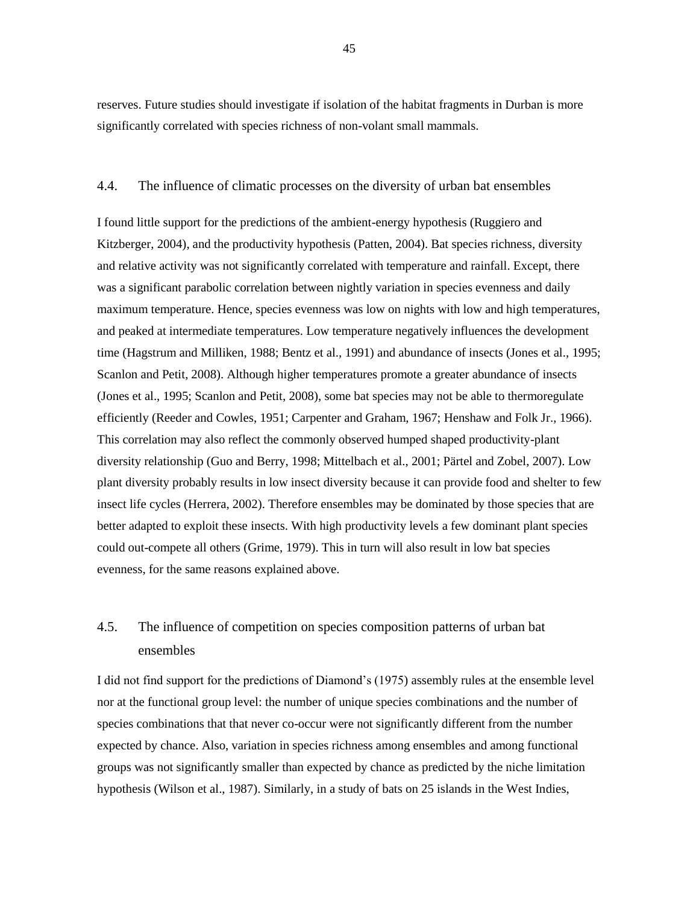reserves. Future studies should investigate if isolation of the habitat fragments in Durban is more significantly correlated with species richness of non-volant small mammals.

#### 4.4. The influence of climatic processes on the diversity of urban bat ensembles

I found little support for the predictions of the ambient-energy hypothesis (Ruggiero and Kitzberger, 2004), and the productivity hypothesis (Patten, 2004). Bat species richness, diversity and relative activity was not significantly correlated with temperature and rainfall. Except, there was a significant parabolic correlation between nightly variation in species evenness and daily maximum temperature. Hence, species evenness was low on nights with low and high temperatures, and peaked at intermediate temperatures. Low temperature negatively influences the development time (Hagstrum and Milliken, 1988; Bentz et al., 1991) and abundance of insects (Jones et al., 1995; Scanlon and Petit, 2008). Although higher temperatures promote a greater abundance of insects (Jones et al., 1995; Scanlon and Petit, 2008), some bat species may not be able to thermoregulate efficiently (Reeder and Cowles, 1951; Carpenter and Graham, 1967; Henshaw and Folk Jr., 1966). This correlation may also reflect the commonly observed humped shaped productivity-plant diversity relationship (Guo and Berry, 1998; Mittelbach et al., 2001; Pärtel and Zobel, 2007). Low plant diversity probably results in low insect diversity because it can provide food and shelter to few insect life cycles (Herrera, 2002). Therefore ensembles may be dominated by those species that are better adapted to exploit these insects. With high productivity levels a few dominant plant species could out-compete all others (Grime, 1979). This in turn will also result in low bat species evenness, for the same reasons explained above.

## 4.5. The influence of competition on species composition patterns of urban bat ensembles

I did not find support for the predictions of Diamond"s (1975) assembly rules at the ensemble level nor at the functional group level: the number of unique species combinations and the number of species combinations that that never co-occur were not significantly different from the number expected by chance. Also, variation in species richness among ensembles and among functional groups was not significantly smaller than expected by chance as predicted by the niche limitation hypothesis (Wilson et al., 1987). Similarly, in a study of bats on 25 islands in the West Indies,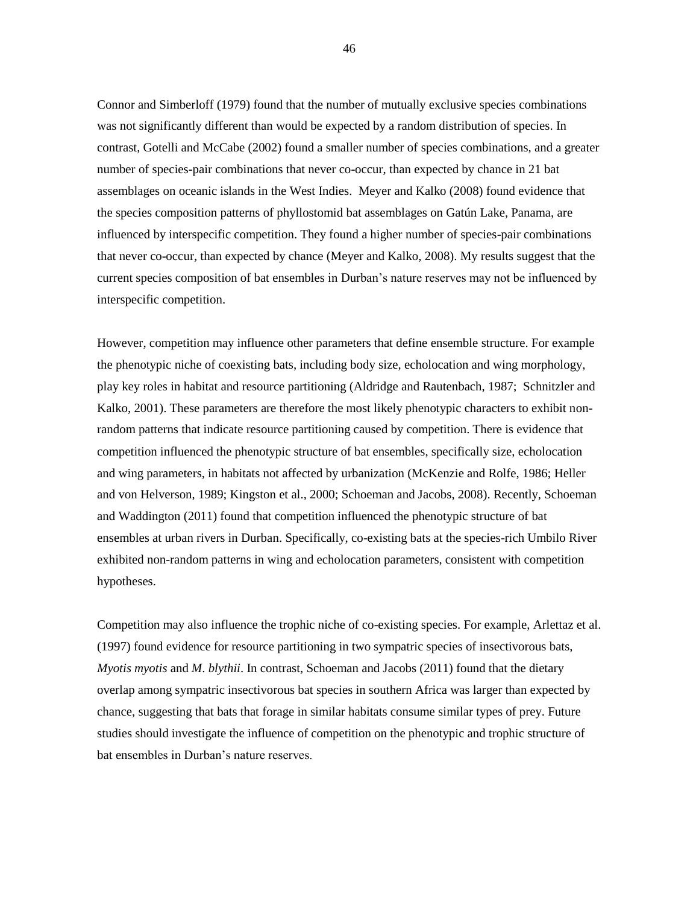Connor and Simberloff (1979) found that the number of mutually exclusive species combinations was not significantly different than would be expected by a random distribution of species. In contrast, Gotelli and McCabe (2002) found a smaller number of species combinations, and a greater number of species-pair combinations that never co-occur, than expected by chance in 21 bat assemblages on oceanic islands in the West Indies. Meyer and Kalko (2008) found evidence that the species composition patterns of phyllostomid bat assemblages on Gatún Lake, Panama, are influenced by interspecific competition. They found a higher number of species-pair combinations that never co-occur, than expected by chance (Meyer and Kalko, 2008). My results suggest that the current species composition of bat ensembles in Durban"s nature reserves may not be influenced by interspecific competition.

However, competition may influence other parameters that define ensemble structure. For example the phenotypic niche of coexisting bats, including body size, echolocation and wing morphology, play key roles in habitat and resource partitioning (Aldridge and Rautenbach, 1987; Schnitzler and Kalko, 2001). These parameters are therefore the most likely phenotypic characters to exhibit nonrandom patterns that indicate resource partitioning caused by competition. There is evidence that competition influenced the phenotypic structure of bat ensembles, specifically size, echolocation and wing parameters, in habitats not affected by urbanization (McKenzie and Rolfe, 1986; Heller and von Helverson, 1989; Kingston et al., 2000; Schoeman and Jacobs, 2008). Recently, Schoeman and Waddington (2011) found that competition influenced the phenotypic structure of bat ensembles at urban rivers in Durban. Specifically, co-existing bats at the species-rich Umbilo River exhibited non-random patterns in wing and echolocation parameters, consistent with competition hypotheses.

Competition may also influence the trophic niche of co-existing species. For example, Arlettaz et al. (1997) found evidence for resource partitioning in two sympatric species of insectivorous bats, *Myotis myotis* and *M*. *blythii*. In contrast, Schoeman and Jacobs (2011) found that the dietary overlap among sympatric insectivorous bat species in southern Africa was larger than expected by chance, suggesting that bats that forage in similar habitats consume similar types of prey. Future studies should investigate the influence of competition on the phenotypic and trophic structure of bat ensembles in Durban"s nature reserves.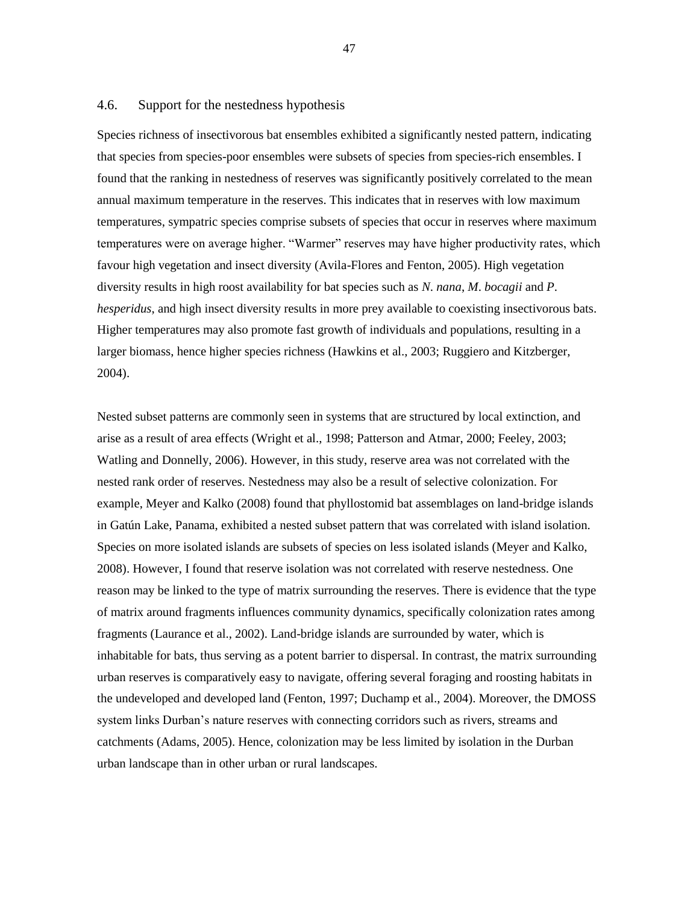#### 4.6. Support for the nestedness hypothesis

Species richness of insectivorous bat ensembles exhibited a significantly nested pattern, indicating that species from species-poor ensembles were subsets of species from species-rich ensembles. I found that the ranking in nestedness of reserves was significantly positively correlated to the mean annual maximum temperature in the reserves. This indicates that in reserves with low maximum temperatures, sympatric species comprise subsets of species that occur in reserves where maximum temperatures were on average higher. "Warmer" reserves may have higher productivity rates, which favour high vegetation and insect diversity (Avila-Flores and Fenton, 2005). High vegetation diversity results in high roost availability for bat species such as *N*. *nana*, *M*. *bocagii* and *P*. *hesperidus*, and high insect diversity results in more prey available to coexisting insectivorous bats. Higher temperatures may also promote fast growth of individuals and populations, resulting in a larger biomass, hence higher species richness (Hawkins et al., 2003; Ruggiero and Kitzberger, 2004).

Nested subset patterns are commonly seen in systems that are structured by local extinction, and arise as a result of area effects (Wright et al., 1998; Patterson and Atmar, 2000; Feeley, 2003; Watling and Donnelly, 2006). However, in this study, reserve area was not correlated with the nested rank order of reserves. Nestedness may also be a result of selective colonization. For example, Meyer and Kalko (2008) found that phyllostomid bat assemblages on land-bridge islands in Gatún Lake, Panama, exhibited a nested subset pattern that was correlated with island isolation. Species on more isolated islands are subsets of species on less isolated islands (Meyer and Kalko, 2008). However, I found that reserve isolation was not correlated with reserve nestedness. One reason may be linked to the type of matrix surrounding the reserves. There is evidence that the type of matrix around fragments influences community dynamics, specifically colonization rates among fragments (Laurance et al., 2002). Land-bridge islands are surrounded by water, which is inhabitable for bats, thus serving as a potent barrier to dispersal. In contrast, the matrix surrounding urban reserves is comparatively easy to navigate, offering several foraging and roosting habitats in the undeveloped and developed land (Fenton, 1997; Duchamp et al., 2004). Moreover, the DMOSS system links Durban"s nature reserves with connecting corridors such as rivers, streams and catchments (Adams, 2005). Hence, colonization may be less limited by isolation in the Durban urban landscape than in other urban or rural landscapes.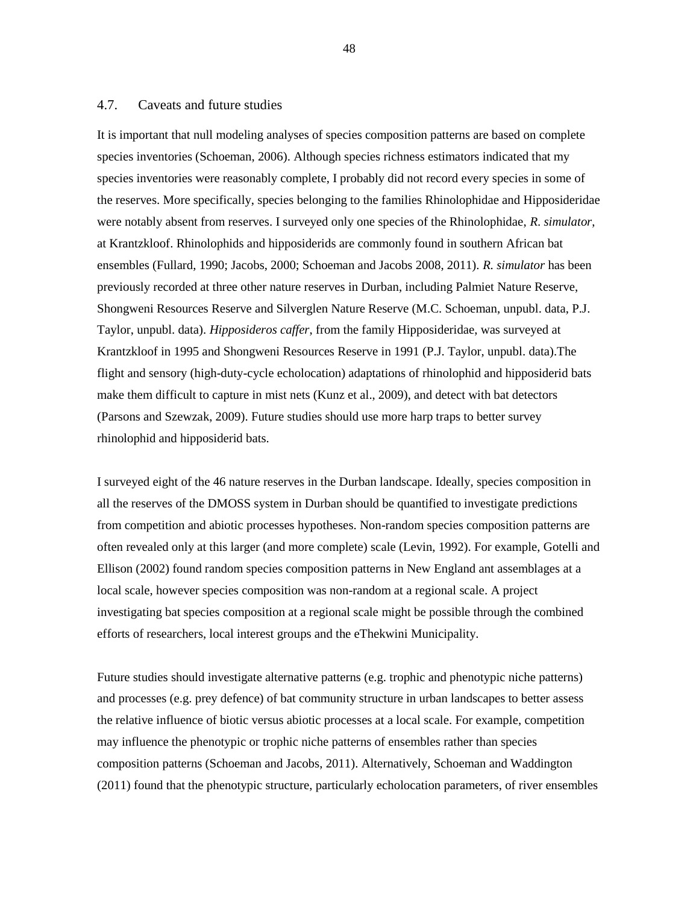#### 4.7. Caveats and future studies

It is important that null modeling analyses of species composition patterns are based on complete species inventories (Schoeman, 2006). Although species richness estimators indicated that my species inventories were reasonably complete, I probably did not record every species in some of the reserves. More specifically, species belonging to the families Rhinolophidae and Hipposideridae were notably absent from reserves. I surveyed only one species of the Rhinolophidae, *R*. *simulator*, at Krantzkloof. Rhinolophids and hipposiderids are commonly found in southern African bat ensembles (Fullard, 1990; Jacobs, 2000; Schoeman and Jacobs 2008, 2011). *R. simulator* has been previously recorded at three other nature reserves in Durban, including Palmiet Nature Reserve, Shongweni Resources Reserve and Silverglen Nature Reserve (M.C. Schoeman, unpubl. data, P.J. Taylor, unpubl. data). *Hipposideros caffer*, from the family Hipposideridae, was surveyed at Krantzkloof in 1995 and Shongweni Resources Reserve in 1991 (P.J. Taylor, unpubl. data).The flight and sensory (high-duty-cycle echolocation) adaptations of rhinolophid and hipposiderid bats make them difficult to capture in mist nets (Kunz et al., 2009), and detect with bat detectors (Parsons and Szewzak, 2009). Future studies should use more harp traps to better survey rhinolophid and hipposiderid bats.

I surveyed eight of the 46 nature reserves in the Durban landscape. Ideally, species composition in all the reserves of the DMOSS system in Durban should be quantified to investigate predictions from competition and abiotic processes hypotheses. Non-random species composition patterns are often revealed only at this larger (and more complete) scale (Levin, 1992). For example, Gotelli and Ellison (2002) found random species composition patterns in New England ant assemblages at a local scale, however species composition was non-random at a regional scale. A project investigating bat species composition at a regional scale might be possible through the combined efforts of researchers, local interest groups and the eThekwini Municipality.

Future studies should investigate alternative patterns (e.g. trophic and phenotypic niche patterns) and processes (e.g. prey defence) of bat community structure in urban landscapes to better assess the relative influence of biotic versus abiotic processes at a local scale. For example, competition may influence the phenotypic or trophic niche patterns of ensembles rather than species composition patterns (Schoeman and Jacobs, 2011). Alternatively, Schoeman and Waddington (2011) found that the phenotypic structure, particularly echolocation parameters, of river ensembles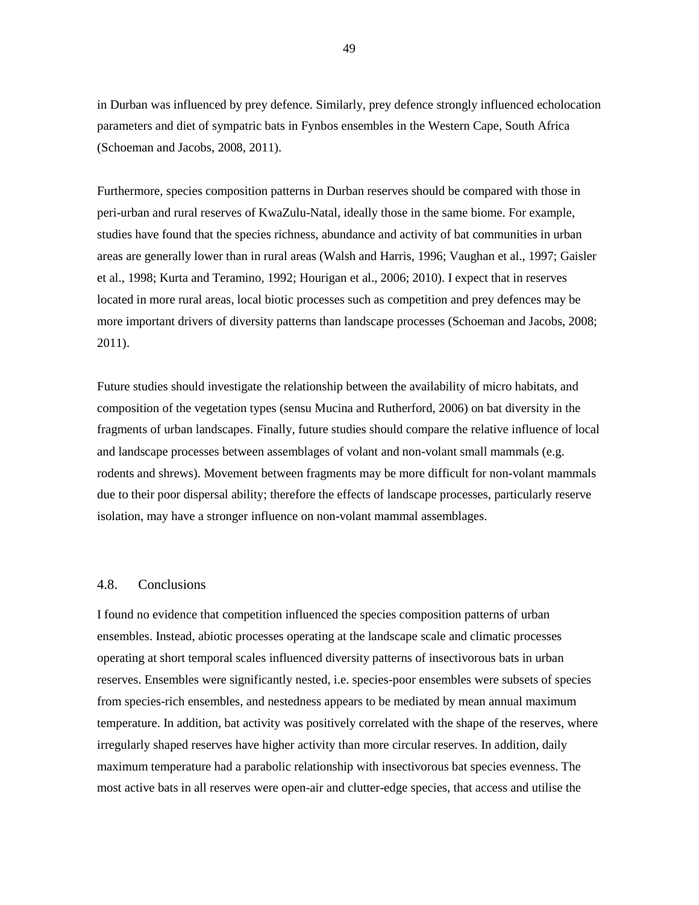in Durban was influenced by prey defence. Similarly, prey defence strongly influenced echolocation parameters and diet of sympatric bats in Fynbos ensembles in the Western Cape, South Africa (Schoeman and Jacobs, 2008, 2011).

Furthermore, species composition patterns in Durban reserves should be compared with those in peri-urban and rural reserves of KwaZulu-Natal, ideally those in the same biome. For example, studies have found that the species richness, abundance and activity of bat communities in urban areas are generally lower than in rural areas (Walsh and Harris, 1996; Vaughan et al., 1997; Gaisler et al., 1998; Kurta and Teramino, 1992; Hourigan et al., 2006; 2010). I expect that in reserves located in more rural areas, local biotic processes such as competition and prey defences may be more important drivers of diversity patterns than landscape processes (Schoeman and Jacobs, 2008; 2011).

Future studies should investigate the relationship between the availability of micro habitats, and composition of the vegetation types (sensu Mucina and Rutherford, 2006) on bat diversity in the fragments of urban landscapes. Finally, future studies should compare the relative influence of local and landscape processes between assemblages of volant and non-volant small mammals (e.g. rodents and shrews). Movement between fragments may be more difficult for non-volant mammals due to their poor dispersal ability; therefore the effects of landscape processes, particularly reserve isolation, may have a stronger influence on non-volant mammal assemblages.

### 4.8. Conclusions

I found no evidence that competition influenced the species composition patterns of urban ensembles. Instead, abiotic processes operating at the landscape scale and climatic processes operating at short temporal scales influenced diversity patterns of insectivorous bats in urban reserves. Ensembles were significantly nested, i.e. species-poor ensembles were subsets of species from species-rich ensembles, and nestedness appears to be mediated by mean annual maximum temperature. In addition, bat activity was positively correlated with the shape of the reserves, where irregularly shaped reserves have higher activity than more circular reserves. In addition, daily maximum temperature had a parabolic relationship with insectivorous bat species evenness. The most active bats in all reserves were open-air and clutter-edge species, that access and utilise the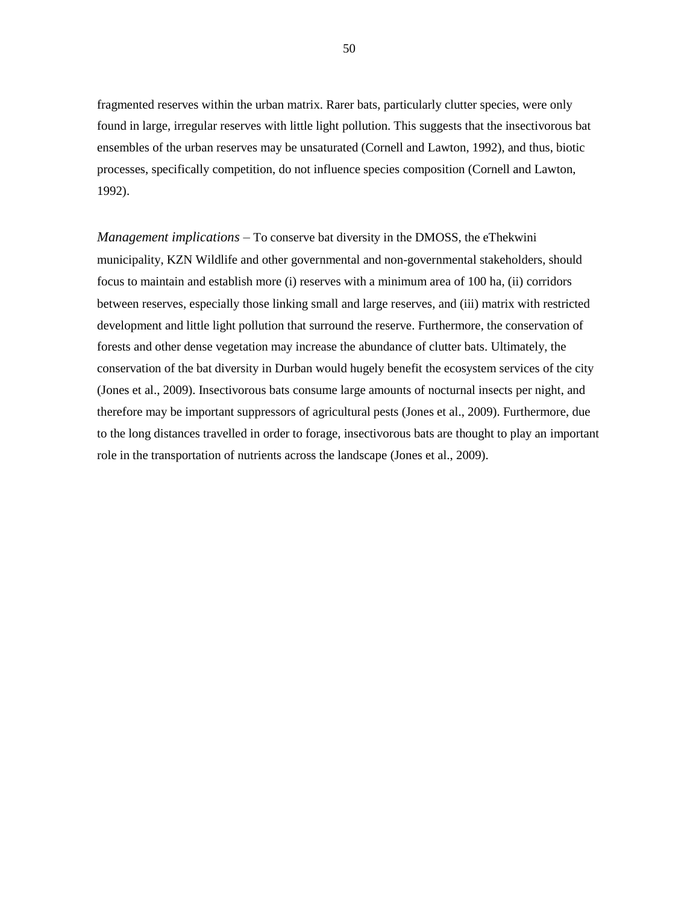fragmented reserves within the urban matrix. Rarer bats, particularly clutter species, were only found in large, irregular reserves with little light pollution. This suggests that the insectivorous bat ensembles of the urban reserves may be unsaturated (Cornell and Lawton, 1992), and thus, biotic processes, specifically competition, do not influence species composition (Cornell and Lawton, 1992).

*Management implications –* To conserve bat diversity in the DMOSS, the eThekwini municipality, KZN Wildlife and other governmental and non-governmental stakeholders, should focus to maintain and establish more (i) reserves with a minimum area of 100 ha, (ii) corridors between reserves, especially those linking small and large reserves, and (iii) matrix with restricted development and little light pollution that surround the reserve. Furthermore, the conservation of forests and other dense vegetation may increase the abundance of clutter bats. Ultimately, the conservation of the bat diversity in Durban would hugely benefit the ecosystem services of the city (Jones et al., 2009). Insectivorous bats consume large amounts of nocturnal insects per night, and therefore may be important suppressors of agricultural pests (Jones et al., 2009). Furthermore, due to the long distances travelled in order to forage, insectivorous bats are thought to play an important role in the transportation of nutrients across the landscape (Jones et al., 2009).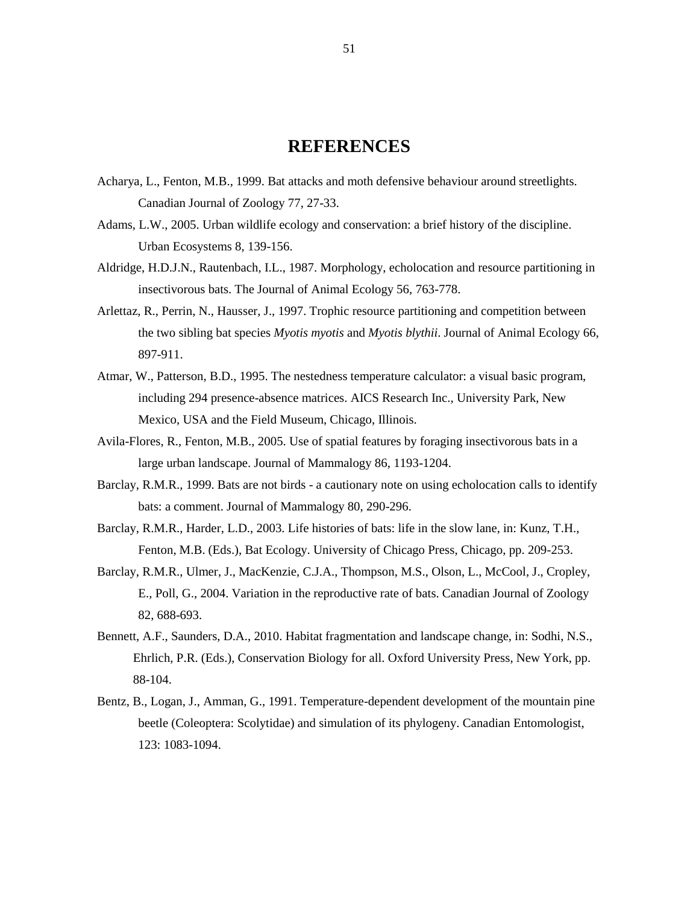### **REFERENCES**

- Acharya, L., Fenton, M.B., 1999. Bat attacks and moth defensive behaviour around streetlights. Canadian Journal of Zoology 77, 27-33.
- Adams, L.W., 2005. Urban wildlife ecology and conservation: a brief history of the discipline. Urban Ecosystems 8, 139-156.
- Aldridge, H.D.J.N., Rautenbach, I.L., 1987. Morphology, echolocation and resource partitioning in insectivorous bats. The Journal of Animal Ecology 56, 763-778.
- Arlettaz, R., Perrin, N., Hausser, J., 1997. Trophic resource partitioning and competition between the two sibling bat species *Myotis myotis* and *Myotis blythii*. Journal of Animal Ecology 66, 897-911.
- Atmar, W., Patterson, B.D., 1995. The nestedness temperature calculator: a visual basic program, including 294 presence-absence matrices. AICS Research Inc., University Park, New Mexico, USA and the Field Museum, Chicago, Illinois.
- Avila-Flores, R., Fenton, M.B., 2005. Use of spatial features by foraging insectivorous bats in a large urban landscape. Journal of Mammalogy 86, 1193-1204.
- Barclay, R.M.R., 1999. Bats are not birds a cautionary note on using echolocation calls to identify bats: a comment. Journal of Mammalogy 80, 290-296.
- Barclay, R.M.R., Harder, L.D., 2003. Life histories of bats: life in the slow lane, in: Kunz, T.H., Fenton, M.B. (Eds.), Bat Ecology. University of Chicago Press, Chicago, pp. 209-253.
- Barclay, R.M.R., Ulmer, J., MacKenzie, C.J.A., Thompson, M.S., Olson, L., McCool, J., Cropley, E., Poll, G., 2004. Variation in the reproductive rate of bats. Canadian Journal of Zoology 82, 688-693.
- Bennett, A.F., Saunders, D.A., 2010. Habitat fragmentation and landscape change, in: Sodhi, N.S., Ehrlich, P.R. (Eds.), Conservation Biology for all. Oxford University Press, New York, pp. 88-104.
- Bentz, B., Logan, J., Amman, G., 1991. Temperature-dependent development of the mountain pine beetle (Coleoptera: Scolytidae) and simulation of its phylogeny. Canadian Entomologist, 123: 1083-1094.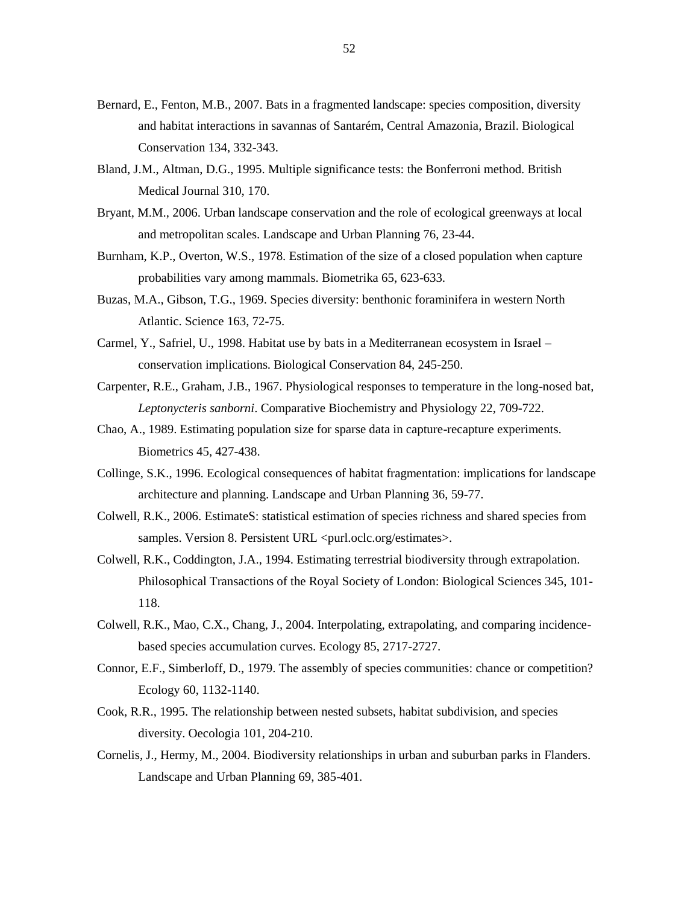- Bernard, E., Fenton, M.B., 2007. Bats in a fragmented landscape: species composition, diversity and habitat interactions in savannas of Santarém, Central Amazonia, Brazil. Biological Conservation 134, 332-343.
- Bland, J.M., Altman, D.G., 1995. Multiple significance tests: the Bonferroni method. British Medical Journal 310, 170.
- Bryant, M.M., 2006. Urban landscape conservation and the role of ecological greenways at local and metropolitan scales. Landscape and Urban Planning 76, 23-44.
- Burnham, K.P., Overton, W.S., 1978. Estimation of the size of a closed population when capture probabilities vary among mammals. Biometrika 65, 623-633.
- Buzas, M.A., Gibson, T.G., 1969. Species diversity: benthonic foraminifera in western North Atlantic. Science 163, 72-75.
- Carmel, Y., Safriel, U., 1998. Habitat use by bats in a Mediterranean ecosystem in Israel conservation implications. Biological Conservation 84, 245-250.
- Carpenter, R.E., Graham, J.B., 1967. Physiological responses to temperature in the long-nosed bat, *Leptonycteris sanborni*. Comparative Biochemistry and Physiology 22, 709-722.
- Chao, A., 1989. Estimating population size for sparse data in capture-recapture experiments. Biometrics 45, 427-438.
- Collinge, S.K., 1996. Ecological consequences of habitat fragmentation: implications for landscape architecture and planning. Landscape and Urban Planning 36, 59-77.
- Colwell, R.K., 2006. EstimateS: statistical estimation of species richness and shared species from samples. Version 8. Persistent URL <purl.oclc.org/estimates>.
- Colwell, R.K., Coddington, J.A., 1994. Estimating terrestrial biodiversity through extrapolation. Philosophical Transactions of the Royal Society of London: Biological Sciences 345, 101- 118.
- Colwell, R.K., Mao, C.X., Chang, J., 2004. Interpolating, extrapolating, and comparing incidencebased species accumulation curves. Ecology 85, 2717-2727.
- Connor, E.F., Simberloff, D., 1979. The assembly of species communities: chance or competition? Ecology 60, 1132-1140.
- Cook, R.R., 1995. The relationship between nested subsets, habitat subdivision, and species diversity. Oecologia 101, 204-210.
- Cornelis, J., Hermy, M., 2004. Biodiversity relationships in urban and suburban parks in Flanders. Landscape and Urban Planning 69, 385-401.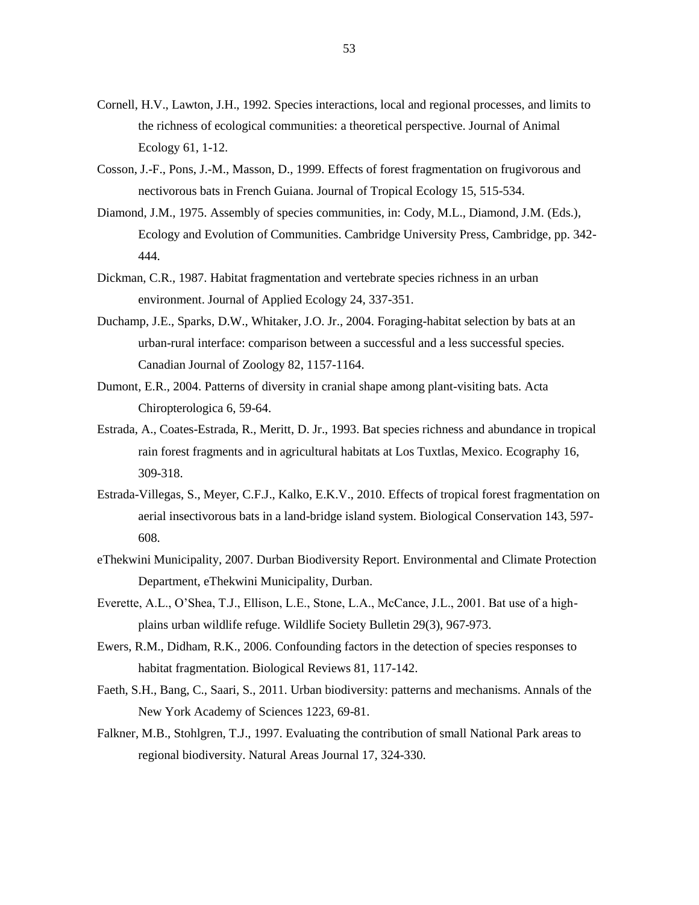- Cornell, H.V., Lawton, J.H., 1992. Species interactions, local and regional processes, and limits to the richness of ecological communities: a theoretical perspective. Journal of Animal Ecology 61, 1-12.
- Cosson, J.-F., Pons, J.-M., Masson, D., 1999. Effects of forest fragmentation on frugivorous and nectivorous bats in French Guiana. Journal of Tropical Ecology 15, 515-534.
- Diamond, J.M., 1975. Assembly of species communities, in: Cody, M.L., Diamond, J.M. (Eds.), Ecology and Evolution of Communities. Cambridge University Press, Cambridge, pp. 342- 444.
- Dickman, C.R., 1987. Habitat fragmentation and vertebrate species richness in an urban environment. Journal of Applied Ecology 24, 337-351.
- Duchamp, J.E., Sparks, D.W., Whitaker, J.O. Jr., 2004. Foraging-habitat selection by bats at an urban-rural interface: comparison between a successful and a less successful species. Canadian Journal of Zoology 82, 1157-1164.
- Dumont, E.R., 2004. Patterns of diversity in cranial shape among plant-visiting bats. Acta Chiropterologica 6, 59-64.
- Estrada, A., Coates-Estrada, R., Meritt, D. Jr., 1993. Bat species richness and abundance in tropical rain forest fragments and in agricultural habitats at Los Tuxtlas, Mexico. Ecography 16, 309-318.
- Estrada-Villegas, S., Meyer, C.F.J., Kalko, E.K.V., 2010. Effects of tropical forest fragmentation on aerial insectivorous bats in a land-bridge island system. Biological Conservation 143, 597- 608.
- eThekwini Municipality, 2007. Durban Biodiversity Report. Environmental and Climate Protection Department, eThekwini Municipality, Durban.
- Everette, A.L., O"Shea, T.J., Ellison, L.E., Stone, L.A., McCance, J.L., 2001. Bat use of a highplains urban wildlife refuge. Wildlife Society Bulletin 29(3), 967-973.
- Ewers, R.M., Didham, R.K., 2006. Confounding factors in the detection of species responses to habitat fragmentation. Biological Reviews 81, 117-142.
- Faeth, S.H., Bang, C., Saari, S., 2011. Urban biodiversity: patterns and mechanisms. Annals of the New York Academy of Sciences 1223, 69-81.
- Falkner, M.B., Stohlgren, T.J., 1997. Evaluating the contribution of small National Park areas to regional biodiversity. Natural Areas Journal 17, 324-330.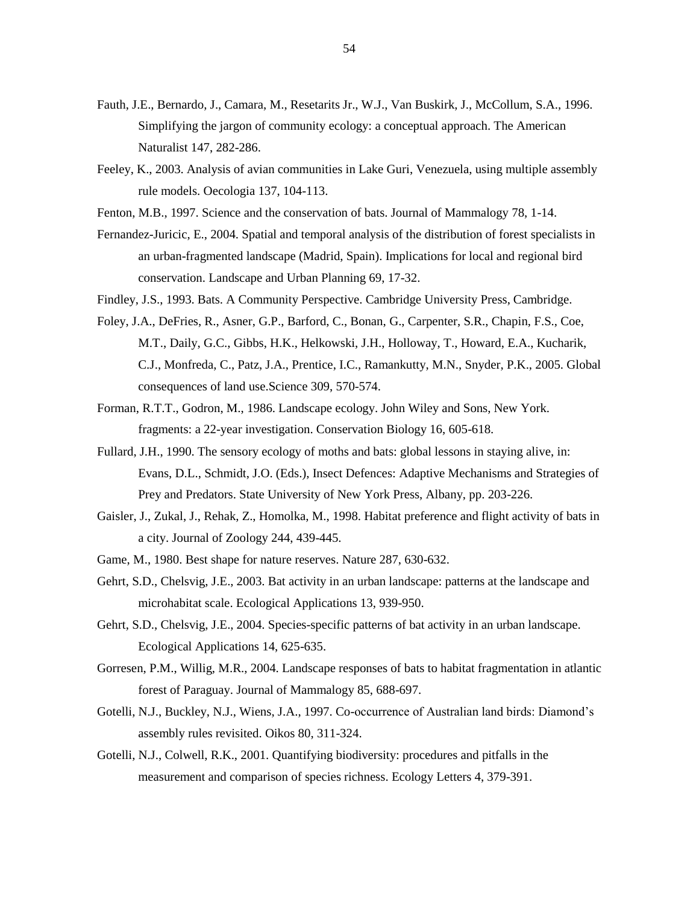- Fauth, J.E., Bernardo, J., Camara, M., Resetarits Jr., W.J., Van Buskirk, J., McCollum, S.A., 1996. Simplifying the jargon of community ecology: a conceptual approach. The American Naturalist 147, 282-286.
- Feeley, K., 2003. Analysis of avian communities in Lake Guri, Venezuela, using multiple assembly rule models. Oecologia 137, 104-113.
- Fenton, M.B., 1997. Science and the conservation of bats. Journal of Mammalogy 78, 1-14.
- Fernandez-Juricic, E., 2004. Spatial and temporal analysis of the distribution of forest specialists in an urban-fragmented landscape (Madrid, Spain). Implications for local and regional bird conservation. Landscape and Urban Planning 69, 17-32.
- Findley, J.S., 1993. Bats. A Community Perspective. Cambridge University Press, Cambridge.
- Foley, J.A., DeFries, R., Asner, G.P., Barford, C., Bonan, G., Carpenter, S.R., Chapin, F.S., Coe, M.T., Daily, G.C., Gibbs, H.K., Helkowski, J.H., Holloway, T., Howard, E.A., Kucharik, C.J., Monfreda, C., Patz, J.A., Prentice, I.C., Ramankutty, M.N., Snyder, P.K., 2005. Global consequences of land use.Science 309, 570-574.
- Forman, R.T.T., Godron, M., 1986. Landscape ecology. John Wiley and Sons, New York. fragments: a 22-year investigation. Conservation Biology 16, 605-618.
- Fullard, J.H., 1990. The sensory ecology of moths and bats: global lessons in staying alive, in: Evans, D.L., Schmidt, J.O. (Eds.), Insect Defences: Adaptive Mechanisms and Strategies of Prey and Predators. State University of New York Press, Albany, pp. 203-226.
- Gaisler, J., Zukal, J., Rehak, Z., Homolka, M., 1998. Habitat preference and flight activity of bats in a city. Journal of Zoology 244, 439-445.
- Game, M., 1980. Best shape for nature reserves. Nature 287, 630-632.
- Gehrt, S.D., Chelsvig, J.E., 2003. Bat activity in an urban landscape: patterns at the landscape and microhabitat scale. Ecological Applications 13, 939-950.
- Gehrt, S.D., Chelsvig, J.E., 2004. Species-specific patterns of bat activity in an urban landscape. Ecological Applications 14, 625-635.
- Gorresen, P.M., Willig, M.R., 2004. Landscape responses of bats to habitat fragmentation in atlantic forest of Paraguay. Journal of Mammalogy 85, 688-697.
- Gotelli, N.J., Buckley, N.J., Wiens, J.A., 1997. Co-occurrence of Australian land birds: Diamond"s assembly rules revisited. Oikos 80, 311-324.
- Gotelli, N.J., Colwell, R.K., 2001. Quantifying biodiversity: procedures and pitfalls in the measurement and comparison of species richness. Ecology Letters 4, 379-391.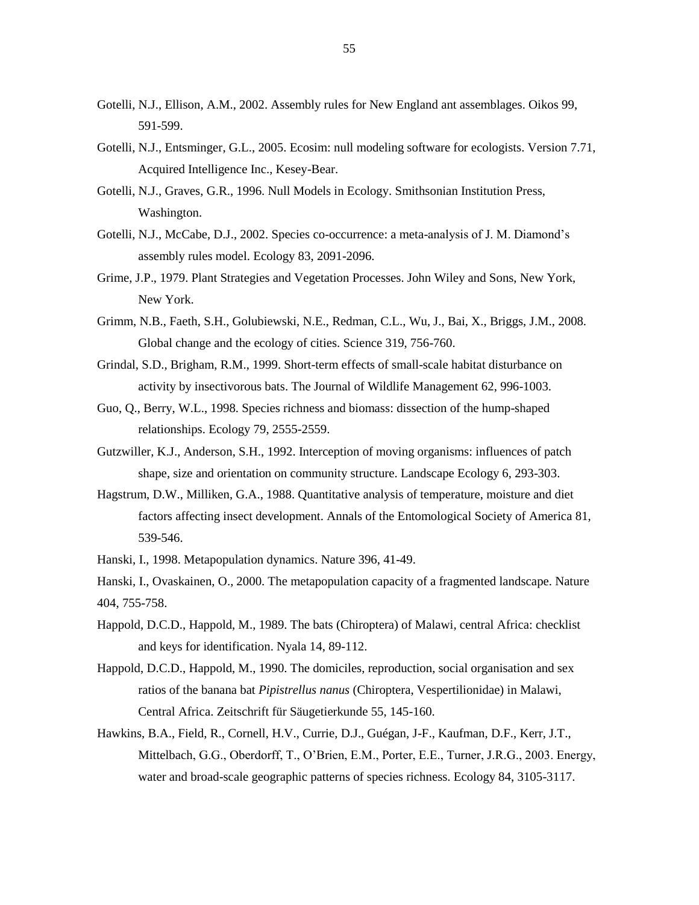- Gotelli, N.J., Ellison, A.M., 2002. Assembly rules for New England ant assemblages. Oikos 99, 591-599.
- Gotelli, N.J., Entsminger, G.L., 2005. Ecosim: null modeling software for ecologists. Version 7.71, Acquired Intelligence Inc., Kesey-Bear.
- Gotelli, N.J., Graves, G.R., 1996. Null Models in Ecology. Smithsonian Institution Press, Washington.
- Gotelli, N.J., McCabe, D.J., 2002. Species co-occurrence: a meta-analysis of J. M. Diamond's assembly rules model. Ecology 83, 2091-2096.
- Grime, J.P., 1979. Plant Strategies and Vegetation Processes. John Wiley and Sons, New York, New York.
- Grimm, N.B., Faeth, S.H., Golubiewski, N.E., Redman, C.L., Wu, J., Bai, X., Briggs, J.M., 2008. Global change and the ecology of cities. Science 319, 756-760.
- Grindal, S.D., Brigham, R.M., 1999. Short-term effects of small-scale habitat disturbance on activity by insectivorous bats. The Journal of Wildlife Management 62, 996-1003.
- Guo, Q., Berry, W.L., 1998. Species richness and biomass: dissection of the hump-shaped relationships. Ecology 79, 2555-2559.
- Gutzwiller, K.J., Anderson, S.H., 1992. Interception of moving organisms: influences of patch shape, size and orientation on community structure. Landscape Ecology 6, 293-303.
- Hagstrum, D.W., Milliken, G.A., 1988. Quantitative analysis of temperature, moisture and diet factors affecting insect development. Annals of the Entomological Society of America 81, 539-546.

Hanski, I., 1998. Metapopulation dynamics. Nature 396, 41-49.

Hanski, I., Ovaskainen, O., 2000. The metapopulation capacity of a fragmented landscape. Nature 404, 755-758.

- Happold, D.C.D., Happold, M., 1989. The bats (Chiroptera) of Malawi, central Africa: checklist and keys for identification. Nyala 14, 89-112.
- Happold, D.C.D., Happold, M., 1990. The domiciles, reproduction, social organisation and sex ratios of the banana bat *Pipistrellus nanus* (Chiroptera, Vespertilionidae) in Malawi, Central Africa. Zeitschrift für Säugetierkunde 55, 145-160.
- Hawkins, B.A., Field, R., Cornell, H.V., Currie, D.J., Guégan, J-F., Kaufman, D.F., Kerr, J.T., Mittelbach, G.G., Oberdorff, T., O"Brien, E.M., Porter, E.E., Turner, J.R.G., 2003. Energy, water and broad-scale geographic patterns of species richness. Ecology 84, 3105-3117.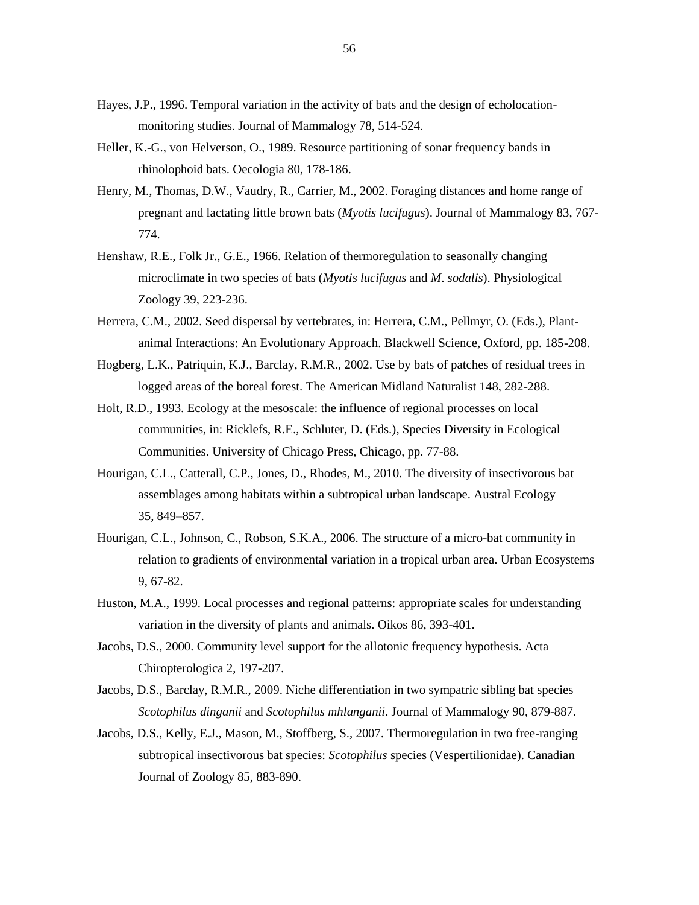- Hayes, J.P., 1996. Temporal variation in the activity of bats and the design of echolocationmonitoring studies. Journal of Mammalogy 78, 514-524.
- Heller, K.-G., von Helverson, O., 1989. Resource partitioning of sonar frequency bands in rhinolophoid bats. Oecologia 80, 178-186.
- Henry, M., Thomas, D.W., Vaudry, R., Carrier, M., 2002. Foraging distances and home range of pregnant and lactating little brown bats (*Myotis lucifugus*). Journal of Mammalogy 83, 767- 774.
- Henshaw, R.E., Folk Jr., G.E., 1966. Relation of thermoregulation to seasonally changing microclimate in two species of bats (*Myotis lucifugus* and *M*. *sodalis*). Physiological Zoology 39, 223-236.
- Herrera, C.M., 2002. Seed dispersal by vertebrates, in: Herrera, C.M., Pellmyr, O. (Eds.), Plantanimal Interactions: An Evolutionary Approach. Blackwell Science, Oxford, pp. 185-208.
- Hogberg, L.K., Patriquin, K.J., Barclay, R.M.R., 2002. Use by bats of patches of residual trees in logged areas of the boreal forest. The American Midland Naturalist 148, 282-288.
- Holt, R.D., 1993. Ecology at the mesoscale: the influence of regional processes on local communities, in: Ricklefs, R.E., Schluter, D. (Eds.), Species Diversity in Ecological Communities. University of Chicago Press, Chicago, pp. 77-88.
- Hourigan, C.L., Catterall, C.P., Jones, D., Rhodes, M., 2010. The diversity of insectivorous bat assemblages among habitats within a subtropical urban landscape. Austral Ecology 35, 849–857.
- Hourigan, C.L., Johnson, C., Robson, S.K.A., 2006. The structure of a micro-bat community in relation to gradients of environmental variation in a tropical urban area. Urban Ecosystems 9, 67-82.
- Huston, M.A., 1999. Local processes and regional patterns: appropriate scales for understanding variation in the diversity of plants and animals. Oikos 86, 393-401.
- Jacobs, D.S., 2000. Community level support for the allotonic frequency hypothesis. Acta Chiropterologica 2, 197-207.
- Jacobs, D.S., Barclay, R.M.R., 2009. Niche differentiation in two sympatric sibling bat species *Scotophilus dinganii* and *Scotophilus mhlanganii*. Journal of Mammalogy 90, 879-887.
- Jacobs, D.S., Kelly, E.J., Mason, M., Stoffberg, S., 2007. Thermoregulation in two free-ranging subtropical insectivorous bat species: *Scotophilus* species (Vespertilionidae). Canadian Journal of Zoology 85, 883-890.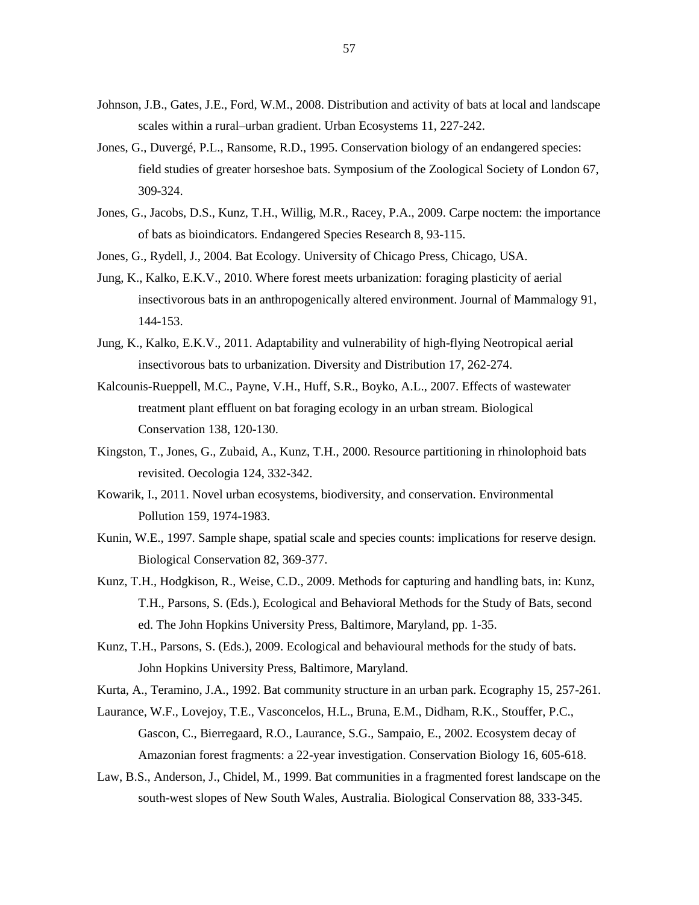- Johnson, J.B., Gates, J.E., Ford, W.M., 2008. Distribution and activity of bats at local and landscape scales within a rural–urban gradient. Urban Ecosystems 11, 227-242.
- Jones, G., Duvergé, P.L., Ransome, R.D., 1995. Conservation biology of an endangered species: field studies of greater horseshoe bats. Symposium of the Zoological Society of London 67, 309-324.
- Jones, G., Jacobs, D.S., Kunz, T.H., Willig, M.R., Racey, P.A., 2009. Carpe noctem: the importance of bats as bioindicators. Endangered Species Research 8, 93-115.
- Jones, G., Rydell, J., 2004. Bat Ecology. University of Chicago Press, Chicago, USA.
- Jung, K., Kalko, E.K.V., 2010. Where forest meets urbanization: foraging plasticity of aerial insectivorous bats in an anthropogenically altered environment. Journal of Mammalogy 91, 144-153.
- Jung, K., Kalko, E.K.V., 2011. Adaptability and vulnerability of high-flying Neotropical aerial insectivorous bats to urbanization. Diversity and Distribution 17, 262-274.
- Kalcounis-Rueppell, M.C., Payne, V.H., Huff, S.R., Boyko, A.L., 2007. Effects of wastewater treatment plant effluent on bat foraging ecology in an urban stream. Biological Conservation 138, 120-130.
- Kingston, T., Jones, G., Zubaid, A., Kunz, T.H., 2000. Resource partitioning in rhinolophoid bats revisited. Oecologia 124, 332-342.
- Kowarik, I., 2011. Novel urban ecosystems, biodiversity, and conservation. Environmental Pollution 159, 1974-1983.
- Kunin, W.E., 1997. Sample shape, spatial scale and species counts: implications for reserve design. Biological Conservation 82, 369-377.
- Kunz, T.H., Hodgkison, R., Weise, C.D., 2009. Methods for capturing and handling bats, in: Kunz, T.H., Parsons, S. (Eds.), Ecological and Behavioral Methods for the Study of Bats, second ed. The John Hopkins University Press, Baltimore, Maryland, pp. 1-35.
- Kunz, T.H., Parsons, S. (Eds.), 2009. Ecological and behavioural methods for the study of bats. John Hopkins University Press, Baltimore, Maryland.
- Kurta, A., Teramino, J.A., 1992. Bat community structure in an urban park. Ecography 15, 257-261.
- Laurance, W.F., Lovejoy, T.E., Vasconcelos, H.L., Bruna, E.M., Didham, R.K., Stouffer, P.C., Gascon, C., Bierregaard, R.O., Laurance, S.G., Sampaio, E., 2002. Ecosystem decay of Amazonian forest fragments: a 22-year investigation. Conservation Biology 16, 605-618.
- Law, B.S., Anderson, J., Chidel, M., 1999. Bat communities in a fragmented forest landscape on the south-west slopes of New South Wales, Australia. Biological Conservation 88, 333-345.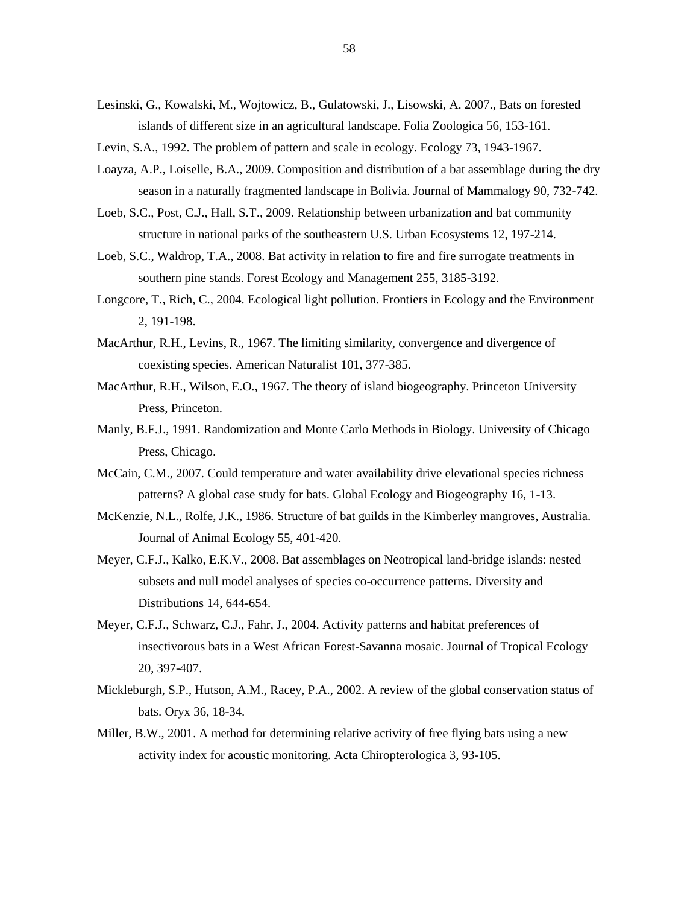- Lesinski, G., Kowalski, M., Wojtowicz, B., Gulatowski, J., Lisowski, A. 2007., Bats on forested islands of different size in an agricultural landscape. Folia Zoologica 56, 153-161.
- Levin, S.A., 1992. The problem of pattern and scale in ecology. Ecology 73, 1943-1967.
- Loayza, A.P., Loiselle, B.A., 2009. Composition and distribution of a bat assemblage during the dry season in a naturally fragmented landscape in Bolivia. Journal of Mammalogy 90, 732-742.
- Loeb, S.C., Post, C.J., Hall, S.T., 2009. Relationship between urbanization and bat community structure in national parks of the southeastern U.S. Urban Ecosystems 12, 197-214.
- Loeb, S.C., Waldrop, T.A., 2008. Bat activity in relation to fire and fire surrogate treatments in southern pine stands. Forest Ecology and Management 255, 3185-3192.
- Longcore, T., Rich, C., 2004. Ecological light pollution. Frontiers in Ecology and the Environment 2, 191-198.
- MacArthur, R.H., Levins, R., 1967. The limiting similarity, convergence and divergence of coexisting species. American Naturalist 101, 377-385.
- MacArthur, R.H., Wilson, E.O., 1967. The theory of island biogeography. Princeton University Press, Princeton.
- Manly, B.F.J., 1991. Randomization and Monte Carlo Methods in Biology. University of Chicago Press, Chicago.
- McCain, C.M., 2007. Could temperature and water availability drive elevational species richness patterns? A global case study for bats. Global Ecology and Biogeography 16, 1-13.
- McKenzie, N.L., Rolfe, J.K., 1986. Structure of bat guilds in the Kimberley mangroves, Australia. Journal of Animal Ecology 55, 401-420.
- Meyer, C.F.J., Kalko, E.K.V., 2008. Bat assemblages on Neotropical land-bridge islands: nested subsets and null model analyses of species co-occurrence patterns. Diversity and Distributions 14, 644-654.
- Meyer, C.F.J., Schwarz, C.J., Fahr, J., 2004. Activity patterns and habitat preferences of insectivorous bats in a West African Forest-Savanna mosaic. Journal of Tropical Ecology 20, 397-407.
- Mickleburgh, S.P., Hutson, A.M., Racey, P.A., 2002. A review of the global conservation status of bats. Oryx 36, 18-34.
- Miller, B.W., 2001. A method for determining relative activity of free flying bats using a new activity index for acoustic monitoring. Acta Chiropterologica 3, 93-105.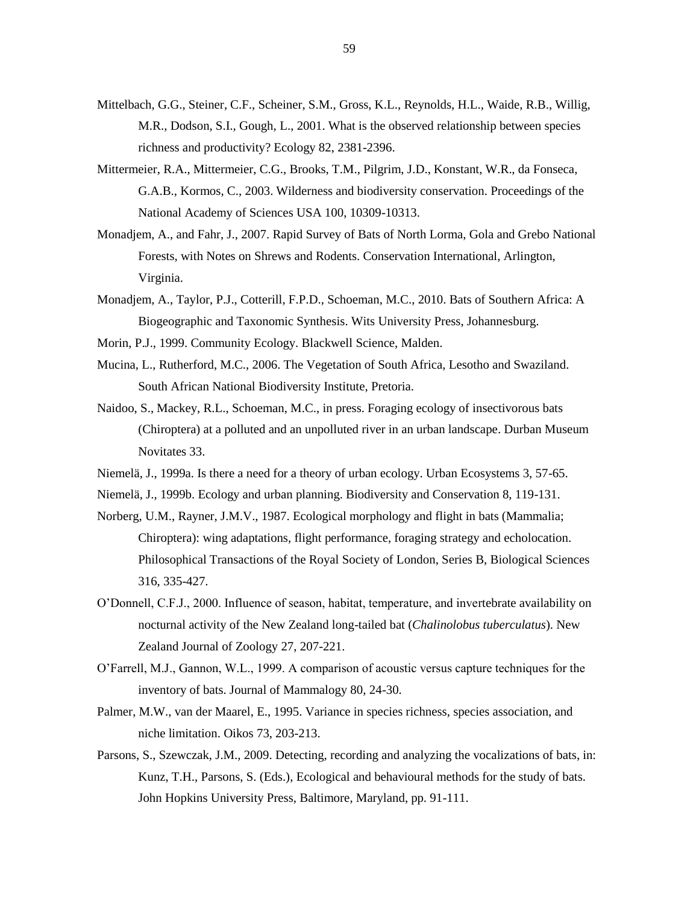- Mittelbach, G.G., Steiner, C.F., Scheiner, S.M., Gross, K.L., Reynolds, H.L., Waide, R.B., Willig, M.R., Dodson, S.I., Gough, L., 2001. What is the observed relationship between species richness and productivity? Ecology 82, 2381-2396.
- Mittermeier, R.A., Mittermeier, C.G., Brooks, T.M., Pilgrim, J.D., Konstant, W.R., da Fonseca, G.A.B., Kormos, C., 2003. Wilderness and biodiversity conservation. Proceedings of the National Academy of Sciences USA 100, 10309-10313.
- Monadjem, A., and Fahr, J., 2007. Rapid Survey of Bats of North Lorma, Gola and Grebo National Forests, with Notes on Shrews and Rodents. Conservation International, Arlington, Virginia.
- Monadjem, A., Taylor, P.J., Cotterill, F.P.D., Schoeman, M.C., 2010. Bats of Southern Africa: A Biogeographic and Taxonomic Synthesis. Wits University Press, Johannesburg.
- Morin, P.J., 1999. Community Ecology. Blackwell Science, Malden.
- Mucina, L., Rutherford, M.C., 2006. The Vegetation of South Africa, Lesotho and Swaziland. South African National Biodiversity Institute, Pretoria.
- Naidoo, S., Mackey, R.L., Schoeman, M.C., in press. Foraging ecology of insectivorous bats (Chiroptera) at a polluted and an unpolluted river in an urban landscape. Durban Museum Novitates 33.
- Niemelä, J., 1999a. Is there a need for a theory of urban ecology. Urban Ecosystems 3, 57-65.
- Niemelä, J., 1999b. Ecology and urban planning. Biodiversity and Conservation 8, 119-131.
- Norberg, U.M., Rayner, J.M.V., 1987. Ecological morphology and flight in bats (Mammalia; Chiroptera): wing adaptations, flight performance, foraging strategy and echolocation. Philosophical Transactions of the Royal Society of London, Series B, Biological Sciences 316, 335-427.
- O"Donnell, C.F.J., 2000. Influence of season, habitat, temperature, and invertebrate availability on nocturnal activity of the New Zealand long-tailed bat (*Chalinolobus tuberculatus*). New Zealand Journal of Zoology 27, 207-221.
- O"Farrell, M.J., Gannon, W.L., 1999. A comparison of acoustic versus capture techniques for the inventory of bats. Journal of Mammalogy 80, 24-30.
- Palmer, M.W., van der Maarel, E., 1995. Variance in species richness, species association, and niche limitation. Oikos 73, 203-213.
- Parsons, S., Szewczak, J.M., 2009. Detecting, recording and analyzing the vocalizations of bats, in: Kunz, T.H., Parsons, S. (Eds.), Ecological and behavioural methods for the study of bats. John Hopkins University Press, Baltimore, Maryland, pp. 91-111.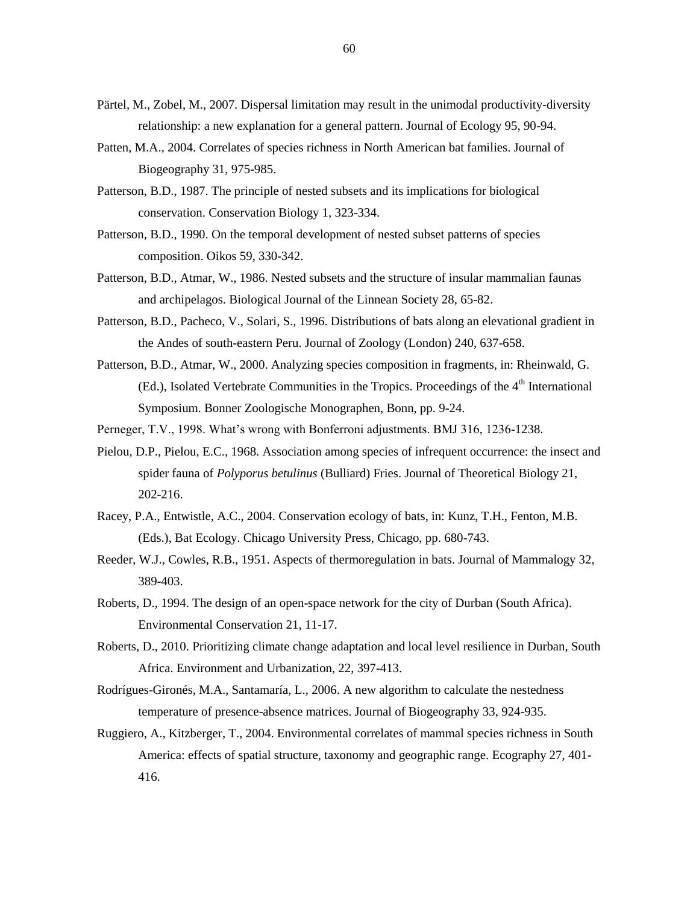- Pärtel, M., Zobel, M., 2007. Dispersal limitation may result in the unimodal productivity-diversity relationship: a new explanation for a general pattern. Journal of Ecology 95, 90-94.
- Patten, M.A., 2004. Correlates of species richness in North American bat families. Journal of Biogeography 31, 975-985.
- Patterson, B.D., 1987. The principle of nested subsets and its implications for biological conservation. Conservation Biology 1, 323-334.
- Patterson, B.D., 1990. On the temporal development of nested subset patterns of species composition. Oikos 59, 330-342.
- Patterson, B.D., Atmar, W., 1986. Nested subsets and the structure of insular mammalian faunas and archipelagos. Biological Journal of the Linnean Society 28, 65-82.
- Patterson, B.D., Pacheco, V., Solari, S., 1996. Distributions of bats along an elevational gradient in the Andes of south-eastern Peru. Journal of Zoology (London) 240, 637-658.
- Patterson, B.D., Atmar, W., 2000. Analyzing species composition in fragments, in: Rheinwald, G.  $(Ed.)$ , Isolated Vertebrate Communities in the Tropics. Proceedings of the  $4<sup>th</sup>$  International Symposium. Bonner Zoologische Monographen, Bonn, pp. 9-24.
- Perneger, T.V., 1998. What"s wrong with Bonferroni adjustments. BMJ 316, 1236-1238.
- Pielou, D.P., Pielou, E.C., 1968. Association among species of infrequent occurrence: the insect and spider fauna of *Polyporus betulinus* (Bulliard) Fries. Journal of Theoretical Biology 21, 202-216.
- Racey, P.A., Entwistle, A.C., 2004. Conservation ecology of bats, in: Kunz, T.H., Fenton, M.B. (Eds.), Bat Ecology. Chicago University Press, Chicago, pp. 680-743.
- Reeder, W.J., Cowles, R.B., 1951. Aspects of thermoregulation in bats. Journal of Mammalogy 32, 389-403.
- Roberts, D., 1994. The design of an open-space network for the city of Durban (South Africa). Environmental Conservation 21, 11-17.
- Roberts, D., 2010. Prioritizing climate change adaptation and local level resilience in Durban, South Africa. Environment and Urbanization, 22, 397-413.
- Rodrígues-Gironés, M.A., Santamaría, L., 2006. A new algorithm to calculate the nestedness temperature of presence-absence matrices. Journal of Biogeography 33, 924-935.
- Ruggiero, A., Kitzberger, T., 2004. Environmental correlates of mammal species richness in South America: effects of spatial structure, taxonomy and geographic range. Ecography 27, 401- 416.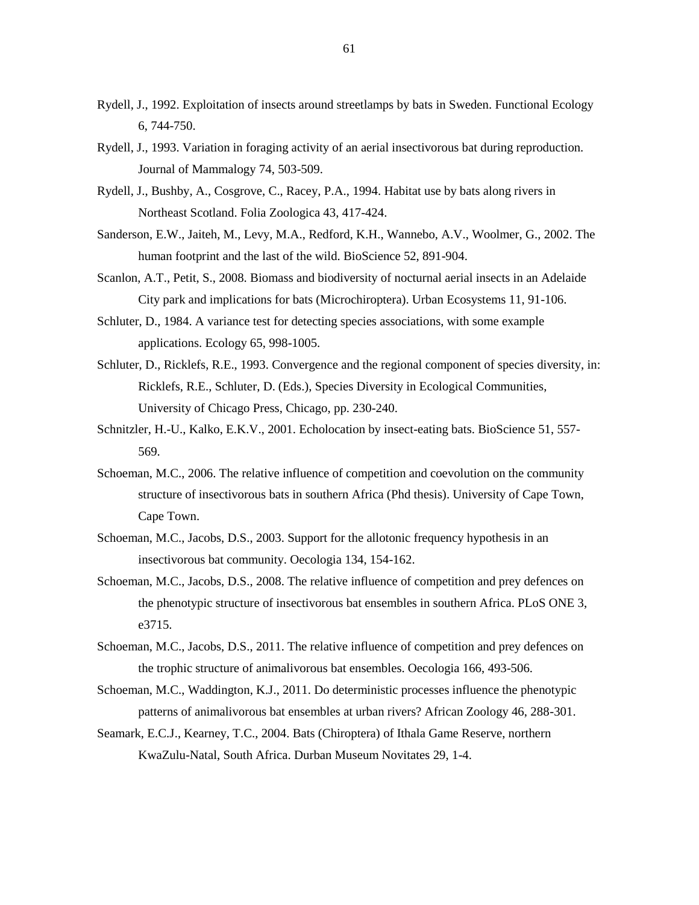- Rydell, J., 1992. Exploitation of insects around streetlamps by bats in Sweden. Functional Ecology 6, 744-750.
- Rydell, J., 1993. Variation in foraging activity of an aerial insectivorous bat during reproduction. Journal of Mammalogy 74, 503-509.
- Rydell, J., Bushby, A., Cosgrove, C., Racey, P.A., 1994. Habitat use by bats along rivers in Northeast Scotland. Folia Zoologica 43, 417-424.
- Sanderson, E.W., Jaiteh, M., Levy, M.A., Redford, K.H., Wannebo, A.V., Woolmer, G., 2002. The human footprint and the last of the wild. BioScience 52, 891-904.
- Scanlon, A.T., Petit, S., 2008. Biomass and biodiversity of nocturnal aerial insects in an Adelaide City park and implications for bats (Microchiroptera). Urban Ecosystems 11, 91-106.
- Schluter, D., 1984. A variance test for detecting species associations, with some example applications. Ecology 65, 998-1005.
- Schluter, D., Ricklefs, R.E., 1993. Convergence and the regional component of species diversity, in: Ricklefs, R.E., Schluter, D. (Eds.), Species Diversity in Ecological Communities, University of Chicago Press, Chicago, pp. 230-240.
- Schnitzler, H.-U., Kalko, E.K.V., 2001. Echolocation by insect-eating bats. BioScience 51, 557- 569.
- Schoeman, M.C., 2006. The relative influence of competition and coevolution on the community structure of insectivorous bats in southern Africa (Phd thesis). University of Cape Town, Cape Town.
- Schoeman, M.C., Jacobs, D.S., 2003. Support for the allotonic frequency hypothesis in an insectivorous bat community. Oecologia 134, 154-162.
- Schoeman, M.C., Jacobs, D.S., 2008. The relative influence of competition and prey defences on the phenotypic structure of insectivorous bat ensembles in southern Africa. PLoS ONE 3, e3715.
- Schoeman, M.C., Jacobs, D.S., 2011. The relative influence of competition and prey defences on the trophic structure of animalivorous bat ensembles. Oecologia 166, 493-506.
- Schoeman, M.C., Waddington, K.J., 2011. Do deterministic processes influence the phenotypic patterns of animalivorous bat ensembles at urban rivers? African Zoology 46, 288-301.
- Seamark, E.C.J., Kearney, T.C., 2004. Bats (Chiroptera) of Ithala Game Reserve, northern KwaZulu-Natal, South Africa. Durban Museum Novitates 29, 1-4.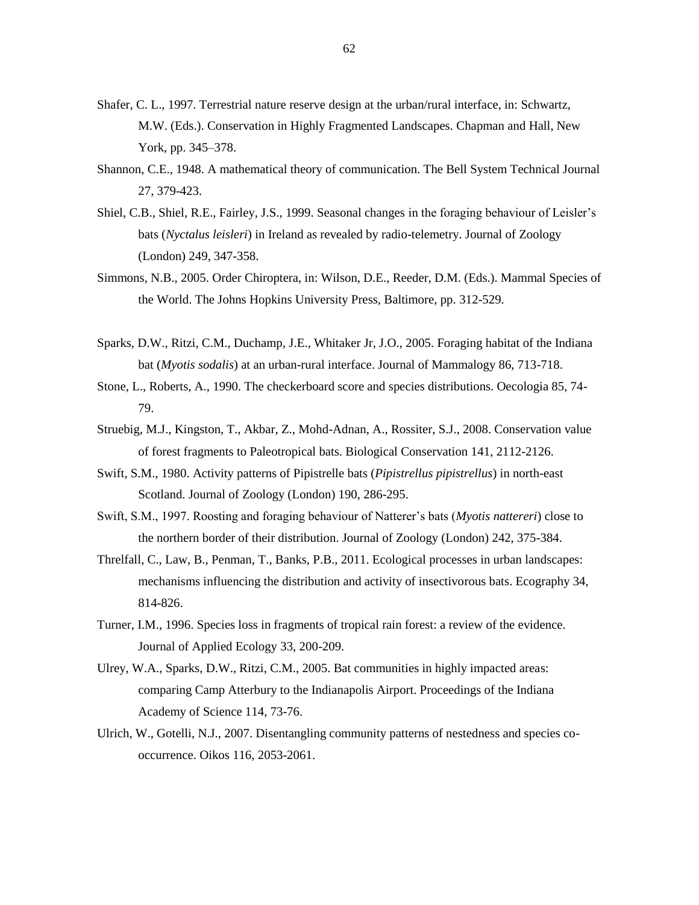- Shafer, C. L., 1997. Terrestrial nature reserve design at the urban/rural interface, in: Schwartz, M.W. (Eds.). Conservation in Highly Fragmented Landscapes. Chapman and Hall, New York, pp. 345–378.
- Shannon, C.E., 1948. A mathematical theory of communication. The Bell System Technical Journal 27, 379-423.
- Shiel, C.B., Shiel, R.E., Fairley, J.S., 1999. Seasonal changes in the foraging behaviour of Leisler"s bats (*Nyctalus leisleri*) in Ireland as revealed by radio-telemetry. Journal of Zoology (London) 249, 347-358.
- Simmons, N.B., 2005. Order Chiroptera, in: Wilson, D.E., Reeder, D.M. (Eds.). Mammal Species of the World. The Johns Hopkins University Press, Baltimore, pp. 312-529.
- Sparks, D.W., Ritzi, C.M., Duchamp, J.E., Whitaker Jr, J.O., 2005. Foraging habitat of the Indiana bat (*Myotis sodalis*) at an urban-rural interface. Journal of Mammalogy 86, 713-718.
- Stone, L., Roberts, A., 1990. The checkerboard score and species distributions. Oecologia 85, 74- 79.
- Struebig, M.J., Kingston, T., Akbar, Z., Mohd-Adnan, A., Rossiter, S.J., 2008. Conservation value of forest fragments to Paleotropical bats. Biological Conservation 141, 2112-2126.
- Swift, S.M., 1980. Activity patterns of Pipistrelle bats (*Pipistrellus pipistrellus*) in north-east Scotland. Journal of Zoology (London) 190, 286-295.
- Swift, S.M., 1997. Roosting and foraging behaviour of Natterer"s bats (*Myotis nattereri*) close to the northern border of their distribution. Journal of Zoology (London) 242, 375-384.
- Threlfall, C., Law, B., Penman, T., Banks, P.B., 2011. Ecological processes in urban landscapes: mechanisms influencing the distribution and activity of insectivorous bats. Ecography 34, 814-826.
- Turner, I.M., 1996. Species loss in fragments of tropical rain forest: a review of the evidence. Journal of Applied Ecology 33, 200-209.
- Ulrey, W.A., Sparks, D.W., Ritzi, C.M., 2005. Bat communities in highly impacted areas: comparing Camp Atterbury to the Indianapolis Airport. Proceedings of the Indiana Academy of Science 114, 73-76.
- Ulrich, W., Gotelli, N.J., 2007. Disentangling community patterns of nestedness and species cooccurrence. Oikos 116, 2053-2061.